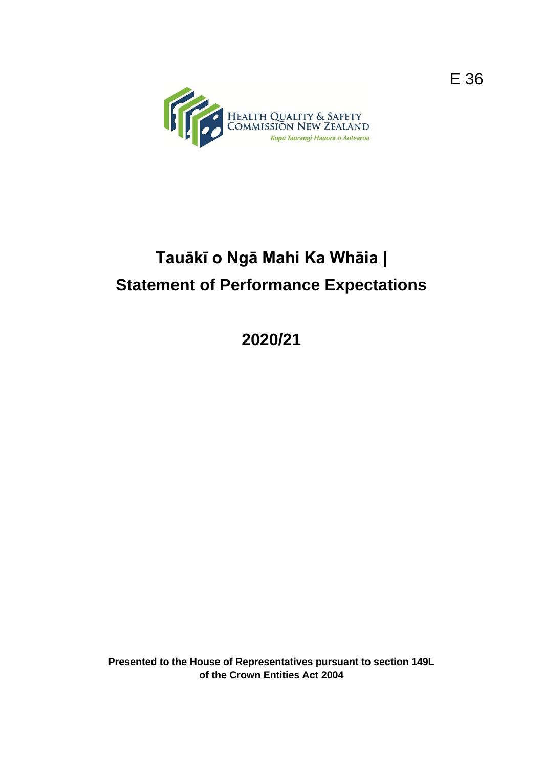

# **Tauākī o Ngā Mahi Ka Whāia | Statement of Performance Expectations**

**2020/21**

**Presented to the House of Representatives pursuant to section 149L of the Crown Entities Act 2004**

E 36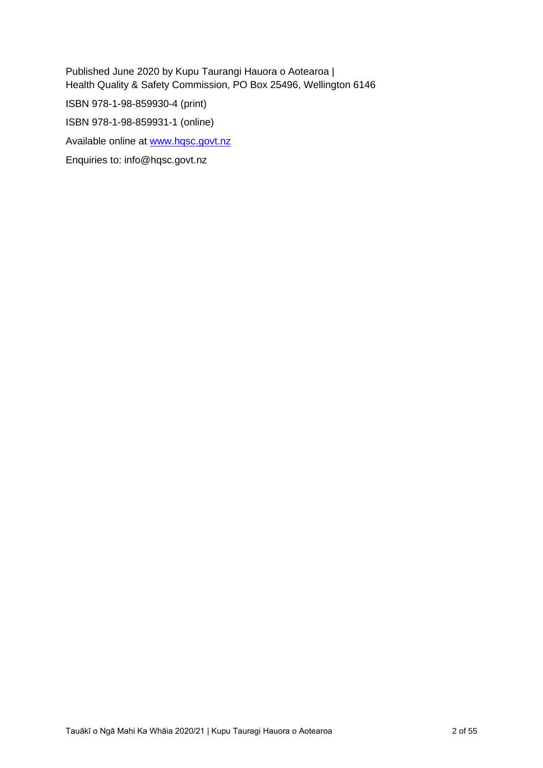Published June 2020 by Kupu Taurangi Hauora o Aotearoa | Health Quality & Safety Commission, PO Box 25496, Wellington 6146 ISBN 978-1-98-859930-4 (print) ISBN 978-1-98-859931-1 (online)

Available online at [www.hqsc.govt.nz](http://www.hqsc.govt.nz/)

Enquiries to: info@hqsc.govt.nz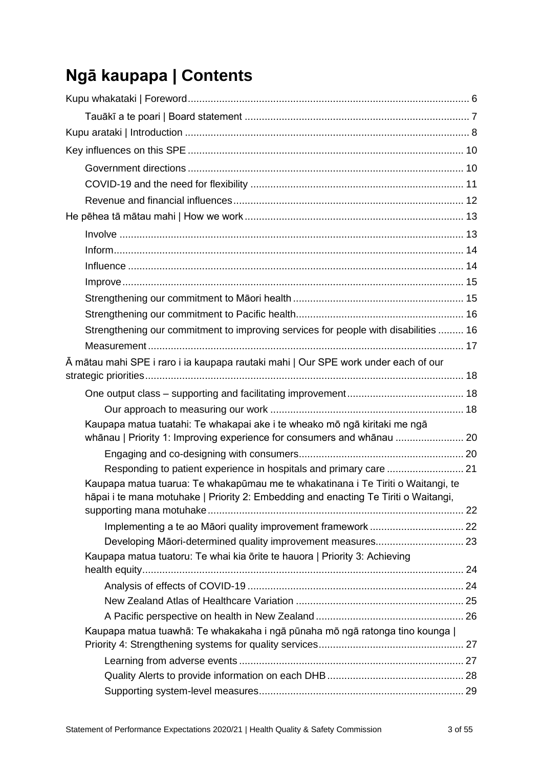# **Ngā kaupapa | Contents**

| Strengthening our commitment to improving services for people with disabilities  16                                                                                     |  |
|-------------------------------------------------------------------------------------------------------------------------------------------------------------------------|--|
|                                                                                                                                                                         |  |
| Ā mātau mahi SPE i raro i ia kaupapa rautaki mahi   Our SPE work under each of our                                                                                      |  |
|                                                                                                                                                                         |  |
|                                                                                                                                                                         |  |
|                                                                                                                                                                         |  |
| Kaupapa matua tuatahi: Te whakapai ake i te wheako mō ngā kiritaki me ngā<br>whānau   Priority 1: Improving experience for consumers and whānau  20                     |  |
|                                                                                                                                                                         |  |
| Responding to patient experience in hospitals and primary care  21                                                                                                      |  |
| Kaupapa matua tuarua: Te whakapūmau me te whakatinana i Te Tiriti o Waitangi, te<br>hāpai i te mana motuhake   Priority 2: Embedding and enacting Te Tiriti o Waitangi, |  |
|                                                                                                                                                                         |  |
| Implementing a te ao Māori quality improvement framework  22                                                                                                            |  |
|                                                                                                                                                                         |  |
| Kaupapa matua tuatoru: Te whai kia ōrite te hauora   Priority 3: Achieving                                                                                              |  |
|                                                                                                                                                                         |  |
|                                                                                                                                                                         |  |
|                                                                                                                                                                         |  |
| Kaupapa matua tuawhā: Te whakakaha i ngā pūnaha mō ngā ratonga tino kounga                                                                                              |  |
|                                                                                                                                                                         |  |
|                                                                                                                                                                         |  |
|                                                                                                                                                                         |  |
|                                                                                                                                                                         |  |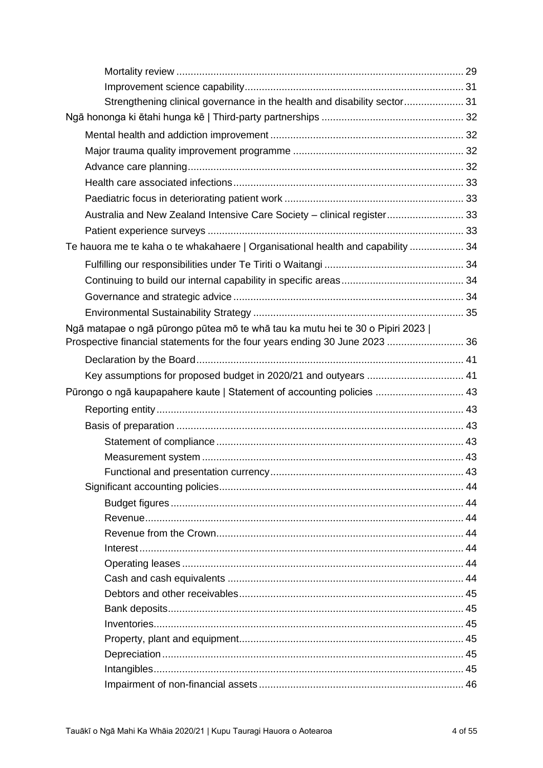| Strengthening clinical governance in the health and disability sector 31        |  |
|---------------------------------------------------------------------------------|--|
|                                                                                 |  |
|                                                                                 |  |
|                                                                                 |  |
|                                                                                 |  |
|                                                                                 |  |
|                                                                                 |  |
| Australia and New Zealand Intensive Care Society - clinical register 33         |  |
|                                                                                 |  |
| Te hauora me te kaha o te whakahaere   Organisational health and capability  34 |  |
|                                                                                 |  |
|                                                                                 |  |
|                                                                                 |  |
|                                                                                 |  |
| Ngā matapae o ngā pūrongo pūtea mō te whā tau ka mutu hei te 30 o Pipiri 2023   |  |
| Prospective financial statements for the four years ending 30 June 2023  36     |  |
|                                                                                 |  |
|                                                                                 |  |
| Pūrongo o ngā kaupapahere kaute   Statement of accounting policies  43          |  |
|                                                                                 |  |
|                                                                                 |  |
|                                                                                 |  |
|                                                                                 |  |
|                                                                                 |  |
|                                                                                 |  |
|                                                                                 |  |
|                                                                                 |  |
|                                                                                 |  |
|                                                                                 |  |
|                                                                                 |  |
|                                                                                 |  |
|                                                                                 |  |
|                                                                                 |  |
|                                                                                 |  |
|                                                                                 |  |
|                                                                                 |  |
|                                                                                 |  |
|                                                                                 |  |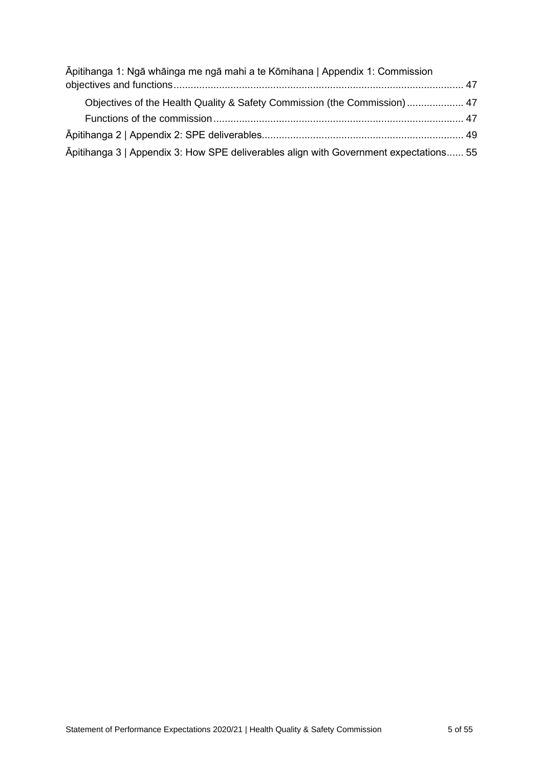| Āpitihanga 1: Ngā whāinga me ngā mahi a te Kōmihana   Appendix 1: Commission          |  |
|---------------------------------------------------------------------------------------|--|
|                                                                                       |  |
| Objectives of the Health Quality & Safety Commission (the Commission) 47              |  |
|                                                                                       |  |
|                                                                                       |  |
| Apitihanga 3   Appendix 3: How SPE deliverables align with Government expectations 55 |  |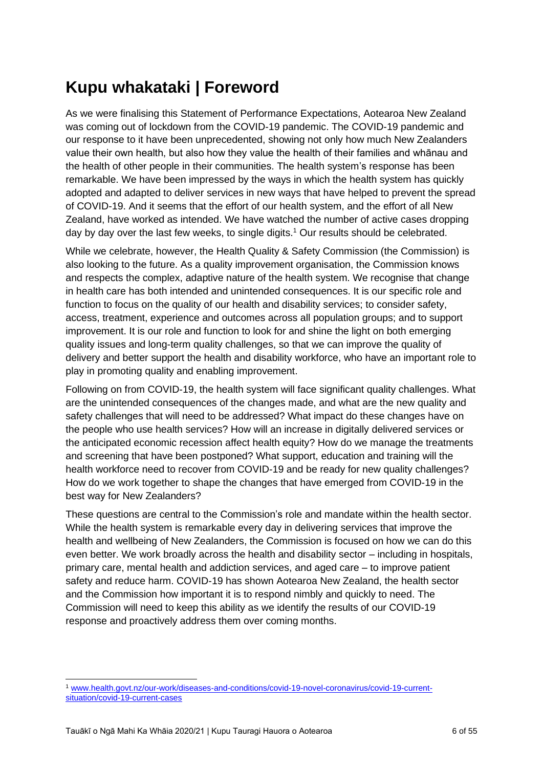# <span id="page-5-0"></span>**Kupu whakataki | Foreword**

As we were finalising this Statement of Performance Expectations, Aotearoa New Zealand was coming out of lockdown from the COVID-19 pandemic. The COVID-19 pandemic and our response to it have been unprecedented, showing not only how much New Zealanders value their own health, but also how they value the health of their families and whānau and the health of other people in their communities. The health system's response has been remarkable. We have been impressed by the ways in which the health system has quickly adopted and adapted to deliver services in new ways that have helped to prevent the spread of COVID-19. And it seems that the effort of our health system, and the effort of all New Zealand, have worked as intended. We have watched the number of active cases dropping day by day over the last few weeks, to single digits.<sup>1</sup> Our results should be celebrated.

While we celebrate, however, the Health Quality & Safety Commission (the Commission) is also looking to the future. As a quality improvement organisation, the Commission knows and respects the complex, adaptive nature of the health system. We recognise that change in health care has both intended and unintended consequences. It is our specific role and function to focus on the quality of our health and disability services; to consider safety, access, treatment, experience and outcomes across all population groups; and to support improvement. It is our role and function to look for and shine the light on both emerging quality issues and long-term quality challenges, so that we can improve the quality of delivery and better support the health and disability workforce, who have an important role to play in promoting quality and enabling improvement.

Following on from COVID-19, the health system will face significant quality challenges. What are the unintended consequences of the changes made, and what are the new quality and safety challenges that will need to be addressed? What impact do these changes have on the people who use health services? How will an increase in digitally delivered services or the anticipated economic recession affect health equity? How do we manage the treatments and screening that have been postponed? What support, education and training will the health workforce need to recover from COVID-19 and be ready for new quality challenges? How do we work together to shape the changes that have emerged from COVID-19 in the best way for New Zealanders?

These questions are central to the Commission's role and mandate within the health sector. While the health system is remarkable every day in delivering services that improve the health and wellbeing of New Zealanders, the Commission is focused on how we can do this even better. We work broadly across the health and disability sector – including in hospitals, primary care, mental health and addiction services, and aged care – to improve patient safety and reduce harm. COVID-19 has shown Aotearoa New Zealand, the health sector and the Commission how important it is to respond nimbly and quickly to need. The Commission will need to keep this ability as we identify the results of our COVID-19 response and proactively address them over coming months.

<sup>1</sup> [www.health.govt.nz/our-work/diseases-and-conditions/covid-19-novel-coronavirus/covid-19-current](http://www.health.govt.nz/our-work/diseases-and-conditions/covid-19-novel-coronavirus/covid-19-current-situation/covid-19-current-cases)[situation/covid-19-current-cases](http://www.health.govt.nz/our-work/diseases-and-conditions/covid-19-novel-coronavirus/covid-19-current-situation/covid-19-current-cases)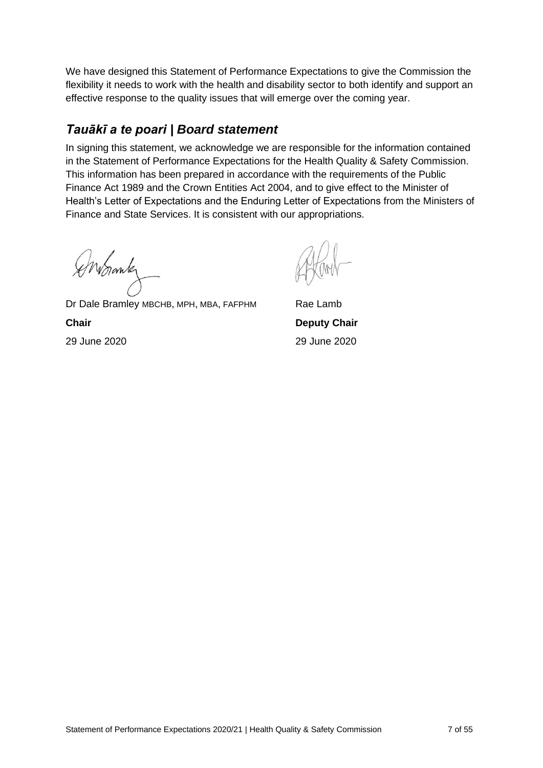We have designed this Statement of Performance Expectations to give the Commission the flexibility it needs to work with the health and disability sector to both identify and support an effective response to the quality issues that will emerge over the coming year.

## <span id="page-6-0"></span>*Tauākī a te poari | Board statement*

In signing this statement, we acknowledge we are responsible for the information contained in the Statement of Performance Expectations for the Health Quality & Safety Commission. This information has been prepared in accordance with the requirements of the Public Finance Act 1989 and the Crown Entities Act 2004, and to give effect to the Minister of Health's Letter of Expectations and the Enduring Letter of Expectations from the Ministers of Finance and State Services. It is consistent with our appropriations.

Enbrank

Dr Dale Bramley MBCHB, MPH, MBA, FAFPHM Rae Lamb **Chair Deputy Chair** 29 June 2020 29 June 2020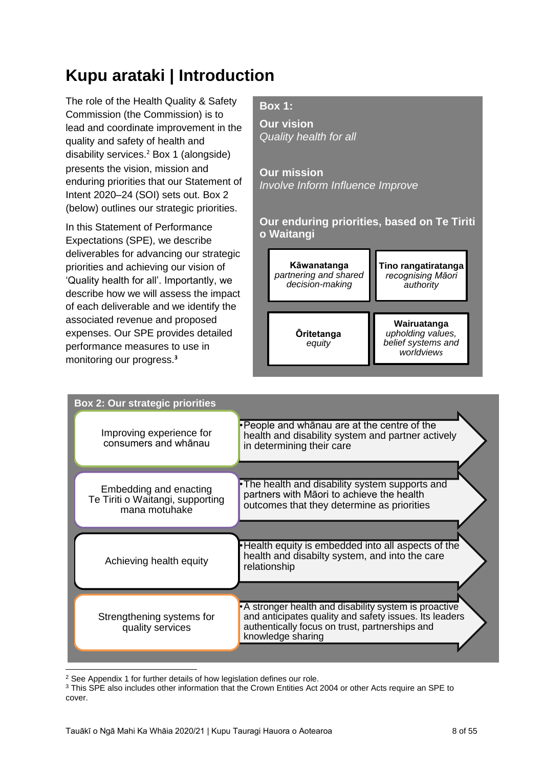# <span id="page-7-0"></span>**Kupu arataki | Introduction**

The role of the Health Quality & Safety Commission (the Commission) is to lead and coordinate improvement in the quality and safety of health and disability services.<sup>2</sup> Box 1 (alongside) presents the vision, mission and enduring priorities that our Statement of Intent 2020–24 (SOI) sets out. Box 2 (below) outlines our strategic priorities.

In this Statement of Performance Expectations (SPE), we describe deliverables for advancing our strategic priorities and achieving our vision of 'Quality health for all'. Importantly, we describe how we will assess the impact of each deliverable and we identify the associated revenue and proposed expenses. Our SPE provides detailed performance measures to use in monitoring our progress.**<sup>3</sup>**

## **Box 1:**

**Our vision** *Quality health for all*

**Our mission** *Involve Inform Influence Improve*

**Our enduring priorities, based on Te Tiriti o Waitangi**

**Kāwanatanga** *partnering and shared decision-making*

**Tino rangatiratanga** *recognising Māori authority*

**Ōritetanga** *equity*

**Wairuatanga** *upholding values, belief systems and worldviews*

| <b>Box 2: Our strategic priorities</b>            |                                                                                                                                                                                         |
|---------------------------------------------------|-----------------------------------------------------------------------------------------------------------------------------------------------------------------------------------------|
| Improving experience for<br>consumers and whanau  | • People and whanau are at the centre of the<br>health and disability system and partner actively<br>in determining their care                                                          |
| Embedding and enacting                            | •The health and disability system supports and<br>partners with Māori to achieve the health                                                                                             |
| Te Tiriti o Waitangi, supporting<br>mana motuhake | outcomes that they determine as priorities                                                                                                                                              |
|                                                   |                                                                                                                                                                                         |
| Achieving health equity                           | Health equity is embedded into all aspects of the<br>health and disabilty system, and into the care<br>relationship                                                                     |
|                                                   |                                                                                                                                                                                         |
| Strengthening systems for<br>quality services     | • A stronger health and disability system is proactive<br>and anticipates quality and safety issues. Its leaders<br>authentically focus on trust, partnerships and<br>knowledge sharing |
|                                                   |                                                                                                                                                                                         |

<sup>2</sup> See Appendix 1 for further details of how legislation defines our role.

<sup>3</sup> This SPE also includes other information that the Crown Entities Act 2004 or other Acts require an SPE to cover.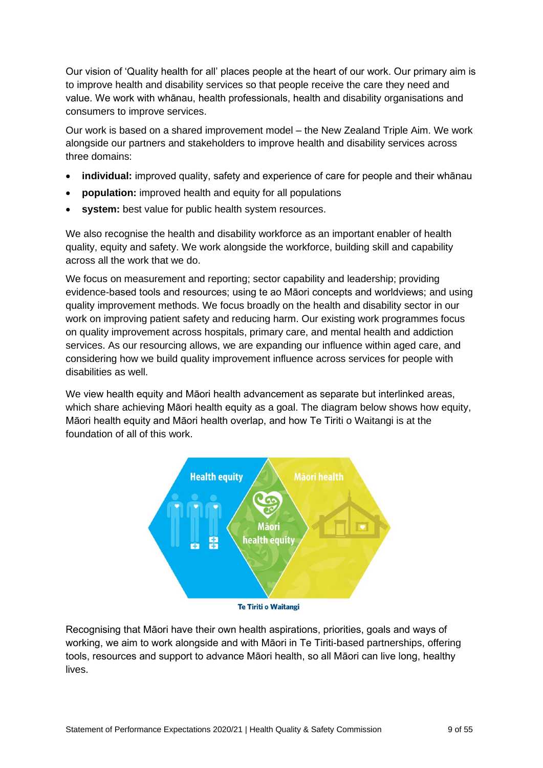Our vision of 'Quality health for all' places people at the heart of our work. Our primary aim is to improve health and disability services so that people receive the care they need and value. We work with whānau, health professionals, health and disability organisations and consumers to improve services.

Our work is based on a shared improvement model – the New Zealand Triple Aim. We work alongside our partners and stakeholders to improve health and disability services across three domains:

- **individual:** improved quality, safety and experience of care for people and their whānau
- **population:** improved health and equity for all populations
- **system:** best value for public health system resources.

We also recognise the health and disability workforce as an important enabler of health quality, equity and safety. We work alongside the workforce, building skill and capability across all the work that we do.

We focus on measurement and reporting; sector capability and leadership; providing evidence-based tools and resources; using te ao Māori concepts and worldviews; and using quality improvement methods. We focus broadly on the health and disability sector in our work on improving patient safety and reducing harm. Our existing work programmes focus on quality improvement across hospitals, primary care, and mental health and addiction services. As our resourcing allows, we are expanding our influence within aged care, and considering how we build quality improvement influence across services for people with disabilities as well.

We view health equity and Māori health advancement as separate but interlinked areas, which share achieving Māori health equity as a goal. The diagram below shows how equity, Māori health equity and Māori health overlap, and how Te Tiriti o Waitangi is at the foundation of all of this work.



**Te Tiriti o Waitangi** 

Recognising that Māori have their own health aspirations, priorities, goals and ways of working, we aim to work alongside and with Māori in Te Tiriti-based partnerships, offering tools, resources and support to advance Māori health, so all Māori can live long, healthy lives.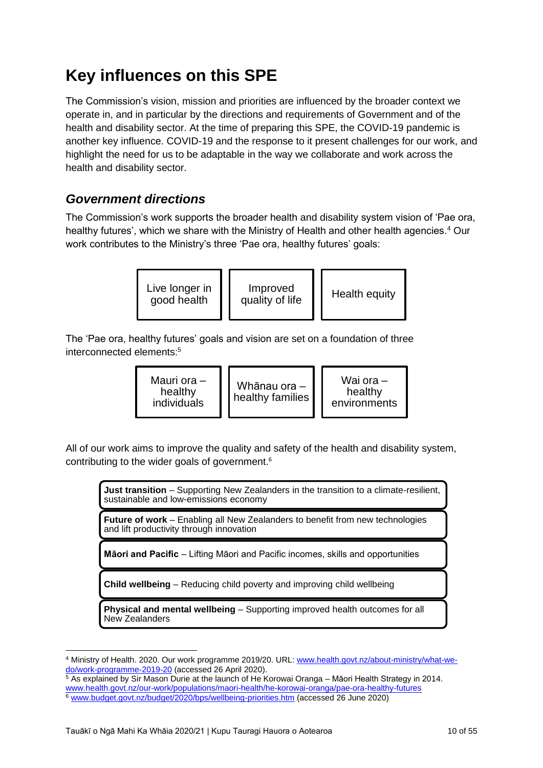# <span id="page-9-0"></span>**Key influences on this SPE**

The Commission's vision, mission and priorities are influenced by the broader context we operate in, and in particular by the directions and requirements of Government and of the health and disability sector. At the time of preparing this SPE, the COVID-19 pandemic is another key influence. COVID-19 and the response to it present challenges for our work, and highlight the need for us to be adaptable in the way we collaborate and work across the health and disability sector.

## <span id="page-9-1"></span>*Government directions*

The Commission's work supports the broader health and disability system vision of 'Pae ora, healthy futures', which we share with the Ministry of Health and other health agencies.<sup>4</sup> Our work contributes to the Ministry's three 'Pae ora, healthy futures' goals:



The 'Pae ora, healthy futures' goals and vision are set on a foundation of three interconnected elements:<sup>5</sup>

| Mauri ora -<br>healthy<br>individuals | Whānau ora –<br>healthy families | Wai ora $-$<br>healthy<br>environments |
|---------------------------------------|----------------------------------|----------------------------------------|
|---------------------------------------|----------------------------------|----------------------------------------|

All of our work aims to improve the quality and safety of the health and disability system, contributing to the wider goals of government. 6

**Just transition** – Supporting New Zealanders in the transition to a climate-resilient, sustainable and low-emissions economy

**Future of work** – Enabling all New Zealanders to benefit from new technologies and lift productivity through innovation

**Māori and Pacific** – Lifting Māori and Pacific incomes, skills and opportunities

**Child wellbeing** – Reducing child poverty and improving child wellbeing

**Physical and mental wellbeing** – Supporting improved health outcomes for all New Zealanders

<sup>4</sup> Ministry of Health. 2020. Our work programme 2019/20. URL: [www.health.govt.nz/about-ministry/what-we](http://www.health.govt.nz/about-ministry/what-we-do/work-programme-2019-20)[do/work-programme-2019-20](http://www.health.govt.nz/about-ministry/what-we-do/work-programme-2019-20) (accessed 26 April 2020).

 $\frac{5}{6}$  As explained by Sir Mason Durie at the launch of He Korowai Oranga – Māori Health Strategy in 2014. [www.health.govt.nz/our-work/populations/maori-health/he-korowai-oranga/pae-ora-healthy-futures](http://www.health.govt.nz/our-work/populations/maori-health/he-korowai-oranga/pae-ora-healthy-futures) <sup>6</sup> [www.budget.govt.nz/budget/2020/bps/wellbeing-priorities.htm](http://www.budget.govt.nz/budget/2020/bps/wellbeing-priorities.htm) (accessed 26 June 2020)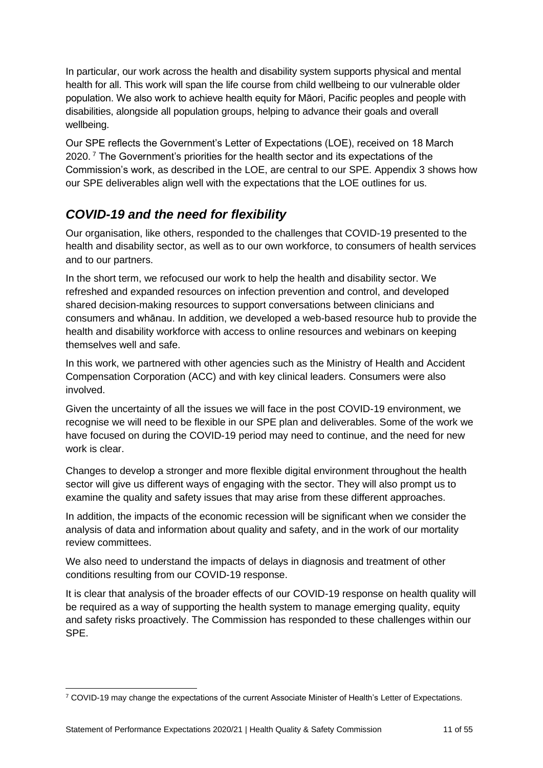In particular, our work across the health and disability system supports physical and mental health for all. This work will span the life course from child wellbeing to our vulnerable older population. We also work to achieve health equity for Māori, Pacific peoples and people with disabilities, alongside all population groups, helping to advance their goals and overall wellbeing.

Our SPE reflects the Government's Letter of Expectations (LOE), received on 18 March 2020. <sup>7</sup> The Government's priorities for the health sector and its expectations of the Commission's work, as described in the LOE, are central to our SPE. Appendix 3 shows how our SPE deliverables align well with the expectations that the LOE outlines for us.

## <span id="page-10-0"></span>*COVID-19 and the need for flexibility*

Our organisation, like others, responded to the challenges that COVID-19 presented to the health and disability sector, as well as to our own workforce, to consumers of health services and to our partners.

In the short term, we refocused our work to help the health and disability sector. We refreshed and expanded resources on infection prevention and control, and developed shared decision-making resources to support conversations between clinicians and consumers and whānau. In addition, we developed a web-based resource hub to provide the health and disability workforce with access to online resources and webinars on keeping themselves well and safe.

In this work, we partnered with other agencies such as the Ministry of Health and Accident Compensation Corporation (ACC) and with key clinical leaders. Consumers were also involved.

Given the uncertainty of all the issues we will face in the post COVID-19 environment, we recognise we will need to be flexible in our SPE plan and deliverables. Some of the work we have focused on during the COVID-19 period may need to continue, and the need for new work is clear.

Changes to develop a stronger and more flexible digital environment throughout the health sector will give us different ways of engaging with the sector. They will also prompt us to examine the quality and safety issues that may arise from these different approaches.

In addition, the impacts of the economic recession will be significant when we consider the analysis of data and information about quality and safety, and in the work of our mortality review committees.

We also need to understand the impacts of delays in diagnosis and treatment of other conditions resulting from our COVID-19 response.

It is clear that analysis of the broader effects of our COVID-19 response on health quality will be required as a way of supporting the health system to manage emerging quality, equity and safety risks proactively. The Commission has responded to these challenges within our SPE.

<sup>7</sup> COVID-19 may change the expectations of the current Associate Minister of Health's Letter of Expectations.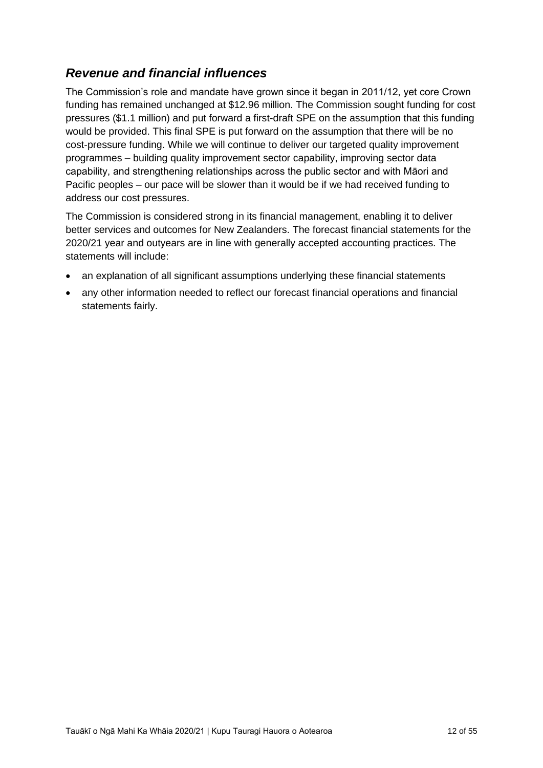## <span id="page-11-0"></span>*Revenue and financial influences*

The Commission's role and mandate have grown since it began in 2011/12, yet core Crown funding has remained unchanged at \$12.96 million. The Commission sought funding for cost pressures (\$1.1 million) and put forward a first-draft SPE on the assumption that this funding would be provided. This final SPE is put forward on the assumption that there will be no cost-pressure funding. While we will continue to deliver our targeted quality improvement programmes – building quality improvement sector capability, improving sector data capability, and strengthening relationships across the public sector and with Māori and Pacific peoples – our pace will be slower than it would be if we had received funding to address our cost pressures.

The Commission is considered strong in its financial management, enabling it to deliver better services and outcomes for New Zealanders. The forecast financial statements for the 2020/21 year and outyears are in line with generally accepted accounting practices. The statements will include:

- an explanation of all significant assumptions underlying these financial statements
- any other information needed to reflect our forecast financial operations and financial statements fairly.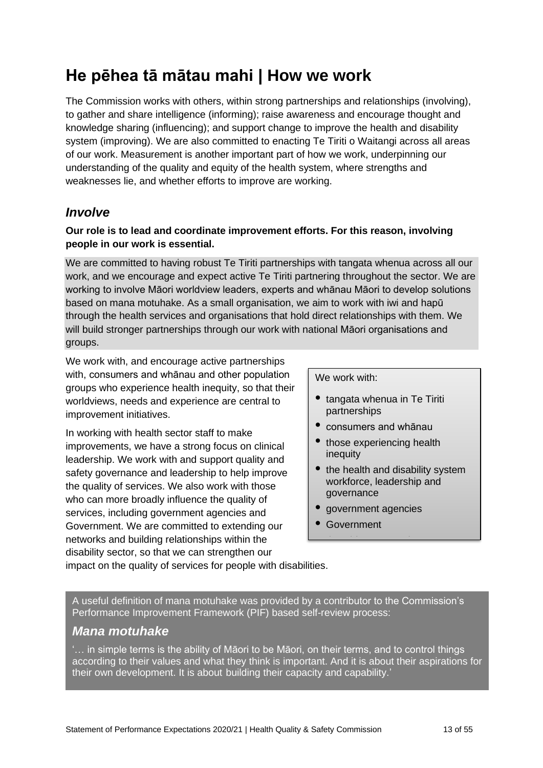# <span id="page-12-0"></span>**He pēhea tā mātau mahi | How we work**

The Commission works with others, within strong partnerships and relationships (involving), to gather and share intelligence (informing); raise awareness and encourage thought and knowledge sharing (influencing); and support change to improve the health and disability system (improving). We are also committed to enacting Te Tiriti o Waitangi across all areas of our work. Measurement is another important part of how we work, underpinning our understanding of the quality and equity of the health system, where strengths and weaknesses lie, and whether efforts to improve are working.

### <span id="page-12-1"></span>*Involve*

#### **Our role is to lead and coordinate improvement efforts. For this reason, involving people in our work is essential.**

We are committed to having robust Te Tiriti partnerships with tangata whenua across all our work, and we encourage and expect active Te Tiriti partnering throughout the sector. We are working to involve Māori worldview leaders, experts and whānau Māori to develop solutions based on mana motuhake. As a small organisation, we aim to work with iwi and hapū through the health services and organisations that hold direct relationships with them. We will build stronger partnerships through our work with national Māori organisations and groups.

We work with, and encourage active partnerships with, consumers and whānau and other population groups who experience health inequity, so that their worldviews, needs and experience are central to improvement initiatives.

In working with health sector staff to make improvements, we have a strong focus on clinical leadership. We work with and support quality and safety governance and leadership to help improve the quality of services. We also work with those who can more broadly influence the quality of services, including government agencies and Government. We are committed to extending our networks and building relationships within the disability sector, so that we can strengthen our

We work with:

- tangata whenua in Te Tiriti partnerships
- consumers and whānau
- those experiencing health inequity
- the health and disability system workforce, leadership and governance
- government agencies

• the wider community.

**Government** 

impact on the quality of services for people with disabilities.

A useful definition of mana motuhake was provided by a contributor to the Commission's Performance Improvement Framework (PIF) based self-review process:

### *Mana motuhake*

'… in simple terms is the ability of Māori to be Māori, on their terms, and to control things according to their values and what they think is important. And it is about their aspirations for their own development. It is about building their capacity and capability.'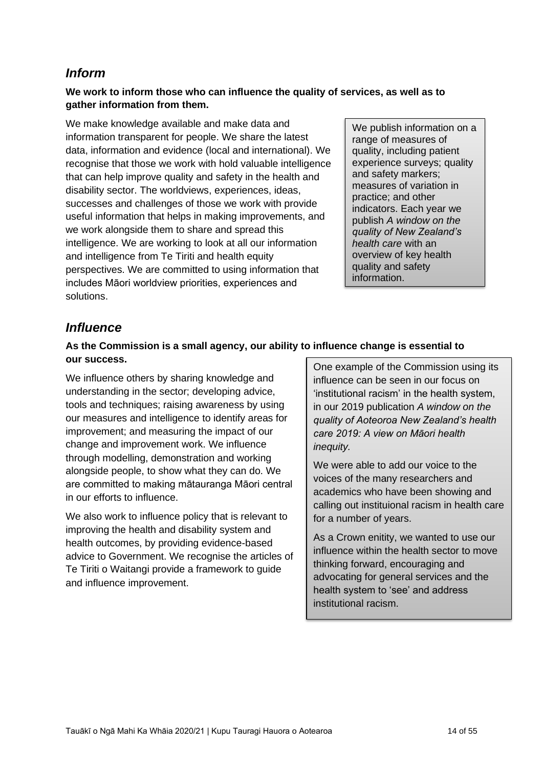## <span id="page-13-0"></span>*Inform*

#### **We work to inform those who can influence the quality of services, as well as to gather information from them.**

We make knowledge available and make data and information transparent for people. We share the latest data, information and evidence (local and international). We recognise that those we work with hold valuable intelligence that can help improve quality and safety in the health and disability sector. The worldviews, experiences, ideas, successes and challenges of those we work with provide useful information that helps in making improvements, and we work alongside them to share and spread this intelligence. We are working to look at all our information and intelligence from Te Tiriti and health equity perspectives. We are committed to using information that includes Māori worldview priorities, experiences and solutions.

We publish information on a range of measures of quality, including patient experience surveys; quality and safety markers; measures of variation in practice; and other indicators. Each year we publish *A window on the quality of New Zealand's health care* with an overview of key health quality and safety information.

## <span id="page-13-1"></span>*Influence*

#### **As the Commission is a small agency, our ability to influence change is essential to our success.**

We influence others by sharing knowledge and understanding in the sector; developing advice, tools and techniques; raising awareness by using our measures and intelligence to identify areas for improvement; and measuring the impact of our change and improvement work. We influence through modelling, demonstration and working alongside people, to show what they can do. We are committed to making mātauranga Māori central in our efforts to influence.

<span id="page-13-2"></span>We also work to influence policy that is relevant to improving the health and disability system and health outcomes, by providing evidence-based advice to Government. We recognise the articles of Te Tiriti o Waitangi provide a framework to guide and influence improvement.

One example of the Commission using its influence can be seen in our focus on 'institutional racism' in the health system, in our 2019 publication *A window on the quality of Aoteoroa New Zealand's health care 2019: A view on Māori health inequity.*

We were able to add our voice to the voices of the many researchers and academics who have been showing and calling out instituional racism in health care for a number of years.

As a Crown enitity, we wanted to use our influence within the health sector to move thinking forward, encouraging and advocating for general services and the health system to 'see' and address institutional racism.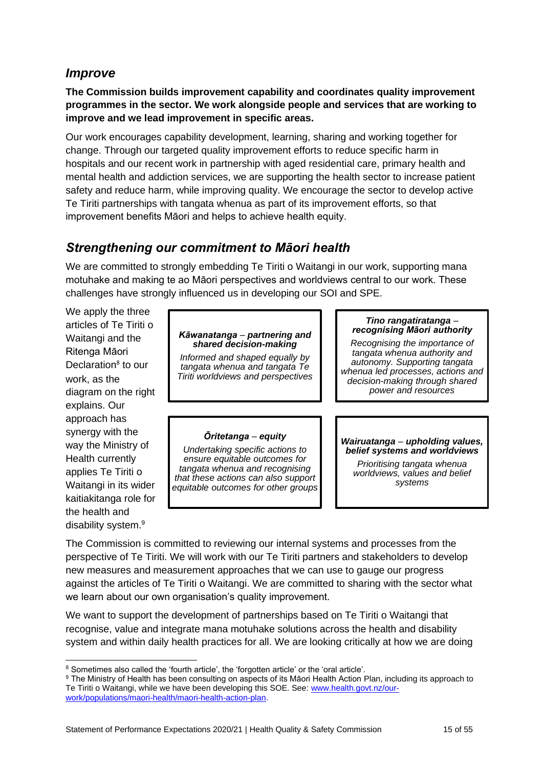## *Improve*

**The Commission builds improvement capability and coordinates quality improvement programmes in the sector. We work alongside people and services that are working to improve and we lead improvement in specific areas.**

Our work encourages capability development, learning, sharing and working together for change. Through our targeted quality improvement efforts to reduce specific harm in hospitals and our recent work in partnership with aged residential care, primary health and mental health and addiction services, we are supporting the health sector to increase patient safety and reduce harm, while improving quality. We encourage the sector to develop active Te Tiriti partnerships with tangata whenua as part of its improvement efforts, so that improvement benefits Māori and helps to achieve health equity.

## <span id="page-14-0"></span>*Strengthening our commitment to Māori health*

We are committed to strongly embedding Te Tiriti o Waitangi in our work, supporting mana motuhake and making te ao Māori perspectives and worldviews central to our work. These challenges have strongly influenced us in developing our SOI and SPE.

We apply the three articles of Te Tiriti o Waitangi and the Ritenga Māori Declaration<sup>8</sup> to our work, as the diagram on the right explains. Our approach has synergy with the way the Ministry of Health currently applies Te Tiriti o Waitangi in its wider kaitiakitanga role for the health and disability system.<sup>9</sup>

#### *Kāwanatanga* – *partnering and shared decision-making*

*Informed and shaped equally by tangata whenua and tangata Te Tiriti worldviews and perspectives*

#### *Ōritetanga* – *equity*

*Undertaking specific actions to ensure equitable outcomes for tangata whenua and recognising that these actions can also support equitable outcomes for other groups*

#### *Tino rangatiratanga* – *recognising Māori authority*

*Recognising the importance of tangata whenua authority and autonomy. Supporting tangata whenua led processes, actions and decision-making through shared power and resources*

#### *Wairuatanga* – *upholding values, belief systems and worldviews*

*Prioritising tangata whenua worldviews, values and belief systems*

The Commission is committed to reviewing our internal systems and processes from the perspective of Te Tiriti. We will work with our Te Tiriti partners and stakeholders to develop new measures and measurement approaches that we can use to gauge our progress against the articles of Te Tiriti o Waitangi. We are committed to sharing with the sector what we learn about our own organisation's quality improvement.

We want to support the development of partnerships based on Te Tiriti o Waitangi that recognise, value and integrate mana motuhake solutions across the health and disability system and within daily health practices for all. We are looking critically at how we are doing

<sup>8</sup> Sometimes also called the 'fourth article', the 'forgotten article' or the 'oral article'.

<sup>9</sup> The Ministry of Health has been consulting on aspects of its Māori Health Action Plan, including its approach to Te Tiriti o Waitangi, while we have been developing this SOE. See: [www.health.govt.nz/our](http://www.health.govt.nz/our-work/populations/maori-health/maori-health-action-plan)[work/populations/maori-health/maori-health-action-plan.](http://www.health.govt.nz/our-work/populations/maori-health/maori-health-action-plan)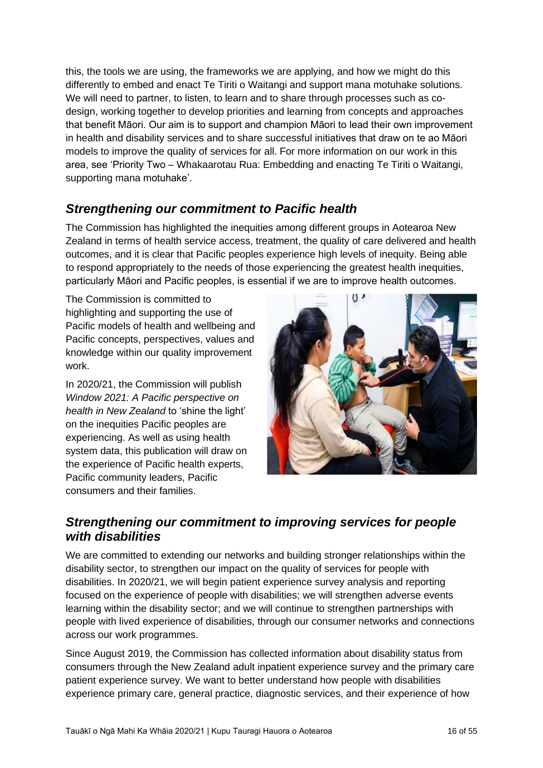this, the tools we are using, the frameworks we are applying, and how we might do this differently to embed and enact Te Tiriti o Waitangi and support mana motuhake solutions. We will need to partner, to listen, to learn and to share through processes such as codesign, working together to develop priorities and learning from concepts and approaches that benefit Māori. Our aim is to support and champion Māori to lead their own improvement in health and disability services and to share successful initiatives that draw on te ao Māori models to improve the quality of services for all. For more information on our work in this area, see 'Priority Two – Whakaarotau Rua: Embedding and enacting Te Tiriti o Waitangi, supporting mana motuhake'.

## <span id="page-15-0"></span>*Strengthening our commitment to Pacific health*

The Commission has highlighted the inequities among different groups in Aotearoa New Zealand in terms of health service access, treatment, the quality of care delivered and health outcomes, and it is clear that Pacific peoples experience high levels of inequity. Being able to respond appropriately to the needs of those experiencing the greatest health inequities, particularly Māori and Pacific peoples, is essential if we are to improve health outcomes.

The Commission is committed to highlighting and supporting the use of Pacific models of health and wellbeing and Pacific concepts, perspectives, values and knowledge within our quality improvement work.

In 2020/21, the Commission will publish *Window 2021: A Pacific perspective on health in New Zealand* to 'shine the light' on the inequities Pacific peoples are experiencing. As well as using health system data, this publication will draw on the experience of Pacific health experts, Pacific community leaders, Pacific consumers and their families.



## <span id="page-15-1"></span>*Strengthening our commitment to improving services for people with disabilities*

We are committed to extending our networks and building stronger relationships within the disability sector, to strengthen our impact on the quality of services for people with disabilities. In 2020/21, we will begin patient experience survey analysis and reporting focused on the experience of people with disabilities; we will strengthen adverse events learning within the disability sector; and we will continue to strengthen partnerships with people with lived experience of disabilities, through our consumer networks and connections across our work programmes.

Since August 2019, the Commission has collected information about disability status from consumers through the New Zealand adult inpatient experience survey and the primary care patient experience survey. We want to better understand how people with disabilities experience primary care, general practice, diagnostic services, and their experience of how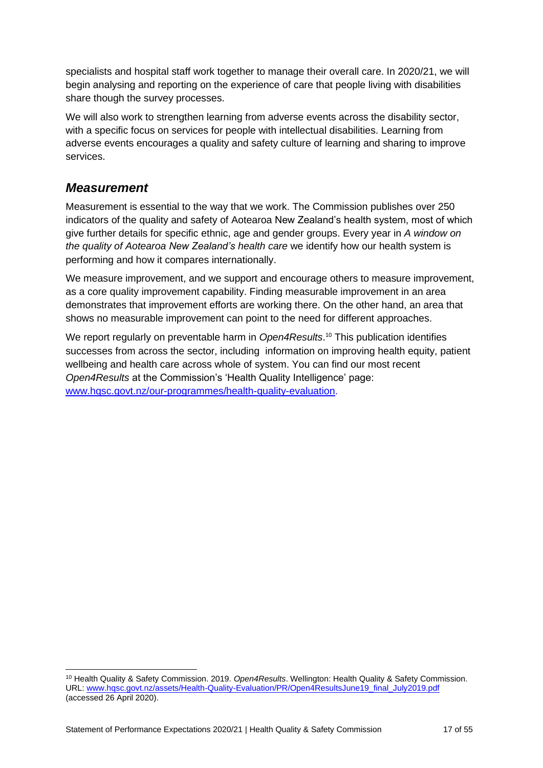specialists and hospital staff work together to manage their overall care. In 2020/21, we will begin analysing and reporting on the experience of care that people living with disabilities share though the survey processes.

We will also work to strengthen learning from adverse events across the disability sector, with a specific focus on services for people with intellectual disabilities. Learning from adverse events encourages a quality and safety culture of learning and sharing to improve services.

### <span id="page-16-0"></span>*Measurement*

Measurement is essential to the way that we work. The Commission publishes over 250 indicators of the quality and safety of Aotearoa New Zealand's health system, most of which give further details for specific ethnic, age and gender groups. Every year in *A window on the quality of Aotearoa New Zealand's health care* we identify how our health system is performing and how it compares internationally.

We measure improvement, and we support and encourage others to measure improvement, as a core quality improvement capability. Finding measurable improvement in an area demonstrates that improvement efforts are working there. On the other hand, an area that shows no measurable improvement can point to the need for different approaches.

We report regularly on preventable harm in *Open4Results*. <sup>10</sup> This publication identifies successes from across the sector, including information on improving health equity, patient wellbeing and health care across whole of system. You can find our most recent *Open4Results* at the Commission's 'Health Quality Intelligence' page: [www.hqsc.govt.nz/our-programmes/health-quality-evaluation.](http://www.hqsc.govt.nz/our-programmes/health-quality-evaluation)

<sup>10</sup> Health Quality & Safety Commission. 2019. *Open4Results*. Wellington: Health Quality & Safety Commission. URL: [www.hqsc.govt.nz/assets/Health-Quality-Evaluation/PR/Open4ResultsJune19\\_final\\_July2019.pdf](http://www.hqsc.govt.nz/assets/Health-Quality-Evaluation/PR/Open4ResultsJune19_final_July2019.pdf) (accessed 26 April 2020).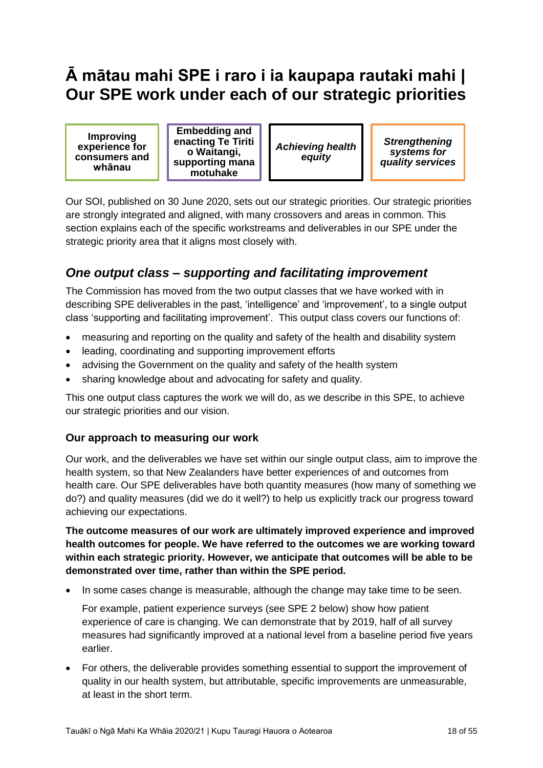# <span id="page-17-0"></span>**Ā mātau mahi SPE i raro i ia kaupapa rautaki mahi | Our SPE work under each of our strategic priorities**

**Improving experience for consumers and whānau**

**Embedding and enacting Te Tiriti o Waitangi, supporting mana motuhake**

*Achieving health equity*

*Strengthening systems for quality services*

Our SOI, published on 30 June 2020, sets out our strategic priorities. Our strategic priorities are strongly integrated and aligned, with many crossovers and areas in common. This section explains each of the specific workstreams and deliverables in our SPE under the strategic priority area that it aligns most closely with.

## <span id="page-17-1"></span>*One output class – supporting and facilitating improvement*

The Commission has moved from the two output classes that we have worked with in describing SPE deliverables in the past, 'intelligence' and 'improvement', to a single output class 'supporting and facilitating improvement'. This output class covers our functions of:

- measuring and reporting on the quality and safety of the health and disability system
- leading, coordinating and supporting improvement efforts
- advising the Government on the quality and safety of the health system
- sharing knowledge about and advocating for safety and quality.

This one output class captures the work we will do, as we describe in this SPE, to achieve our strategic priorities and our vision.

### <span id="page-17-2"></span>**Our approach to measuring our work**

Our work, and the deliverables we have set within our single output class, aim to improve the health system, so that New Zealanders have better experiences of and outcomes from health care. Our SPE deliverables have both quantity measures (how many of something we do?) and quality measures (did we do it well?) to help us explicitly track our progress toward achieving our expectations.

**The outcome measures of our work are ultimately improved experience and improved health outcomes for people. We have referred to the outcomes we are working toward within each strategic priority. However, we anticipate that outcomes will be able to be demonstrated over time, rather than within the SPE period.**

In some cases change is measurable, although the change may take time to be seen.

For example, patient experience surveys (see SPE 2 below) show how patient experience of care is changing. We can demonstrate that by 2019, half of all survey measures had significantly improved at a national level from a baseline period five years earlier.

• For others, the deliverable provides something essential to support the improvement of quality in our health system, but attributable, specific improvements are unmeasurable, at least in the short term.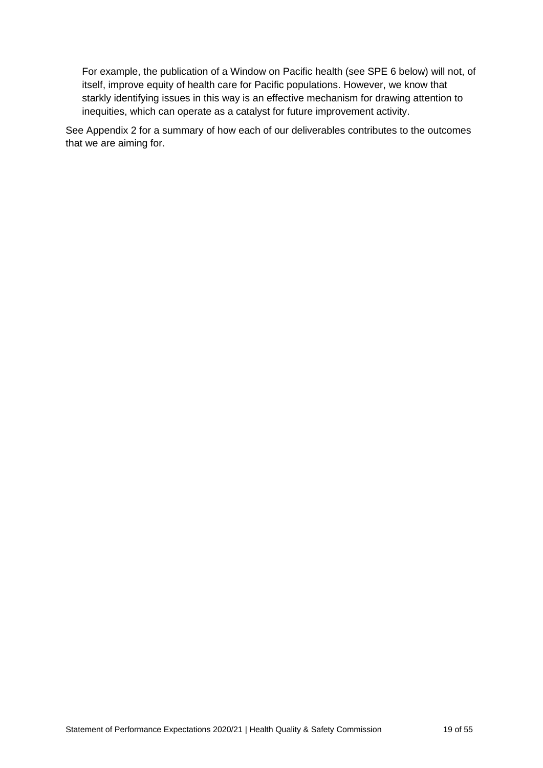For example, the publication of a Window on Pacific health (see SPE 6 below) will not, of itself, improve equity of health care for Pacific populations. However, we know that starkly identifying issues in this way is an effective mechanism for drawing attention to inequities, which can operate as a catalyst for future improvement activity.

See Appendix 2 for a summary of how each of our deliverables contributes to the outcomes that we are aiming for.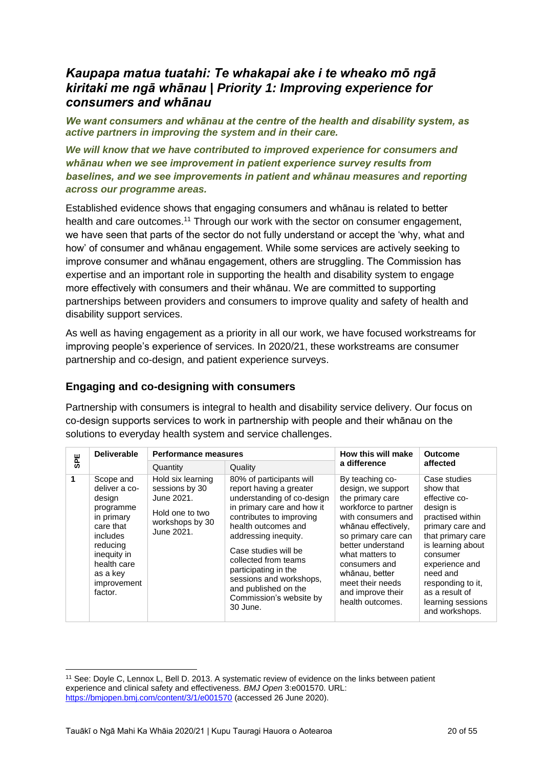## <span id="page-19-0"></span>*Kaupapa matua tuatahi: Te whakapai ake i te wheako mō ngā kiritaki me ngā whānau | Priority 1: Improving experience for consumers and whānau*

*We want consumers and whānau at the centre of the health and disability system, as active partners in improving the system and in their care.*

*We will know that we have contributed to improved experience for consumers and whānau when we see improvement in patient experience survey results from baselines, and we see improvements in patient and whānau measures and reporting across our programme areas.*

Established evidence shows that engaging consumers and whānau is related to better health and care outcomes.<sup>11</sup> Through our work with the sector on consumer engagement, we have seen that parts of the sector do not fully understand or accept the 'why, what and how' of consumer and whānau engagement. While some services are actively seeking to improve consumer and whānau engagement, others are struggling. The Commission has expertise and an important role in supporting the health and disability system to engage more effectively with consumers and their whānau. We are committed to supporting partnerships between providers and consumers to improve quality and safety of health and disability support services.

As well as having engagement as a priority in all our work, we have focused workstreams for improving people's experience of services. In 2020/21, these workstreams are consumer partnership and co-design, and patient experience surveys.

#### <span id="page-19-1"></span>**Engaging and co-designing with consumers**

Partnership with consumers is integral to health and disability service delivery. Our focus on co-design supports services to work in partnership with people and their whānau on the solutions to everyday health system and service challenges.

| <b>SPE</b> | <b>Deliverable</b>                                                                                                                                                       |                                                                                                       | <b>Performance measures</b>                                                                                                                                                                                                                                                                                                                                  |                                                                                                                                                                                                                                                                                               | <b>Outcome</b>                                                                                                                                                                                                                                                    |  |
|------------|--------------------------------------------------------------------------------------------------------------------------------------------------------------------------|-------------------------------------------------------------------------------------------------------|--------------------------------------------------------------------------------------------------------------------------------------------------------------------------------------------------------------------------------------------------------------------------------------------------------------------------------------------------------------|-----------------------------------------------------------------------------------------------------------------------------------------------------------------------------------------------------------------------------------------------------------------------------------------------|-------------------------------------------------------------------------------------------------------------------------------------------------------------------------------------------------------------------------------------------------------------------|--|
|            |                                                                                                                                                                          | Quantity                                                                                              | Quality                                                                                                                                                                                                                                                                                                                                                      | a difference                                                                                                                                                                                                                                                                                  | affected                                                                                                                                                                                                                                                          |  |
| 1          | Scope and<br>deliver a co-<br>design<br>programme<br>in primary<br>care that<br>includes<br>reducing<br>inequity in<br>health care<br>as a key<br>improvement<br>factor. | Hold six learning<br>sessions by 30<br>June 2021.<br>Hold one to two<br>workshops by 30<br>June 2021. | 80% of participants will<br>report having a greater<br>understanding of co-design<br>in primary care and how it<br>contributes to improving<br>health outcomes and<br>addressing inequity.<br>Case studies will be<br>collected from teams<br>participating in the<br>sessions and workshops,<br>and published on the<br>Commission's website by<br>30 June. | By teaching co-<br>design, we support<br>the primary care<br>workforce to partner<br>with consumers and<br>whānau effectively,<br>so primary care can<br>better understand<br>what matters to<br>consumers and<br>whānau, better<br>meet their needs<br>and improve their<br>health outcomes. | Case studies<br>show that<br>effective co-<br>design is<br>practised within<br>primary care and<br>that primary care<br>is learning about<br>consumer<br>experience and<br>need and<br>responding to it.<br>as a result of<br>learning sessions<br>and workshops. |  |

<sup>&</sup>lt;sup>11</sup> See: Doyle C, Lennox L, Bell D. 2013. A systematic review of evidence on the links between patient experience and clinical safety and effectiveness. *BMJ Open* 3:e001570. URL: <https://bmjopen.bmj.com/content/3/1/e001570> (accessed 26 June 2020).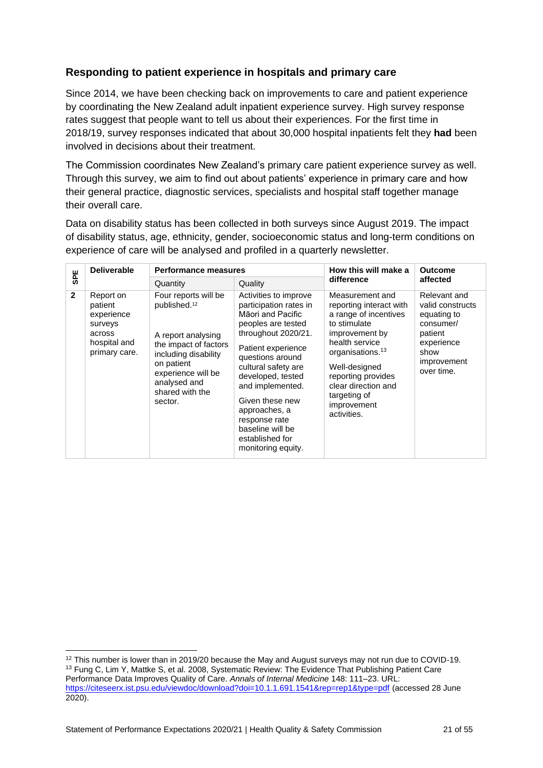### <span id="page-20-0"></span>**Responding to patient experience in hospitals and primary care**

Since 2014, we have been checking back on improvements to care and patient experience by coordinating the New Zealand adult inpatient experience survey. High survey response rates suggest that people want to tell us about their experiences. For the first time in 2018/19, survey responses indicated that about 30,000 hospital inpatients felt they **had** been involved in decisions about their treatment.

The Commission coordinates New Zealand's primary care patient experience survey as well. Through this survey, we aim to find out about patients' experience in primary care and how their general practice, diagnostic services, specialists and hospital staff together manage their overall care.

Data on disability status has been collected in both surveys since August 2019. The impact of disability status, age, ethnicity, gender, socioeconomic status and long-term conditions on experience of care will be analysed and profiled in a quarterly newsletter.

| <b>SPE</b>     | <b>Deliverable</b>                                                                       | <b>Performance measures</b>                                                                                                                                                                               |                                                                                                                                                                                                                                                                                                                                               | How this will make a                                                                                                                                                                                                                                                | <b>Outcome</b>                                                                                                             |
|----------------|------------------------------------------------------------------------------------------|-----------------------------------------------------------------------------------------------------------------------------------------------------------------------------------------------------------|-----------------------------------------------------------------------------------------------------------------------------------------------------------------------------------------------------------------------------------------------------------------------------------------------------------------------------------------------|---------------------------------------------------------------------------------------------------------------------------------------------------------------------------------------------------------------------------------------------------------------------|----------------------------------------------------------------------------------------------------------------------------|
|                |                                                                                          | Quantity                                                                                                                                                                                                  | Quality                                                                                                                                                                                                                                                                                                                                       | difference                                                                                                                                                                                                                                                          | affected                                                                                                                   |
| $\overline{2}$ | Report on<br>patient<br>experience<br>surveys<br>across<br>hospital and<br>primary care. | Four reports will be<br>published. <sup>12</sup><br>A report analysing<br>the impact of factors<br>including disability<br>on patient<br>experience will be<br>analysed and<br>shared with the<br>sector. | Activities to improve<br>participation rates in<br>Māori and Pacific<br>peoples are tested<br>throughout 2020/21.<br>Patient experience<br>questions around<br>cultural safety are<br>developed, tested<br>and implemented.<br>Given these new<br>approaches, a<br>response rate<br>baseline will be<br>established for<br>monitoring equity. | Measurement and<br>reporting interact with<br>a range of incentives<br>to stimulate<br>improvement by<br>health service<br>organisations. <sup>13</sup><br>Well-designed<br>reporting provides<br>clear direction and<br>targeting of<br>improvement<br>activities. | Relevant and<br>valid constructs<br>equating to<br>consumer/<br>patient<br>experience<br>show<br>improvement<br>over time. |

<sup>&</sup>lt;sup>12</sup> This number is lower than in 2019/20 because the May and August surveys may not run due to COVID-19. <sup>13</sup> Fung C, Lim Y, Mattke S, et al. 2008, Systematic Review: The Evidence That Publishing Patient Care Performance Data Improves Quality of Care. *Annals of Internal Medicine* 148: 111–23. URL: <https://citeseerx.ist.psu.edu/viewdoc/download?doi=10.1.1.691.1541&rep=rep1&type=pdf> (accessed 28 June 2020).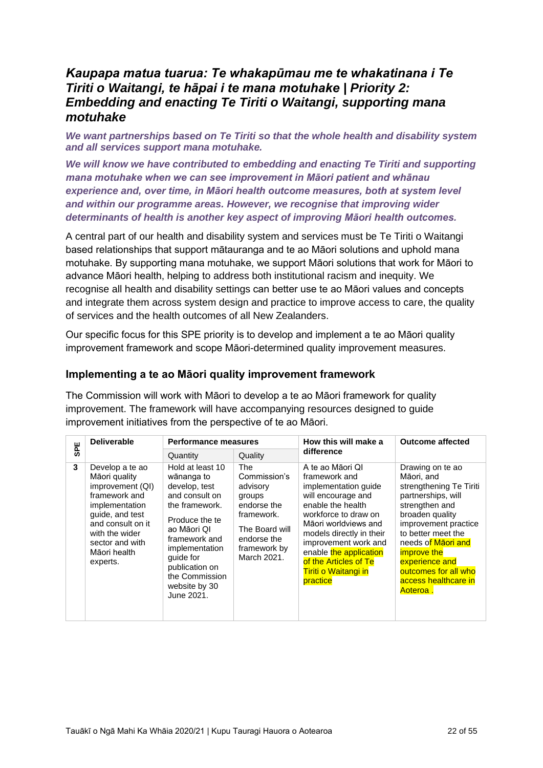## <span id="page-21-0"></span>*Kaupapa matua tuarua: Te whakapūmau me te whakatinana i Te Tiriti o Waitangi, te hāpai i te mana motuhake | Priority 2: Embedding and enacting Te Tiriti o Waitangi, supporting mana motuhake*

*We want partnerships based on Te Tiriti so that the whole health and disability system and all services support mana motuhake.*

*We will know we have contributed to embedding and enacting Te Tiriti and supporting mana motuhake when we can see improvement in Māori patient and whānau experience and, over time, in Māori health outcome measures, both at system level and within our programme areas. However, we recognise that improving wider determinants of health is another key aspect of improving Māori health outcomes.*

A central part of our health and disability system and services must be Te Tiriti o Waitangi based relationships that support mātauranga and te ao Māori solutions and uphold mana motuhake. By supporting mana motuhake, we support Māori solutions that work for Māori to advance Māori health, helping to address both institutional racism and inequity. We recognise all health and disability settings can better use te ao Māori values and concepts and integrate them across system design and practice to improve access to care, the quality of services and the health outcomes of all New Zealanders.

Our specific focus for this SPE priority is to develop and implement a te ao Māori quality improvement framework and scope Māori-determined quality improvement measures.

#### <span id="page-21-1"></span>**Implementing a te ao Māori quality improvement framework**

The Commission will work with Māori to develop a te ao Māori framework for quality improvement. The framework will have accompanying resources designed to guide improvement initiatives from the perspective of te ao Māori.

| <b>SPE</b> | <b>Deliverable</b>                                                                                                                                                                               | Performance measures                                                                                                                                                                                                                    |                                                                                                                                        | How this will make a                                                                                                                                                                                                                                                                                   | <b>Outcome affected</b>                                                                                                                                                                                                                                                                      |
|------------|--------------------------------------------------------------------------------------------------------------------------------------------------------------------------------------------------|-----------------------------------------------------------------------------------------------------------------------------------------------------------------------------------------------------------------------------------------|----------------------------------------------------------------------------------------------------------------------------------------|--------------------------------------------------------------------------------------------------------------------------------------------------------------------------------------------------------------------------------------------------------------------------------------------------------|----------------------------------------------------------------------------------------------------------------------------------------------------------------------------------------------------------------------------------------------------------------------------------------------|
|            |                                                                                                                                                                                                  | Quantity                                                                                                                                                                                                                                | Quality                                                                                                                                | difference                                                                                                                                                                                                                                                                                             |                                                                                                                                                                                                                                                                                              |
| 3          | Develop a te ao<br>Māori quality<br>improvement (QI)<br>framework and<br>implementation<br>guide, and test<br>and consult on it<br>with the wider<br>sector and with<br>Māori health<br>experts. | Hold at least 10<br>wānanga to<br>develop, test<br>and consult on<br>the framework.<br>Produce the te<br>ao Māori QI<br>framework and<br>implementation<br>quide for<br>publication on<br>the Commission<br>website by 30<br>June 2021. | The<br>Commission's<br>advisory<br>groups<br>endorse the<br>framework.<br>The Board will<br>endorse the<br>framework by<br>March 2021. | A te ao Māori QI<br>framework and<br>implementation quide<br>will encourage and<br>enable the health<br>workforce to draw on<br>Māori worldviews and<br>models directly in their<br>improvement work and<br>enable the application<br>of the Articles of Te<br><b>Tiriti o Waitangi in</b><br>practice | Drawing on te ao<br>Māori, and<br>strengthening Te Tiriti<br>partnerships, will<br>strengthen and<br>broaden quality<br>improvement practice<br>to better meet the<br>needs of Maori and<br><i>improve the</i><br>experience and<br>outcomes for all who<br>access healthcare in<br>Aoteroa. |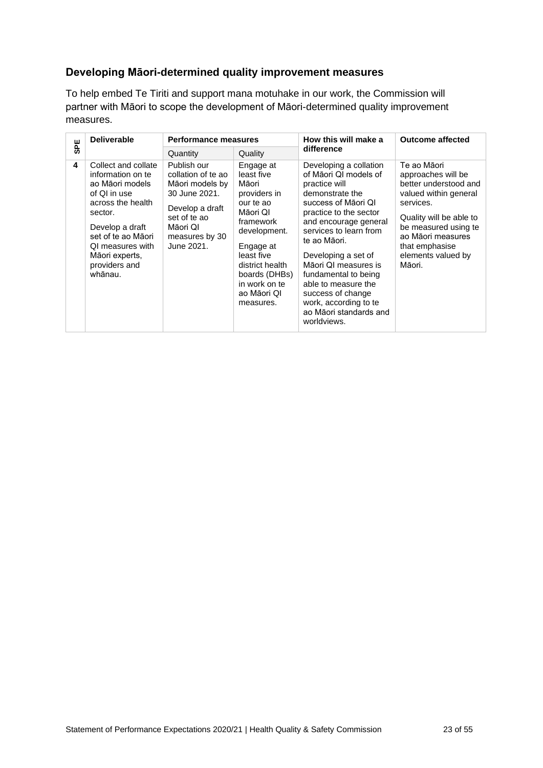### <span id="page-22-0"></span>**Developing Māori-determined quality improvement measures**

To help embed Te Tiriti and support mana motuhake in our work, the Commission will partner with Māori to scope the development of Māori-determined quality improvement measures.

|            | <b>Deliverable</b>                                                                                                                                                                                                     | <b>Performance measures</b>                                                                                                                          |                                                                                                                                                                                                                    | How this will make a                                                                                                                                                                                                                                                                                                                                                                         | <b>Outcome affected</b>                                                                                                                                                                                                    |
|------------|------------------------------------------------------------------------------------------------------------------------------------------------------------------------------------------------------------------------|------------------------------------------------------------------------------------------------------------------------------------------------------|--------------------------------------------------------------------------------------------------------------------------------------------------------------------------------------------------------------------|----------------------------------------------------------------------------------------------------------------------------------------------------------------------------------------------------------------------------------------------------------------------------------------------------------------------------------------------------------------------------------------------|----------------------------------------------------------------------------------------------------------------------------------------------------------------------------------------------------------------------------|
| <b>SPE</b> |                                                                                                                                                                                                                        | Quantity                                                                                                                                             | Quality                                                                                                                                                                                                            | difference                                                                                                                                                                                                                                                                                                                                                                                   |                                                                                                                                                                                                                            |
| 4          | Collect and collate<br>information on te<br>ao Māori models<br>of QI in use<br>across the health<br>sector.<br>Develop a draft<br>set of te ao Māori<br>OI measures with<br>Māori experts,<br>providers and<br>whānau. | Publish our<br>collation of te ao<br>Māori models by<br>30 June 2021.<br>Develop a draft<br>set of te ao<br>Māori QI<br>measures by 30<br>June 2021. | Engage at<br>least five<br>Māori<br>providers in<br>our te ao<br>Māori QI<br>framework<br>development.<br>Engage at<br>least five<br>district health<br>boards (DHBs)<br>in work on te<br>ao Māori QI<br>measures. | Developing a collation<br>of Māori QI models of<br>practice will<br>demonstrate the<br>success of Maori QI<br>practice to the sector<br>and encourage general<br>services to learn from<br>te ao Māori.<br>Developing a set of<br>Māori QI measures is<br>fundamental to being<br>able to measure the<br>success of change<br>work, according to te<br>ao Māori standards and<br>worldviews. | Te ao Māori<br>approaches will be<br>better understood and<br>valued within general<br>services.<br>Quality will be able to<br>be measured using te<br>ao Māori measures<br>that emphasise<br>elements valued by<br>Māori. |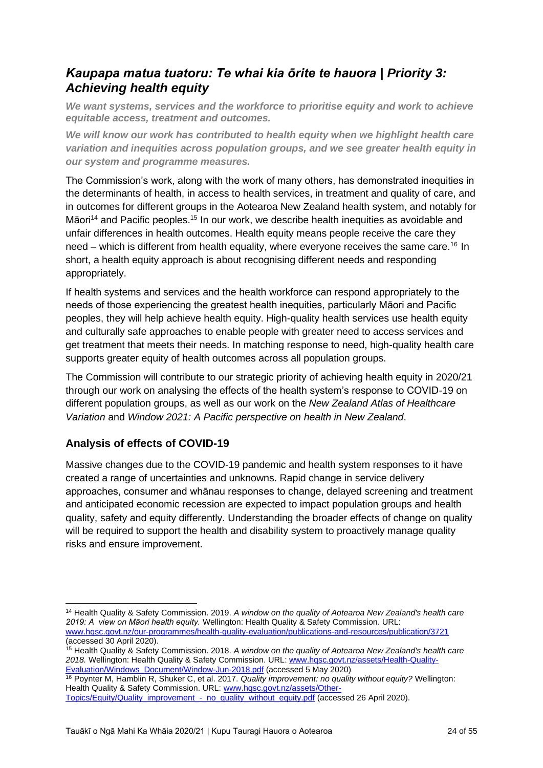## <span id="page-23-0"></span>*Kaupapa matua tuatoru: Te whai kia ōrite te hauora | Priority 3: Achieving health equity*

*We want systems, services and the workforce to prioritise equity and work to achieve equitable access, treatment and outcomes.*

*We will know our work has contributed to health equity when we highlight health care variation and inequities across population groups, and we see greater health equity in our system and programme measures.*

The Commission's work, along with the work of many others, has demonstrated inequities in the determinants of health, in access to health services, in treatment and quality of care, and in outcomes for different groups in the Aotearoa New Zealand health system, and notably for Māori<sup>14</sup> and Pacific peoples.<sup>15</sup> In our work, we describe health inequities as avoidable and unfair differences in health outcomes. Health equity means people receive the care they need – which is different from health equality, where everyone receives the same care.<sup>16</sup> In short, a health equity approach is about recognising different needs and responding appropriately.

If health systems and services and the health workforce can respond appropriately to the needs of those experiencing the greatest health inequities, particularly Māori and Pacific peoples, they will help achieve health equity. High-quality health services use health equity and culturally safe approaches to enable people with greater need to access services and get treatment that meets their needs. In matching response to need, high-quality health care supports greater equity of health outcomes across all population groups.

The Commission will contribute to our strategic priority of achieving health equity in 2020/21 through our work on analysing the effects of the health system's response to COVID-19 on different population groups, as well as our work on the *New Zealand Atlas of Healthcare Variation* and *Window 2021: A Pacific perspective on health in New Zealand*.

### <span id="page-23-1"></span>**Analysis of effects of COVID-19**

Massive changes due to the COVID-19 pandemic and health system responses to it have created a range of uncertainties and unknowns. Rapid change in service delivery approaches, consumer and whānau responses to change, delayed screening and treatment and anticipated economic recession are expected to impact population groups and health quality, safety and equity differently. Understanding the broader effects of change on quality will be required to support the health and disability system to proactively manage quality risks and ensure improvement.

<sup>16</sup> Poynter M, Hamblin R, Shuker C, et al. 2017. *Quality improvement: no quality without equity?* Wellington: Health Quality & Safety Commission. URL: [www.hqsc.govt.nz/assets/Other-](http://www.hqsc.govt.nz/assets/Other-Topics/Equity/Quality_improvement_-_no_quality_without_equity.pdf)

<sup>14</sup> Health Quality & Safety Commission. 2019. *A window on the quality of Aotearoa New Zealand's health care 2019: A view on Māori health equity.* Wellington: Health Quality & Safety Commission. URL: [www.hqsc.govt.nz/our-programmes/health-quality-evaluation/publications-and-resources/publication/3721](http://www.hqsc.govt.nz/our-programmes/health-quality-evaluation/publications-and-resources/publication/3721) (accessed 30 April 2020).

<sup>15</sup> Health Quality & Safety Commission. 2018. *A window on the quality of Aotearoa New Zealand's health care 2018.* Wellington: Health Quality & Safety Commission. URL: [www.hqsc.govt.nz/assets/Health-Quality-](http://www.hqsc.govt.nz/assets/Health-Quality-Evaluation/Windows_Document/Window-Jun-2018.pdf)[Evaluation/Windows\\_Document/Window-Jun-2018.pdf](http://www.hqsc.govt.nz/assets/Health-Quality-Evaluation/Windows_Document/Window-Jun-2018.pdf) (accessed 5 May 2020)

[Topics/Equity/Quality\\_improvement\\_-\\_no\\_quality\\_without\\_equity.pdf](http://www.hqsc.govt.nz/assets/Other-Topics/Equity/Quality_improvement_-_no_quality_without_equity.pdf) (accessed 26 April 2020).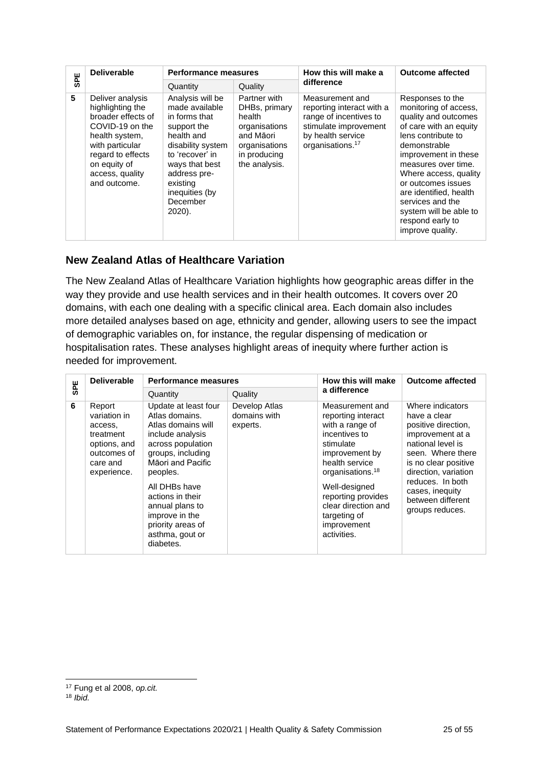| <b>SPE</b> | <b>Deliverable</b>                                                                                                                                                                         | <b>Performance measures</b>                                                                                                                                                                                    |                                                                                                                         | How this will make a                                                                                                                                 | <b>Outcome affected</b>                                                                                                                                                                                                                                                                                                                         |
|------------|--------------------------------------------------------------------------------------------------------------------------------------------------------------------------------------------|----------------------------------------------------------------------------------------------------------------------------------------------------------------------------------------------------------------|-------------------------------------------------------------------------------------------------------------------------|------------------------------------------------------------------------------------------------------------------------------------------------------|-------------------------------------------------------------------------------------------------------------------------------------------------------------------------------------------------------------------------------------------------------------------------------------------------------------------------------------------------|
|            |                                                                                                                                                                                            | Quantity                                                                                                                                                                                                       | Quality                                                                                                                 | difference                                                                                                                                           |                                                                                                                                                                                                                                                                                                                                                 |
| 5          | Deliver analysis<br>highlighting the<br>broader effects of<br>COVID-19 on the<br>health system,<br>with particular<br>regard to effects<br>on equity of<br>access, quality<br>and outcome. | Analysis will be<br>made available<br>in forms that<br>support the<br>health and<br>disability system<br>to 'recover' in<br>ways that best<br>address pre-<br>existing<br>inequities (by<br>December<br>2020). | Partner with<br>DHBs, primary<br>health<br>organisations<br>and Māori<br>organisations<br>in producing<br>the analysis. | Measurement and<br>reporting interact with a<br>range of incentives to<br>stimulate improvement<br>by health service<br>organisations. <sup>17</sup> | Responses to the<br>monitoring of access,<br>quality and outcomes<br>of care with an equity<br>lens contribute to<br>demonstrable<br>improvement in these<br>measures over time.<br>Where access, quality<br>or outcomes issues<br>are identified, health<br>services and the<br>system will be able to<br>respond early to<br>improve quality. |

### <span id="page-24-0"></span>**New Zealand Atlas of Healthcare Variation**

| SPE        |                                                                                                                                                                                                                                                                                                                                                                                                                                                                                                                                                                                                                                                     | Quantity                                                                                                                                                                                                                                                                                   | Quality                                                                                                                 | difference                                                                                                                                                                                                                                                             |                                                                                                                                                                                                                                                                                                                                                 |  |  |  |
|------------|-----------------------------------------------------------------------------------------------------------------------------------------------------------------------------------------------------------------------------------------------------------------------------------------------------------------------------------------------------------------------------------------------------------------------------------------------------------------------------------------------------------------------------------------------------------------------------------------------------------------------------------------------------|--------------------------------------------------------------------------------------------------------------------------------------------------------------------------------------------------------------------------------------------------------------------------------------------|-------------------------------------------------------------------------------------------------------------------------|------------------------------------------------------------------------------------------------------------------------------------------------------------------------------------------------------------------------------------------------------------------------|-------------------------------------------------------------------------------------------------------------------------------------------------------------------------------------------------------------------------------------------------------------------------------------------------------------------------------------------------|--|--|--|
| 5          | Deliver analysis<br>highlighting the<br>broader effects of<br>COVID-19 on the<br>health system,<br>with particular<br>regard to effects<br>on equity of<br>access, quality<br>and outcome.                                                                                                                                                                                                                                                                                                                                                                                                                                                          | Analysis will be<br>made available<br>in forms that<br>support the<br>health and<br>disability system<br>to 'recover' in<br>ways that best<br>address pre-<br>existing<br>inequities (by<br>December<br>2020).                                                                             | Partner with<br>DHBs, primary<br>health<br>organisations<br>and Māori<br>organisations<br>in producing<br>the analysis. | Measurement and<br>reporting interact with a<br>range of incentives to<br>stimulate improvement<br>by health service<br>organisations. <sup>17</sup>                                                                                                                   | Responses to the<br>monitoring of access,<br>quality and outcomes<br>of care with an equity<br>lens contribute to<br>demonstrable<br>improvement in these<br>measures over time.<br>Where access, quality<br>or outcomes issues<br>are identified, health<br>services and the<br>system will be able to<br>respond early to<br>improve quality. |  |  |  |
|            | <b>New Zealand Atlas of Healthcare Variation</b><br>The New Zealand Atlas of Healthcare Variation highlights how geographic areas differ in the<br>way they provide and use health services and in their health outcomes. It covers over 20<br>domains, with each one dealing with a specific clinical area. Each domain also includes<br>more detailed analyses based on age, ethnicity and gender, allowing users to see the impact<br>of demographic variables on, for instance, the regular dispensing of medication or<br>hospitalisation rates. These analyses highlight areas of inequity where further action is<br>needed for improvement. |                                                                                                                                                                                                                                                                                            |                                                                                                                         |                                                                                                                                                                                                                                                                        |                                                                                                                                                                                                                                                                                                                                                 |  |  |  |
| <b>SPE</b> | <b>Deliverable</b>                                                                                                                                                                                                                                                                                                                                                                                                                                                                                                                                                                                                                                  | <b>Performance measures</b>                                                                                                                                                                                                                                                                |                                                                                                                         | How this will make<br>a difference                                                                                                                                                                                                                                     | <b>Outcome affected</b>                                                                                                                                                                                                                                                                                                                         |  |  |  |
|            |                                                                                                                                                                                                                                                                                                                                                                                                                                                                                                                                                                                                                                                     | Quantity                                                                                                                                                                                                                                                                                   | Quality                                                                                                                 |                                                                                                                                                                                                                                                                        |                                                                                                                                                                                                                                                                                                                                                 |  |  |  |
| 6          | Report<br>variation in<br>access,<br>treatment<br>options, and<br>outcomes of<br>care and<br>experience.                                                                                                                                                                                                                                                                                                                                                                                                                                                                                                                                            | Update at least four<br>Atlas domains.<br>Atlas domains will<br>include analysis<br>across population<br>groups, including<br>Māori and Pacific<br>peoples.<br>All DHBs have<br>actions in their<br>annual plans to<br>improve in the<br>priority areas of<br>asthma, gout or<br>diabetes. | Develop Atlas<br>domains with<br>experts.                                                                               | Measurement and<br>reporting interact<br>with a range of<br>incentives to<br>stimulate<br>improvement by<br>health service<br>organisations. <sup>18</sup><br>Well-designed<br>reporting provides<br>clear direction and<br>targeting of<br>improvement<br>activities. | Where indicators<br>have a clear<br>positive direction,<br>improvement at a<br>national level is<br>seen. Where there<br>is no clear positive<br>direction, variation<br>reduces. In both<br>cases, inequity<br>between different<br>groups reduces.                                                                                            |  |  |  |
| $18$ Ibid. | <sup>17</sup> Fung et al 2008, op.cit.                                                                                                                                                                                                                                                                                                                                                                                                                                                                                                                                                                                                              |                                                                                                                                                                                                                                                                                            |                                                                                                                         |                                                                                                                                                                                                                                                                        |                                                                                                                                                                                                                                                                                                                                                 |  |  |  |

<span id="page-24-1"></span><sup>17</sup> Fung et al 2008, *op.cit.*

<sup>18</sup> *Ibid.*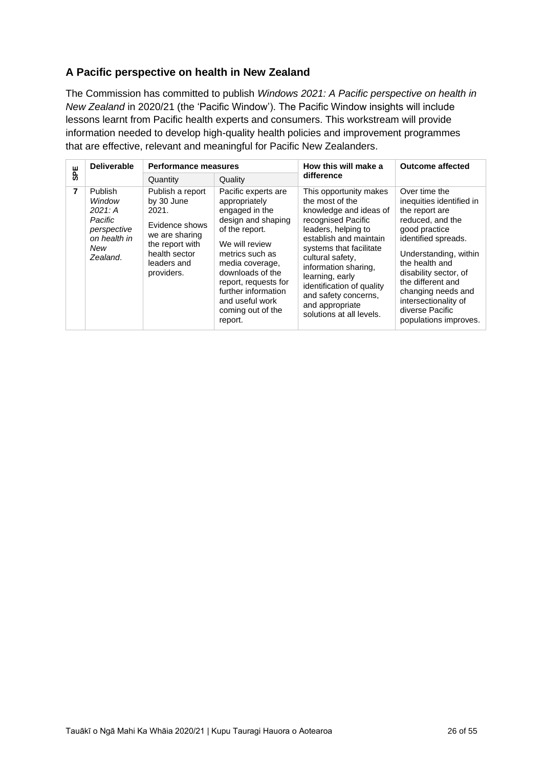### **A Pacific perspective on health in New Zealand**

The Commission has committed to publish *Windows 2021: A Pacific perspective on health in New Zealand* in 2020/21 (the 'Pacific Window'). The Pacific Window insights will include lessons learnt from Pacific health experts and consumers. This workstream will provide information needed to develop high-quality health policies and improvement programmes that are effective, relevant and meaningful for Pacific New Zealanders.

| <b>SPE</b>     | <b>Deliverable</b>                                                                               | <b>Performance measures</b>                                                                                                                  |                                                                                                                                                                                                                                                                              | How this will make a                                                                                                                                                                                                                                                                                                                     | <b>Outcome affected</b>                                                                                                                                                                                                                                                                                    |
|----------------|--------------------------------------------------------------------------------------------------|----------------------------------------------------------------------------------------------------------------------------------------------|------------------------------------------------------------------------------------------------------------------------------------------------------------------------------------------------------------------------------------------------------------------------------|------------------------------------------------------------------------------------------------------------------------------------------------------------------------------------------------------------------------------------------------------------------------------------------------------------------------------------------|------------------------------------------------------------------------------------------------------------------------------------------------------------------------------------------------------------------------------------------------------------------------------------------------------------|
|                |                                                                                                  | Quantity                                                                                                                                     | Quality                                                                                                                                                                                                                                                                      | difference                                                                                                                                                                                                                                                                                                                               |                                                                                                                                                                                                                                                                                                            |
| $\overline{7}$ | <b>Publish</b><br>Window<br>2021: A<br>Pacific<br>perspective<br>on health in<br>New<br>Zealand. | Publish a report<br>by 30 June<br>2021.<br>Evidence shows<br>we are sharing<br>the report with<br>health sector<br>leaders and<br>providers. | Pacific experts are<br>appropriately<br>engaged in the<br>design and shaping<br>of the report.<br>We will review<br>metrics such as<br>media coverage,<br>downloads of the<br>report, requests for<br>further information<br>and useful work<br>coming out of the<br>report. | This opportunity makes<br>the most of the<br>knowledge and ideas of<br>recognised Pacific<br>leaders, helping to<br>establish and maintain<br>systems that facilitate<br>cultural safety,<br>information sharing,<br>learning, early<br>identification of quality<br>and safety concerns,<br>and appropriate<br>solutions at all levels. | Over time the<br>inequities identified in<br>the report are<br>reduced, and the<br>good practice<br>identified spreads.<br>Understanding, within<br>the health and<br>disability sector, of<br>the different and<br>changing needs and<br>intersectionality of<br>diverse Pacific<br>populations improves. |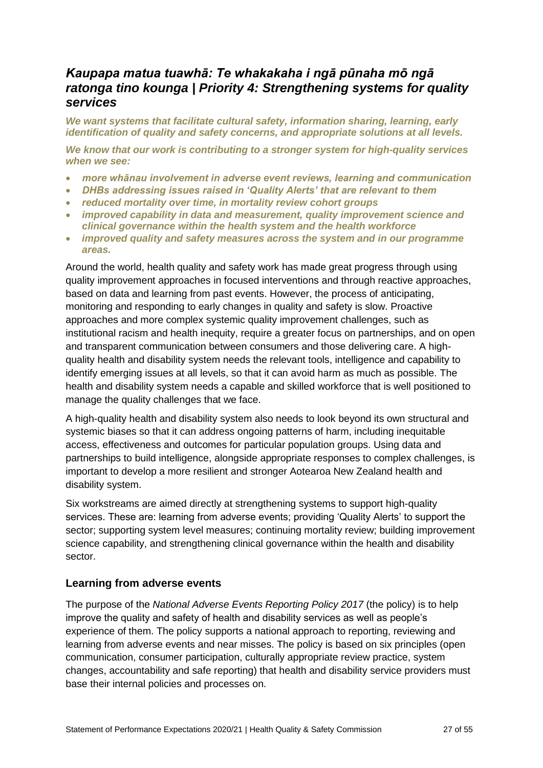## <span id="page-26-0"></span>*Kaupapa matua tuawhā: Te whakakaha i ngā pūnaha mō ngā ratonga tino kounga | Priority 4: Strengthening systems for quality services*

*We want systems that facilitate cultural safety, information sharing, learning, early identification of quality and safety concerns, and appropriate solutions at all levels.*

*We know that our work is contributing to a stronger system for high-quality services when we see:*

- *more whānau involvement in adverse event reviews, learning and communication*
- *DHBs addressing issues raised in 'Quality Alerts' that are relevant to them*
- *reduced mortality over time, in mortality review cohort groups*
- *improved capability in data and measurement, quality improvement science and clinical governance within the health system and the health workforce*
- *improved quality and safety measures across the system and in our programme areas.*

Around the world, health quality and safety work has made great progress through using quality improvement approaches in focused interventions and through reactive approaches, based on data and learning from past events. However, the process of anticipating, monitoring and responding to early changes in quality and safety is slow. Proactive approaches and more complex systemic quality improvement challenges, such as institutional racism and health inequity, require a greater focus on partnerships, and on open and transparent communication between consumers and those delivering care. A highquality health and disability system needs the relevant tools, intelligence and capability to identify emerging issues at all levels, so that it can avoid harm as much as possible. The health and disability system needs a capable and skilled workforce that is well positioned to manage the quality challenges that we face.

A high-quality health and disability system also needs to look beyond its own structural and systemic biases so that it can address ongoing patterns of harm, including inequitable access, effectiveness and outcomes for particular population groups. Using data and partnerships to build intelligence, alongside appropriate responses to complex challenges, is important to develop a more resilient and stronger Aotearoa New Zealand health and disability system.

Six workstreams are aimed directly at strengthening systems to support high-quality services. These are: learning from adverse events; providing 'Quality Alerts' to support the sector; supporting system level measures; continuing mortality review; building improvement science capability, and strengthening clinical governance within the health and disability sector.

#### <span id="page-26-1"></span>**Learning from adverse events**

The purpose of the *National Adverse Events Reporting Policy 2017* (the policy) is to help improve the quality and safety of health and disability services as well as people's experience of them. The policy supports a national approach to reporting, reviewing and learning from adverse events and near misses. The policy is based on six principles (open communication, consumer participation, culturally appropriate review practice, system changes, accountability and safe reporting) that health and disability service providers must base their internal policies and processes on.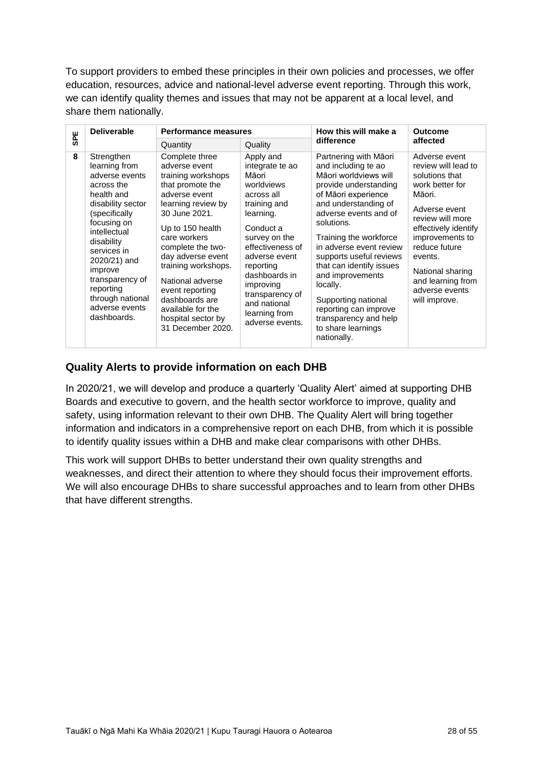To support providers to embed these principles in their own policies and processes, we offer education, resources, advice and national-level adverse event reporting. Through this work, we can identify quality themes and issues that may not be apparent at a local level, and share them nationally.

| <b>SPE</b> | <b>Deliverable</b>                                                                                                                                                                                                                                                                          | <b>Performance measures</b>                                                                                                                                                                                                                                                                                                                                     |                                                                                                                                                                                                                                                                                     | How this will make a                                                                                                                                                                                                                                                                                                                                                                                                                           | <b>Outcome</b>                                                                                                                                                                                                                                                              |
|------------|---------------------------------------------------------------------------------------------------------------------------------------------------------------------------------------------------------------------------------------------------------------------------------------------|-----------------------------------------------------------------------------------------------------------------------------------------------------------------------------------------------------------------------------------------------------------------------------------------------------------------------------------------------------------------|-------------------------------------------------------------------------------------------------------------------------------------------------------------------------------------------------------------------------------------------------------------------------------------|------------------------------------------------------------------------------------------------------------------------------------------------------------------------------------------------------------------------------------------------------------------------------------------------------------------------------------------------------------------------------------------------------------------------------------------------|-----------------------------------------------------------------------------------------------------------------------------------------------------------------------------------------------------------------------------------------------------------------------------|
|            |                                                                                                                                                                                                                                                                                             | Quantity                                                                                                                                                                                                                                                                                                                                                        | Quality                                                                                                                                                                                                                                                                             | difference                                                                                                                                                                                                                                                                                                                                                                                                                                     | affected                                                                                                                                                                                                                                                                    |
| 8          | Strengthen<br>learning from<br>adverse events<br>across the<br>health and<br>disability sector<br>(specifically<br>focusing on<br>intellectual<br>disability<br>services in<br>2020/21) and<br>improve<br>transparency of<br>reporting<br>through national<br>adverse events<br>dashboards. | Complete three<br>adverse event<br>training workshops<br>that promote the<br>adverse event<br>learning review by<br>30 June 2021.<br>Up to 150 health<br>care workers<br>complete the two-<br>day adverse event<br>training workshops.<br>National adverse<br>event reporting<br>dashboards are<br>available for the<br>hospital sector by<br>31 December 2020. | Apply and<br>integrate te ao<br>Māori<br>worldviews<br>across all<br>training and<br>learning.<br>Conduct a<br>survey on the<br>effectiveness of<br>adverse event<br>reporting<br>dashboards in<br>improving<br>transparency of<br>and national<br>learning from<br>adverse events. | Partnering with Māori<br>and including te ao<br>Māori worldviews will<br>provide understanding<br>of Māori experience<br>and understanding of<br>adverse events and of<br>solutions.<br>Training the workforce<br>in adverse event review<br>supports useful reviews<br>that can identify issues<br>and improvements<br>locally.<br>Supporting national<br>reporting can improve<br>transparency and help<br>to share learnings<br>nationally. | Adverse event<br>review will lead to<br>solutions that<br>work better for<br>Māori.<br>Adverse event<br>review will more<br>effectively identify<br>improvements to<br>reduce future<br>events.<br>National sharing<br>and learning from<br>adverse events<br>will improve. |

#### <span id="page-27-0"></span>**Quality Alerts to provide information on each DHB**

In 2020/21, we will develop and produce a quarterly 'Quality Alert' aimed at supporting DHB Boards and executive to govern, and the health sector workforce to improve, quality and safety, using information relevant to their own DHB. The Quality Alert will bring together information and indicators in a comprehensive report on each DHB, from which it is possible to identify quality issues within a DHB and make clear comparisons with other DHBs.

This work will support DHBs to better understand their own quality strengths and weaknesses, and direct their attention to where they should focus their improvement efforts. We will also encourage DHBs to share successful approaches and to learn from other DHBs that have different strengths.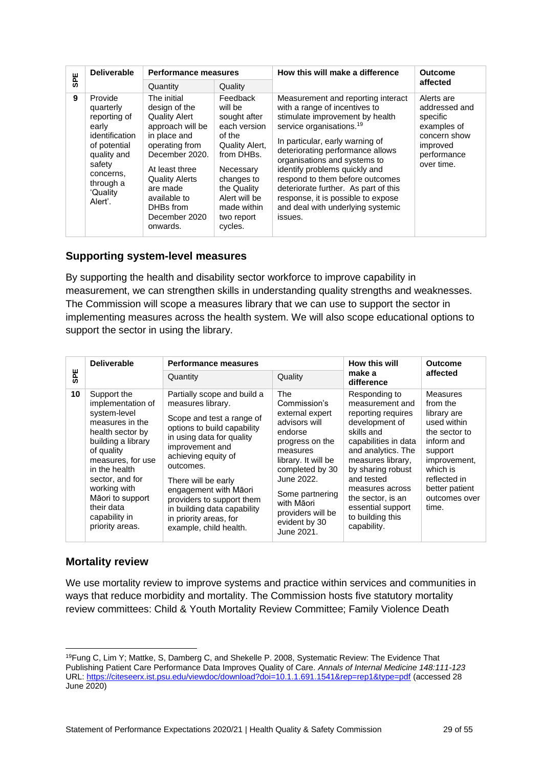| <b>SPE</b> | <b>Deliverable</b>                                                                                                                                        | <b>Performance measures</b>                                                                                                                                                                                                                   |                                                                                                                                                                                                  | How this will make a difference                                                                                                                                                                                                                                                                                                                                                                                                                         | <b>Outcome</b>                                                                                                  |  |
|------------|-----------------------------------------------------------------------------------------------------------------------------------------------------------|-----------------------------------------------------------------------------------------------------------------------------------------------------------------------------------------------------------------------------------------------|--------------------------------------------------------------------------------------------------------------------------------------------------------------------------------------------------|---------------------------------------------------------------------------------------------------------------------------------------------------------------------------------------------------------------------------------------------------------------------------------------------------------------------------------------------------------------------------------------------------------------------------------------------------------|-----------------------------------------------------------------------------------------------------------------|--|
|            |                                                                                                                                                           | Quantity                                                                                                                                                                                                                                      | Quality                                                                                                                                                                                          |                                                                                                                                                                                                                                                                                                                                                                                                                                                         | affected                                                                                                        |  |
| 9          | Provide<br>quarterly<br>reporting of<br>early<br>identification<br>of potential<br>quality and<br>safety<br>concerns.<br>through a<br>'Quality<br>Alert'. | The initial<br>design of the<br><b>Quality Alert</b><br>approach will be<br>in place and<br>operating from<br>December 2020.<br>At least three<br><b>Quality Alerts</b><br>are made<br>available to<br>DHBs from<br>December 2020<br>onwards. | Feedback<br>will be<br>sought after<br>each version<br>of the<br>Quality Alert,<br>from DHBs.<br>Necessary<br>changes to<br>the Quality<br>Alert will be<br>made within<br>two report<br>cycles. | Measurement and reporting interact<br>with a range of incentives to<br>stimulate improvement by health<br>service organisations. <sup>19</sup><br>In particular, early warning of<br>deteriorating performance allows<br>organisations and systems to<br>identify problems quickly and<br>respond to them before outcomes<br>deteriorate further. As part of this<br>response, it is possible to expose<br>and deal with underlying systemic<br>issues. | Alerts are<br>addressed and<br>specific<br>examples of<br>concern show<br>improved<br>performance<br>over time. |  |

#### <span id="page-28-0"></span>**Supporting system-level measures**

| <b>ASPE</b>                                                                                                                                                                                                                                                                      |                                                                                                                                                           |                                                                                                                                                                                                                                                                                                      |                                                                                                                                                                                                                                               |                                                                                                                                                                                                                                                | affected                                                                                                                                                                                                                                                                                                                                                                                                          |                                                                                                                                                                                                                                                                                                                                       |                |  |  |
|----------------------------------------------------------------------------------------------------------------------------------------------------------------------------------------------------------------------------------------------------------------------------------|-----------------------------------------------------------------------------------------------------------------------------------------------------------|------------------------------------------------------------------------------------------------------------------------------------------------------------------------------------------------------------------------------------------------------------------------------------------------------|-----------------------------------------------------------------------------------------------------------------------------------------------------------------------------------------------------------------------------------------------|------------------------------------------------------------------------------------------------------------------------------------------------------------------------------------------------------------------------------------------------|-------------------------------------------------------------------------------------------------------------------------------------------------------------------------------------------------------------------------------------------------------------------------------------------------------------------------------------------------------------------------------------------------------------------|---------------------------------------------------------------------------------------------------------------------------------------------------------------------------------------------------------------------------------------------------------------------------------------------------------------------------------------|----------------|--|--|
|                                                                                                                                                                                                                                                                                  |                                                                                                                                                           |                                                                                                                                                                                                                                                                                                      | Quantity                                                                                                                                                                                                                                      | Quality                                                                                                                                                                                                                                        | Measurement and reporting interact                                                                                                                                                                                                                                                                                                                                                                                |                                                                                                                                                                                                                                                                                                                                       |                |  |  |
| $\boldsymbol{9}$                                                                                                                                                                                                                                                                 | Provide<br>quarterly<br>reporting of<br>early<br>identification<br>of potential<br>quality and<br>safety<br>concerns,<br>through a<br>'Quality<br>Alert'. |                                                                                                                                                                                                                                                                                                      | The initial<br>design of the<br><b>Quality Alert</b><br>approach will be<br>in place and<br>operating from<br>December 2020.<br>At least three<br><b>Quality Alerts</b><br>are made<br>available to<br>DHBs from<br>December 2020<br>onwards. | Feedback<br>will be<br>sought after<br>each version<br>of the<br>Quality Alert,<br>from DHBs.<br>Necessary<br>changes to<br>the Quality<br>Alert will be<br>made within<br>two report<br>cycles.                                               | with a range of incentives to<br>stimulate improvement by health<br>service organisations. <sup>19</sup><br>In particular, early warning of<br>deteriorating performance allows<br>organisations and systems to<br>identify problems quickly and<br>respond to them before outcomes<br>deteriorate further. As part of this<br>response, it is possible to expose<br>and deal with underlying systemic<br>issues. | Alerts are<br>addressed and<br>specific<br>examples of<br>concern show<br>improved<br>performance<br>over time.                                                                                                                                                                                                                       |                |  |  |
|                                                                                                                                                                                                                                                                                  | <b>Supporting system-level measures</b>                                                                                                                   |                                                                                                                                                                                                                                                                                                      |                                                                                                                                                                                                                                               |                                                                                                                                                                                                                                                |                                                                                                                                                                                                                                                                                                                                                                                                                   |                                                                                                                                                                                                                                                                                                                                       |                |  |  |
|                                                                                                                                                                                                                                                                                  |                                                                                                                                                           |                                                                                                                                                                                                                                                                                                      |                                                                                                                                                                                                                                               |                                                                                                                                                                                                                                                |                                                                                                                                                                                                                                                                                                                                                                                                                   | By supporting the health and disability sector workforce to improve capability in                                                                                                                                                                                                                                                     |                |  |  |
|                                                                                                                                                                                                                                                                                  |                                                                                                                                                           |                                                                                                                                                                                                                                                                                                      |                                                                                                                                                                                                                                               |                                                                                                                                                                                                                                                |                                                                                                                                                                                                                                                                                                                                                                                                                   | measurement, we can strengthen skills in understanding quality strengths and weaknesses.                                                                                                                                                                                                                                              |                |  |  |
|                                                                                                                                                                                                                                                                                  |                                                                                                                                                           |                                                                                                                                                                                                                                                                                                      |                                                                                                                                                                                                                                               |                                                                                                                                                                                                                                                |                                                                                                                                                                                                                                                                                                                                                                                                                   | The Commission will scope a measures library that we can use to support the sector in                                                                                                                                                                                                                                                 |                |  |  |
|                                                                                                                                                                                                                                                                                  |                                                                                                                                                           |                                                                                                                                                                                                                                                                                                      |                                                                                                                                                                                                                                               |                                                                                                                                                                                                                                                |                                                                                                                                                                                                                                                                                                                                                                                                                   | implementing measures across the health system. We will also scope educational options to                                                                                                                                                                                                                                             |                |  |  |
|                                                                                                                                                                                                                                                                                  | support the sector in using the library.                                                                                                                  |                                                                                                                                                                                                                                                                                                      |                                                                                                                                                                                                                                               |                                                                                                                                                                                                                                                |                                                                                                                                                                                                                                                                                                                                                                                                                   |                                                                                                                                                                                                                                                                                                                                       |                |  |  |
|                                                                                                                                                                                                                                                                                  |                                                                                                                                                           |                                                                                                                                                                                                                                                                                                      |                                                                                                                                                                                                                                               |                                                                                                                                                                                                                                                |                                                                                                                                                                                                                                                                                                                                                                                                                   |                                                                                                                                                                                                                                                                                                                                       |                |  |  |
|                                                                                                                                                                                                                                                                                  | <b>Deliverable</b>                                                                                                                                        |                                                                                                                                                                                                                                                                                                      | <b>Performance measures</b>                                                                                                                                                                                                                   |                                                                                                                                                                                                                                                |                                                                                                                                                                                                                                                                                                                                                                                                                   | How this will                                                                                                                                                                                                                                                                                                                         | <b>Outcome</b> |  |  |
| <b>SPE</b>                                                                                                                                                                                                                                                                       |                                                                                                                                                           | Quantity                                                                                                                                                                                                                                                                                             |                                                                                                                                                                                                                                               |                                                                                                                                                                                                                                                | Quality                                                                                                                                                                                                                                                                                                                                                                                                           | make a<br>difference                                                                                                                                                                                                                                                                                                                  | affected       |  |  |
| 10<br>Support the<br>implementation of<br>system-level<br>measures in the<br>health sector by<br>building a library<br>of quality<br>measures, for use<br>in the health<br>sector, and for<br>working with<br>Māori to support<br>their data<br>capability in<br>priority areas. |                                                                                                                                                           | measures library.<br>options to build capability<br>in using data for quality<br>improvement and<br>achieving equity of<br>outcomes.<br>There will be early<br>engagement with Māori<br>providers to support them<br>in building data capability<br>in priority areas, for<br>example, child health. | Partially scope and build a<br>Scope and test a range of                                                                                                                                                                                      | The<br>Commission's<br>external expert<br>advisors will<br>endorse<br>progress on the<br>measures<br>library. It will be<br>completed by 30<br>June 2022.<br>Some partnering<br>with Māori<br>providers will be<br>evident by 30<br>June 2021. | Responding to<br>measurement and<br>reporting requires<br>development of<br>skills and<br>capabilities in data<br>and analytics. The<br>measures library,<br>by sharing robust<br>and tested<br>measures across<br>the sector, is an<br>essential support<br>to building this<br>capability.                                                                                                                      | <b>Measures</b><br>from the<br>library are<br>used within<br>the sector to<br>inform and<br>support<br>improvement,<br>which is<br>reflected in<br>better patient<br>outcomes over<br>time.                                                                                                                                           |                |  |  |
|                                                                                                                                                                                                                                                                                  | <b>Mortality review</b>                                                                                                                                   |                                                                                                                                                                                                                                                                                                      |                                                                                                                                                                                                                                               |                                                                                                                                                                                                                                                |                                                                                                                                                                                                                                                                                                                                                                                                                   |                                                                                                                                                                                                                                                                                                                                       |                |  |  |
|                                                                                                                                                                                                                                                                                  |                                                                                                                                                           |                                                                                                                                                                                                                                                                                                      |                                                                                                                                                                                                                                               |                                                                                                                                                                                                                                                |                                                                                                                                                                                                                                                                                                                                                                                                                   | We use mortality review to improve systems and practice within services and communities in                                                                                                                                                                                                                                            |                |  |  |
|                                                                                                                                                                                                                                                                                  |                                                                                                                                                           |                                                                                                                                                                                                                                                                                                      |                                                                                                                                                                                                                                               |                                                                                                                                                                                                                                                |                                                                                                                                                                                                                                                                                                                                                                                                                   | ways that reduce morbidity and mortality. The Commission hosts five statutory mortality                                                                                                                                                                                                                                               |                |  |  |
|                                                                                                                                                                                                                                                                                  |                                                                                                                                                           |                                                                                                                                                                                                                                                                                                      |                                                                                                                                                                                                                                               |                                                                                                                                                                                                                                                |                                                                                                                                                                                                                                                                                                                                                                                                                   | review committees: Child & Youth Mortality Review Committee; Family Violence Death                                                                                                                                                                                                                                                    |                |  |  |
|                                                                                                                                                                                                                                                                                  |                                                                                                                                                           |                                                                                                                                                                                                                                                                                                      |                                                                                                                                                                                                                                               |                                                                                                                                                                                                                                                |                                                                                                                                                                                                                                                                                                                                                                                                                   |                                                                                                                                                                                                                                                                                                                                       |                |  |  |
|                                                                                                                                                                                                                                                                                  |                                                                                                                                                           |                                                                                                                                                                                                                                                                                                      |                                                                                                                                                                                                                                               |                                                                                                                                                                                                                                                |                                                                                                                                                                                                                                                                                                                                                                                                                   |                                                                                                                                                                                                                                                                                                                                       |                |  |  |
|                                                                                                                                                                                                                                                                                  | June 2020)                                                                                                                                                |                                                                                                                                                                                                                                                                                                      |                                                                                                                                                                                                                                               |                                                                                                                                                                                                                                                |                                                                                                                                                                                                                                                                                                                                                                                                                   | <sup>19</sup> Fung C, Lim Y; Mattke, S, Damberg C, and Shekelle P. 2008, Systematic Review: The Evidence That<br>Publishing Patient Care Performance Data Improves Quality of Care. Annals of Internal Medicine 148:111-123<br>URL: https://citeseerx.ist.psu.edu/viewdoc/download?doi=10.1.1.691.1541&rep=rep1&type=pdf (accessed 28 |                |  |  |
|                                                                                                                                                                                                                                                                                  | Statement of Performance Expectations 2020/21   Health Quality & Safety Commission<br>29 of 55                                                            |                                                                                                                                                                                                                                                                                                      |                                                                                                                                                                                                                                               |                                                                                                                                                                                                                                                |                                                                                                                                                                                                                                                                                                                                                                                                                   |                                                                                                                                                                                                                                                                                                                                       |                |  |  |

### <span id="page-28-1"></span>**Mortality review**

<sup>19</sup>Fung C, Lim Y; Mattke, S, Damberg C, and Shekelle P. 2008, Systematic Review: The Evidence That Publishing Patient Care Performance Data Improves Quality of Care. *Annals of Internal Medicine 148:111-123* URL:<https://citeseerx.ist.psu.edu/viewdoc/download?doi=10.1.1.691.1541&rep=rep1&type=pdf> (accessed 28 June 2020)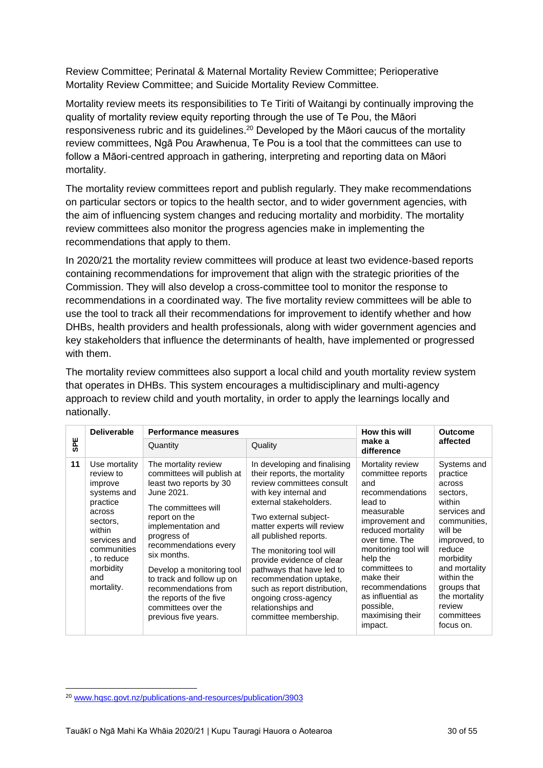Review Committee; Perinatal & Maternal Mortality Review Committee; Perioperative Mortality Review Committee; and Suicide Mortality Review Committee.

Mortality review meets its responsibilities to Te Tiriti of Waitangi by continually improving the quality of mortality review equity reporting through the use of Te Pou, the Māori responsiveness rubric and its guidelines.<sup>20</sup> Developed by the Māori caucus of the mortality review committees, Ngā Pou Arawhenua, Te Pou is a tool that the committees can use to follow a Māori-centred approach in gathering, interpreting and reporting data on Māori mortality.

The mortality review committees report and publish regularly. They make recommendations on particular sectors or topics to the health sector, and to wider government agencies, with the aim of influencing system changes and reducing mortality and morbidity. The mortality review committees also monitor the progress agencies make in implementing the recommendations that apply to them.

In 2020/21 the mortality review committees will produce at least two evidence-based reports containing recommendations for improvement that align with the strategic priorities of the Commission. They will also develop a cross-committee tool to monitor the response to recommendations in a coordinated way. The five mortality review committees will be able to use the tool to track all their recommendations for improvement to identify whether and how DHBs, health providers and health professionals, along with wider government agencies and key stakeholders that influence the determinants of health, have implemented or progressed with them.

The mortality review committees also support a local child and youth mortality review system that operates in DHBs. This system encourages a multidisciplinary and multi-agency approach to review child and youth mortality, in order to apply the learnings locally and nationally.

|            | <b>Deliverable</b>                                                                                                                                                             | <b>Performance measures</b>                                                                                                                                                                                                                                                                                                                                                  |                                                                                                                                                                                                                                                                                                                                                                                                                                                     | How this will                                                                                                                                                                                                                                                                                             | <b>Outcome</b>                                                                                                                                                                                                                                |
|------------|--------------------------------------------------------------------------------------------------------------------------------------------------------------------------------|------------------------------------------------------------------------------------------------------------------------------------------------------------------------------------------------------------------------------------------------------------------------------------------------------------------------------------------------------------------------------|-----------------------------------------------------------------------------------------------------------------------------------------------------------------------------------------------------------------------------------------------------------------------------------------------------------------------------------------------------------------------------------------------------------------------------------------------------|-----------------------------------------------------------------------------------------------------------------------------------------------------------------------------------------------------------------------------------------------------------------------------------------------------------|-----------------------------------------------------------------------------------------------------------------------------------------------------------------------------------------------------------------------------------------------|
| <b>SPE</b> |                                                                                                                                                                                | Quantity                                                                                                                                                                                                                                                                                                                                                                     | Quality                                                                                                                                                                                                                                                                                                                                                                                                                                             | make a<br>difference                                                                                                                                                                                                                                                                                      | affected                                                                                                                                                                                                                                      |
| 11         | Use mortality<br>review to<br>improve<br>systems and<br>practice<br>across<br>sectors.<br>within<br>services and<br>communities<br>to reduce<br>morbidity<br>and<br>mortality. | The mortality review<br>committees will publish at<br>least two reports by 30<br>June 2021.<br>The committees will<br>report on the<br>implementation and<br>progress of<br>recommendations every<br>six months.<br>Develop a monitoring tool<br>to track and follow up on<br>recommendations from<br>the reports of the five<br>committees over the<br>previous five years. | In developing and finalising<br>their reports, the mortality<br>review committees consult<br>with key internal and<br>external stakeholders.<br>Two external subject-<br>matter experts will review<br>all published reports.<br>The monitoring tool will<br>provide evidence of clear<br>pathways that have led to<br>recommendation uptake,<br>such as report distribution,<br>ongoing cross-agency<br>relationships and<br>committee membership. | Mortality review<br>committee reports<br>and<br>recommendations<br>lead to<br>measurable<br>improvement and<br>reduced mortality<br>over time. The<br>monitoring tool will<br>help the<br>committees to<br>make their<br>recommendations<br>as influential as<br>possible,<br>maximising their<br>impact. | Systems and<br>practice<br>across<br>sectors,<br>within<br>services and<br>communities,<br>will be<br>improved, to<br>reduce<br>morbidity<br>and mortality<br>within the<br>groups that<br>the mortality<br>review<br>committees<br>focus on. |

<sup>20</sup> [www.hqsc.govt.nz/publications-and-resources/publication/3903](http://www.hqsc.govt.nz/publications-and-resources/publication/3903/)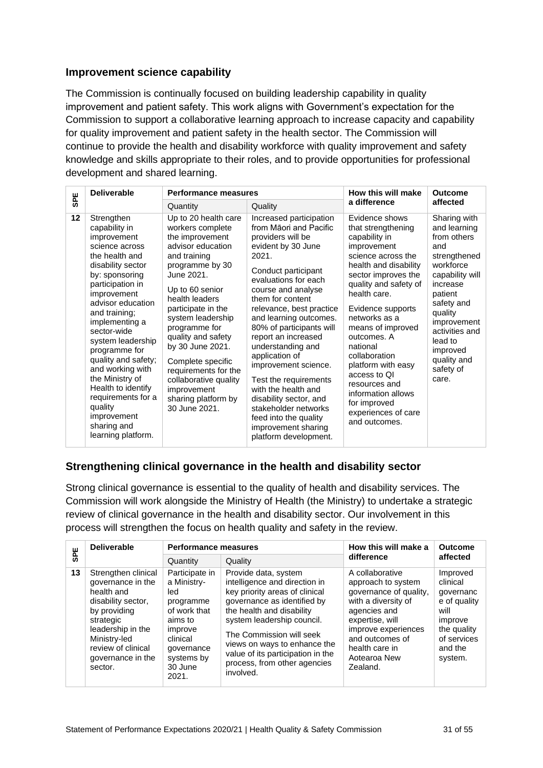#### <span id="page-30-0"></span>**Improvement science capability**

The Commission is continually focused on building leadership capability in quality improvement and patient safety. This work aligns with Government's expectation for the Commission to support a collaborative learning approach to increase capacity and capability for quality improvement and patient safety in the health sector. The Commission will continue to provide the health and disability workforce with quality improvement and safety knowledge and skills appropriate to their roles, and to provide opportunities for professional development and shared learning.

| <b>SPE</b> | <b>Deliverable</b>                                                                                                                                                                                                                                                                                                                                                                                                                             | <b>Performance measures</b>                                                                                                                                                                                                                                                                                                                                                                               |                                                                                                                                                                                                                                                                                                                                                                                                                                                                                                                                                   | How this will make                                                                                                                                                                                                                                                                                                                                                                                                              | <b>Outcome</b>                                                                                                                                                                                                                                  |
|------------|------------------------------------------------------------------------------------------------------------------------------------------------------------------------------------------------------------------------------------------------------------------------------------------------------------------------------------------------------------------------------------------------------------------------------------------------|-----------------------------------------------------------------------------------------------------------------------------------------------------------------------------------------------------------------------------------------------------------------------------------------------------------------------------------------------------------------------------------------------------------|---------------------------------------------------------------------------------------------------------------------------------------------------------------------------------------------------------------------------------------------------------------------------------------------------------------------------------------------------------------------------------------------------------------------------------------------------------------------------------------------------------------------------------------------------|---------------------------------------------------------------------------------------------------------------------------------------------------------------------------------------------------------------------------------------------------------------------------------------------------------------------------------------------------------------------------------------------------------------------------------|-------------------------------------------------------------------------------------------------------------------------------------------------------------------------------------------------------------------------------------------------|
|            |                                                                                                                                                                                                                                                                                                                                                                                                                                                | Quantity                                                                                                                                                                                                                                                                                                                                                                                                  | Quality                                                                                                                                                                                                                                                                                                                                                                                                                                                                                                                                           | a difference                                                                                                                                                                                                                                                                                                                                                                                                                    | affected                                                                                                                                                                                                                                        |
| 12         | Strengthen<br>capability in<br>improvement<br>science across<br>the health and<br>disability sector<br>by: sponsoring<br>participation in<br>improvement<br>advisor education<br>and training;<br>implementing a<br>sector-wide<br>system leadership<br>programme for<br>quality and safety;<br>and working with<br>the Ministry of<br>Health to identify<br>requirements for a<br>quality<br>improvement<br>sharing and<br>learning platform. | Up to 20 health care<br>workers complete<br>the improvement<br>advisor education<br>and training<br>programme by 30<br>June 2021.<br>Up to 60 senior<br>health leaders<br>participate in the<br>system leadership<br>programme for<br>quality and safety<br>by 30 June 2021.<br>Complete specific<br>requirements for the<br>collaborative quality<br>improvement<br>sharing platform by<br>30 June 2021. | Increased participation<br>from Māori and Pacific<br>providers will be<br>evident by 30 June<br>2021.<br>Conduct participant<br>evaluations for each<br>course and analyse<br>them for content<br>relevance, best practice<br>and learning outcomes.<br>80% of participants will<br>report an increased<br>understanding and<br>application of<br>improvement science.<br>Test the requirements<br>with the health and<br>disability sector, and<br>stakeholder networks<br>feed into the quality<br>improvement sharing<br>platform development. | Evidence shows<br>that strengthening<br>capability in<br>improvement<br>science across the<br>health and disability<br>sector improves the<br>quality and safety of<br>health care.<br>Evidence supports<br>networks as a<br>means of improved<br>outcomes. A<br>national<br>collaboration<br>platform with easy<br>access to QI<br>resources and<br>information allows<br>for improved<br>experiences of care<br>and outcomes. | Sharing with<br>and learning<br>from others<br>and<br>strengthened<br>workforce<br>capability will<br>increase<br>patient<br>safety and<br>quality<br>improvement<br>activities and<br>lead to<br>improved<br>quality and<br>safety of<br>care. |

### <span id="page-30-1"></span>**Strengthening clinical governance in the health and disability sector**

Strong clinical governance is essential to the quality of health and disability services. The Commission will work alongside the Ministry of Health (the Ministry) to undertake a strategic review of clinical governance in the health and disability sector. Our involvement in this process will strengthen the focus on health quality and safety in the review.

| <b>SPE</b> |    | <b>Deliverable</b>                                                                                                                                                                                   | <b>Performance measures</b>                                                                                                                         |                                                                                                                                                                                                                                                                                                                                 | How this will make a                                                                                                                                                                                              | <b>Outcome</b>                                                                                                           |
|------------|----|------------------------------------------------------------------------------------------------------------------------------------------------------------------------------------------------------|-----------------------------------------------------------------------------------------------------------------------------------------------------|---------------------------------------------------------------------------------------------------------------------------------------------------------------------------------------------------------------------------------------------------------------------------------------------------------------------------------|-------------------------------------------------------------------------------------------------------------------------------------------------------------------------------------------------------------------|--------------------------------------------------------------------------------------------------------------------------|
|            |    |                                                                                                                                                                                                      | Quantity                                                                                                                                            | Quality                                                                                                                                                                                                                                                                                                                         | difference                                                                                                                                                                                                        | affected                                                                                                                 |
|            | 13 | Strengthen clinical<br>governance in the<br>health and<br>disability sector,<br>by providing<br>strategic<br>leadership in the<br>Ministry-led<br>review of clinical<br>governance in the<br>sector. | Participate in<br>a Ministry-<br>led<br>programme<br>of work that<br>aims to<br>improve<br>clinical<br>governance<br>systems by<br>30 June<br>2021. | Provide data, system<br>intelligence and direction in<br>key priority areas of clinical<br>governance as identified by<br>the health and disability<br>system leadership council.<br>The Commission will seek<br>views on ways to enhance the<br>value of its participation in the<br>process, from other agencies<br>involved. | A collaborative<br>approach to system<br>governance of quality,<br>with a diversity of<br>agencies and<br>expertise, will<br>improve experiences<br>and outcomes of<br>health care in<br>Aotearoa New<br>Zealand. | Improved<br>clinical<br>qovernanc<br>e of quality<br>will<br>improve<br>the quality<br>of services<br>and the<br>system. |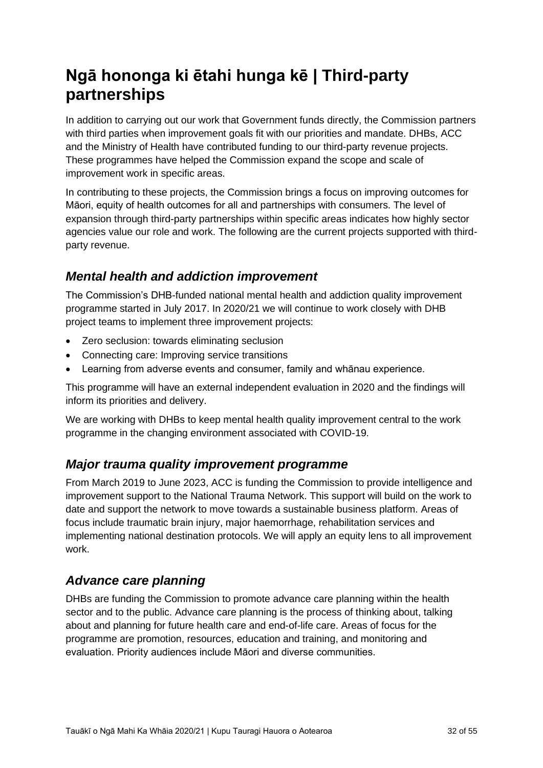# <span id="page-31-0"></span>**Ngā hononga ki ētahi hunga kē | Third-party partnerships**

In addition to carrying out our work that Government funds directly, the Commission partners with third parties when improvement goals fit with our priorities and mandate. DHBs, ACC and the Ministry of Health have contributed funding to our third-party revenue projects. These programmes have helped the Commission expand the scope and scale of improvement work in specific areas.

In contributing to these projects, the Commission brings a focus on improving outcomes for Māori, equity of health outcomes for all and partnerships with consumers. The level of expansion through third-party partnerships within specific areas indicates how highly sector agencies value our role and work. The following are the current projects supported with thirdparty revenue.

## <span id="page-31-1"></span>*Mental health and addiction improvement*

The Commission's DHB-funded national mental health and addiction quality improvement programme started in July 2017. In 2020/21 we will continue to work closely with DHB project teams to implement three improvement projects:

- Zero seclusion: towards eliminating seclusion
- Connecting care: Improving service transitions
- Learning from adverse events and consumer, family and whānau experience.

This programme will have an external independent evaluation in 2020 and the findings will inform its priorities and delivery.

We are working with DHBs to keep mental health quality improvement central to the work programme in the changing environment associated with COVID-19.

### <span id="page-31-2"></span>*Major trauma quality improvement programme*

From March 2019 to June 2023, ACC is funding the Commission to provide intelligence and improvement support to the National Trauma Network. This support will build on the work to date and support the network to move towards a sustainable business platform. Areas of focus include traumatic brain injury, major haemorrhage, rehabilitation services and implementing national destination protocols. We will apply an equity lens to all improvement work.

## <span id="page-31-3"></span>*Advance care planning*

DHBs are funding the Commission to promote advance care planning within the health sector and to the public. Advance care planning is the process of thinking about, talking about and planning for future health care and end-of-life care. Areas of focus for the programme are promotion, resources, education and training, and monitoring and evaluation. Priority audiences include Māori and diverse communities.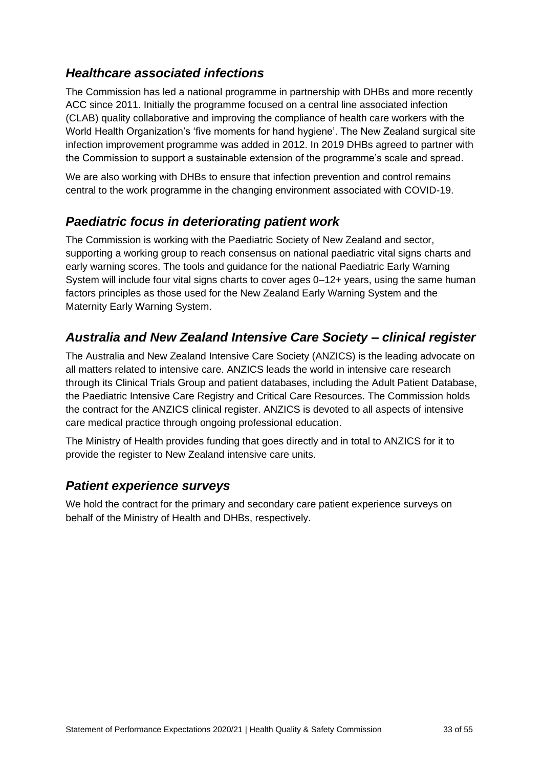## <span id="page-32-0"></span>*Healthcare associated infections*

The Commission has led a national programme in partnership with DHBs and more recently ACC since 2011. Initially the programme focused on a central line associated infection (CLAB) quality collaborative and improving the compliance of health care workers with the World Health Organization's 'five moments for hand hygiene'. The New Zealand surgical site infection improvement programme was added in 2012. In 2019 DHBs agreed to partner with the Commission to support a sustainable extension of the programme's scale and spread.

We are also working with DHBs to ensure that infection prevention and control remains central to the work programme in the changing environment associated with COVID-19.

## <span id="page-32-1"></span>*Paediatric focus in deteriorating patient work*

The Commission is working with the Paediatric Society of New Zealand and sector, supporting a working group to reach consensus on national paediatric vital signs charts and early warning scores. The tools and guidance for the national Paediatric Early Warning System will include four vital signs charts to cover ages 0–12+ years, using the same human factors principles as those used for the New Zealand Early Warning System and the Maternity Early Warning System.

## <span id="page-32-2"></span>*Australia and New Zealand Intensive Care Society – clinical register*

The Australia and New Zealand Intensive Care Society (ANZICS) is the leading advocate on all matters related to intensive care. ANZICS leads the world in intensive care research through its Clinical Trials Group and patient databases, including the Adult Patient Database, the Paediatric Intensive Care Registry and Critical Care Resources. The Commission holds the contract for the ANZICS clinical register. ANZICS is devoted to all aspects of intensive care medical practice through ongoing professional education.

The Ministry of Health provides funding that goes directly and in total to ANZICS for it to provide the register to New Zealand intensive care units.

### <span id="page-32-3"></span>*Patient experience surveys*

We hold the contract for the primary and secondary care patient experience surveys on behalf of the Ministry of Health and DHBs, respectively.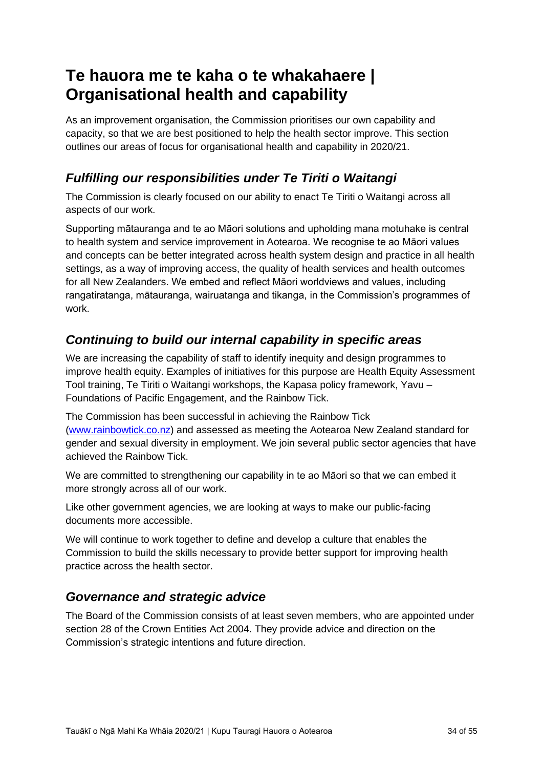# <span id="page-33-0"></span>**Te hauora me te kaha o te whakahaere | Organisational health and capability**

As an improvement organisation, the Commission prioritises our own capability and capacity, so that we are best positioned to help the health sector improve. This section outlines our areas of focus for organisational health and capability in 2020/21.

## <span id="page-33-1"></span>*Fulfilling our responsibilities under Te Tiriti o Waitangi*

The Commission is clearly focused on our ability to enact Te Tiriti o Waitangi across all aspects of our work.

Supporting mātauranga and te ao Māori solutions and upholding mana motuhake is central to health system and service improvement in Aotearoa. We recognise te ao Māori values and concepts can be better integrated across health system design and practice in all health settings, as a way of improving access, the quality of health services and health outcomes for all New Zealanders. We embed and reflect Māori worldviews and values, including rangatiratanga, mātauranga, wairuatanga and tikanga, in the Commission's programmes of work.

## <span id="page-33-2"></span>*Continuing to build our internal capability in specific areas*

We are increasing the capability of staff to identify inequity and design programmes to improve health equity. Examples of initiatives for this purpose are Health Equity Assessment Tool training, Te Tiriti o Waitangi workshops, the Kapasa policy framework, Yavu – Foundations of Pacific Engagement, and the Rainbow Tick.

The Commission has been successful in achieving the Rainbow Tick [\(www.rainbowtick.co.nz\)](http://www.rainbowtick.co.nz/) and assessed as meeting the Aotearoa New Zealand standard for gender and sexual diversity in employment. We join several public sector agencies that have achieved the Rainbow Tick.

We are committed to strengthening our capability in te ao Māori so that we can embed it more strongly across all of our work.

Like other government agencies, we are looking at ways to make our public-facing documents more accessible.

We will continue to work together to define and develop a culture that enables the Commission to build the skills necessary to provide better support for improving health practice across the health sector.

### <span id="page-33-3"></span>*Governance and strategic advice*

The Board of the Commission consists of at least seven members, who are appointed under section 28 of the Crown Entities Act 2004. They provide advice and direction on the Commission's strategic intentions and future direction.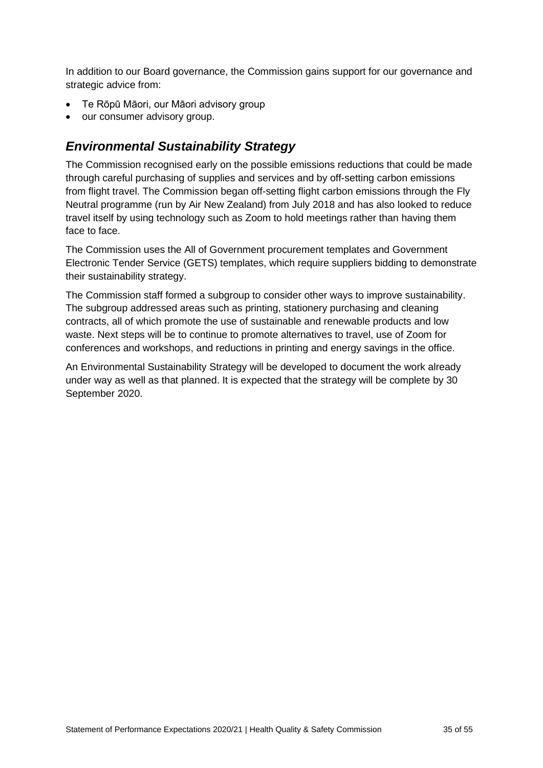In addition to our Board governance, the Commission gains support for our governance and strategic advice from:

- Te Rōpū Māori, our Māori advisory group
- our consumer advisory group.

## <span id="page-34-0"></span>*Environmental Sustainability Strategy*

The Commission recognised early on the possible emissions reductions that could be made through careful purchasing of supplies and services and by off-setting carbon emissions from flight travel. The Commission began off-setting flight carbon emissions through the Fly Neutral programme (run by Air New Zealand) from July 2018 and has also looked to reduce travel itself by using technology such as Zoom to hold meetings rather than having them face to face.

The Commission uses the All of Government procurement templates and Government Electronic Tender Service (GETS) templates, which require suppliers bidding to demonstrate their sustainability strategy.

The Commission staff formed a subgroup to consider other ways to improve sustainability. The subgroup addressed areas such as printing, stationery purchasing and cleaning contracts, all of which promote the use of sustainable and renewable products and low waste. Next steps will be to continue to promote alternatives to travel, use of Zoom for conferences and workshops, and reductions in printing and energy savings in the office.

An Environmental Sustainability Strategy will be developed to document the work already under way as well as that planned. It is expected that the strategy will be complete by 30 September 2020.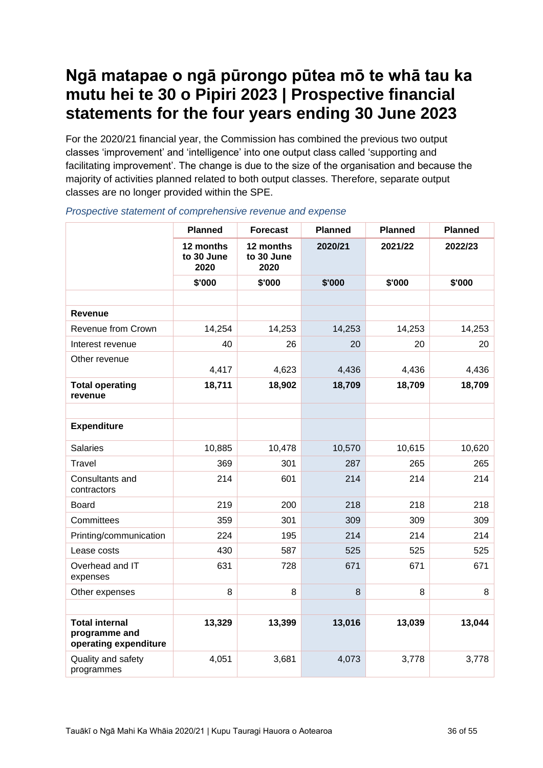## <span id="page-35-0"></span>**Ngā matapae o ngā pūrongo pūtea mō te whā tau ka mutu hei te 30 o Pipiri 2023 | Prospective financial statements for the four years ending 30 June 2023**

For the 2020/21 financial year, the Commission has combined the previous two output classes 'improvement' and 'intelligence' into one output class called 'supporting and facilitating improvement'. The change is due to the size of the organisation and because the majority of activities planned related to both output classes. Therefore, separate output classes are no longer provided within the SPE.

|                                                                 | <b>Planned</b>                  | <b>Forecast</b>                 | <b>Planned</b> | <b>Planned</b> | <b>Planned</b> |
|-----------------------------------------------------------------|---------------------------------|---------------------------------|----------------|----------------|----------------|
|                                                                 | 12 months<br>to 30 June<br>2020 | 12 months<br>to 30 June<br>2020 | 2020/21        | 2021/22        | 2022/23        |
|                                                                 | \$'000                          | \$'000                          | \$'000         | \$'000         | \$'000         |
|                                                                 |                                 |                                 |                |                |                |
| <b>Revenue</b>                                                  |                                 |                                 |                |                |                |
| Revenue from Crown                                              | 14,254                          | 14,253                          | 14,253         | 14,253         | 14,253         |
| Interest revenue                                                | 40                              | 26                              | 20             | 20             | 20             |
| Other revenue                                                   | 4,417                           | 4,623                           | 4,436          | 4,436          | 4,436          |
| <b>Total operating</b><br>revenue                               | 18,711                          | 18,902                          | 18,709         | 18,709         | 18,709         |
|                                                                 |                                 |                                 |                |                |                |
| <b>Expenditure</b>                                              |                                 |                                 |                |                |                |
| <b>Salaries</b>                                                 | 10,885                          | 10,478                          | 10,570         | 10,615         | 10,620         |
| Travel                                                          | 369                             | 301                             | 287            | 265            | 265            |
| Consultants and<br>contractors                                  | 214                             | 601                             | 214            | 214            | 214            |
| <b>Board</b>                                                    | 219                             | 200                             | 218            | 218            | 218            |
| Committees                                                      | 359                             | 301                             | 309            | 309            | 309            |
| Printing/communication                                          | 224                             | 195                             | 214            | 214            | 214            |
| Lease costs                                                     | 430                             | 587                             | 525            | 525            | 525            |
| Overhead and IT<br>expenses                                     | 631                             | 728                             | 671            | 671            | 671            |
| Other expenses                                                  | 8                               | 8                               | 8              | 8              | 8              |
|                                                                 |                                 |                                 |                |                |                |
| <b>Total internal</b><br>programme and<br>operating expenditure | 13,329                          | 13,399                          | 13,016         | 13,039         | 13,044         |
| Quality and safety<br>programmes                                | 4,051                           | 3,681                           | 4,073          | 3,778          | 3,778          |

*Prospective statement of comprehensive revenue and expense*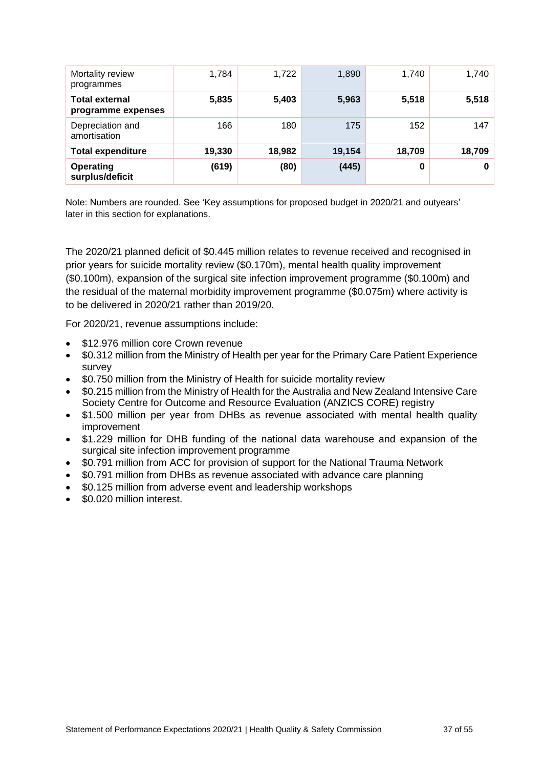| Mortality review<br>programmes              | 1,784  | 1,722  | 1,890  | 1,740  | 1,740  |
|---------------------------------------------|--------|--------|--------|--------|--------|
| <b>Total external</b><br>programme expenses | 5,835  | 5,403  | 5,963  | 5,518  | 5,518  |
| Depreciation and<br>amortisation            | 166    | 180    | 175    | 152    | 147    |
| <b>Total expenditure</b>                    | 19,330 | 18,982 | 19,154 | 18,709 | 18,709 |
| <b>Operating</b><br>surplus/deficit         | (619)  | (80)   | (445)  | 0      | 0      |

Note: Numbers are rounded. See 'Key assumptions for [proposed budget in 2020/21 and outyears'](#page-40-1) later in this section for explanations.

The 2020/21 planned deficit of \$0.445 million relates to revenue received and recognised in prior years for suicide mortality review (\$0.170m), mental health quality improvement (\$0.100m), expansion of the surgical site infection improvement programme (\$0.100m) and the residual of the maternal morbidity improvement programme (\$0.075m) where activity is to be delivered in 2020/21 rather than 2019/20.

For 2020/21, revenue assumptions include:

- \$12.976 million core Crown revenue
- \$0.312 million from the Ministry of Health per year for the Primary Care Patient Experience survey
- \$0.750 million from the Ministry of Health for suicide mortality review
- \$0.215 million from the Ministry of Health for the Australia and New Zealand Intensive Care Society Centre for Outcome and Resource Evaluation (ANZICS CORE) registry
- \$1.500 million per year from DHBs as revenue associated with mental health quality improvement
- \$1.229 million for DHB funding of the national data warehouse and expansion of the surgical site infection improvement programme
- \$0.791 million from ACC for provision of support for the National Trauma Network
- \$0.791 million from DHBs as revenue associated with advance care planning
- \$0.125 million from adverse event and leadership workshops
- \$0.020 million interest.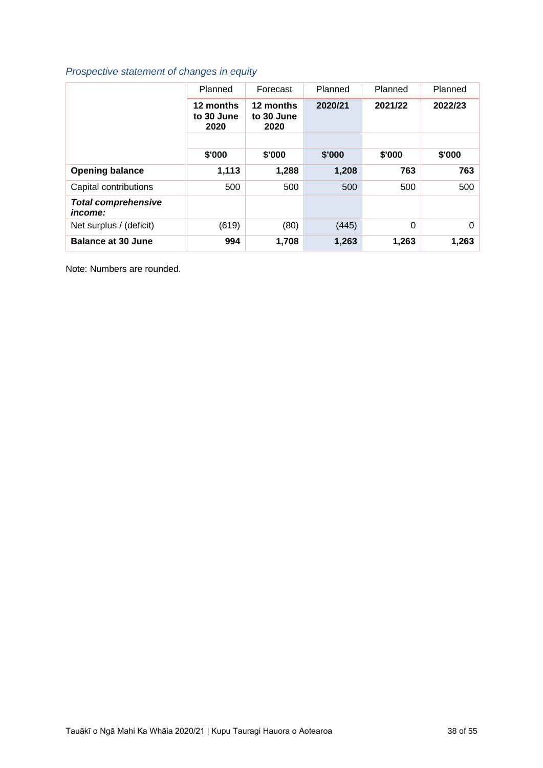### *Prospective statement of changes in equity*

|                                              | Planned                         | Forecast                        | Planned | Planned  | Planned |
|----------------------------------------------|---------------------------------|---------------------------------|---------|----------|---------|
|                                              | 12 months<br>to 30 June<br>2020 | 12 months<br>to 30 June<br>2020 | 2020/21 | 2021/22  | 2022/23 |
|                                              |                                 |                                 |         |          |         |
|                                              | \$'000                          | \$'000                          | \$'000  | \$'000   | \$'000  |
| <b>Opening balance</b>                       | 1,113                           | 1,288                           | 1,208   | 763      | 763     |
| Capital contributions                        | 500                             | 500                             | 500     | 500      | 500     |
| <b>Total comprehensive</b><br><i>income:</i> |                                 |                                 |         |          |         |
| Net surplus / (deficit)                      | (619)                           | (80)                            | (445)   | $\Omega$ | 0       |
| <b>Balance at 30 June</b>                    | 994                             | 1,708                           | 1,263   | 1,263    | 1,263   |

Note: Numbers are rounded.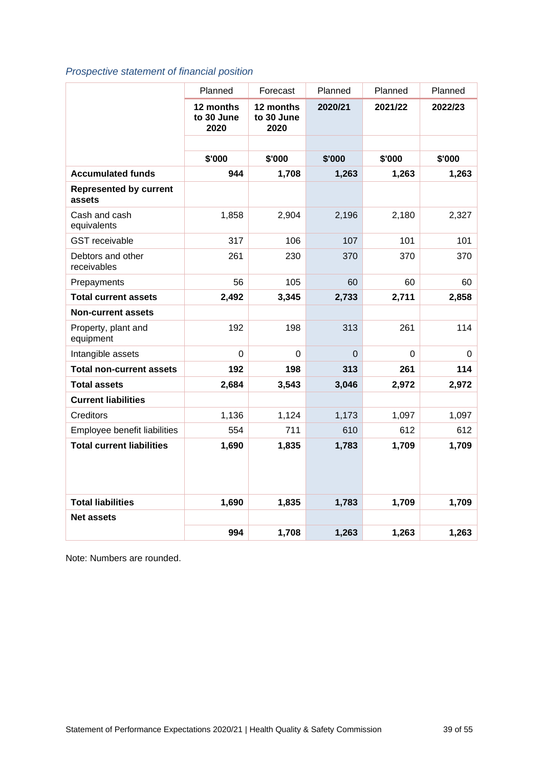### *Prospective statement of financial position*

|                                         | Planned                         | Forecast                        | Planned | Planned  | Planned |
|-----------------------------------------|---------------------------------|---------------------------------|---------|----------|---------|
|                                         | 12 months<br>to 30 June<br>2020 | 12 months<br>to 30 June<br>2020 | 2020/21 | 2021/22  | 2022/23 |
|                                         |                                 |                                 |         |          |         |
|                                         | \$'000                          | \$'000                          | \$'000  | \$'000   | \$'000  |
| <b>Accumulated funds</b>                | 944                             | 1,708                           | 1,263   | 1,263    | 1,263   |
| <b>Represented by current</b><br>assets |                                 |                                 |         |          |         |
| Cash and cash<br>equivalents            | 1,858                           | 2,904                           | 2,196   | 2,180    | 2,327   |
| <b>GST</b> receivable                   | 317                             | 106                             | 107     | 101      | 101     |
| Debtors and other<br>receivables        | 261                             | 230                             | 370     | 370      | 370     |
| Prepayments                             | 56                              | 105                             | 60      | 60       | 60      |
| <b>Total current assets</b>             | 2,492                           | 3,345                           | 2,733   | 2,711    | 2,858   |
| <b>Non-current assets</b>               |                                 |                                 |         |          |         |
| Property, plant and<br>equipment        | 192                             | 198                             | 313     | 261      | 114     |
| Intangible assets                       | $\Omega$                        | 0                               | 0       | $\Omega$ | 0       |
| <b>Total non-current assets</b>         | 192                             | 198                             | 313     | 261      | 114     |
| <b>Total assets</b>                     | 2,684                           | 3,543                           | 3,046   | 2,972    | 2,972   |
| <b>Current liabilities</b>              |                                 |                                 |         |          |         |
| Creditors                               | 1,136                           | 1,124                           | 1,173   | 1,097    | 1,097   |
| Employee benefit liabilities            | 554                             | 711                             | 610     | 612      | 612     |
| <b>Total current liabilities</b>        | 1,690                           | 1,835                           | 1,783   | 1,709    | 1,709   |
| <b>Total liabilities</b>                | 1,690                           | 1,835                           | 1,783   | 1,709    | 1,709   |
| <b>Net assets</b>                       |                                 |                                 |         |          |         |
|                                         | 994                             | 1,708                           | 1,263   | 1,263    | 1,263   |

Note: Numbers are rounded.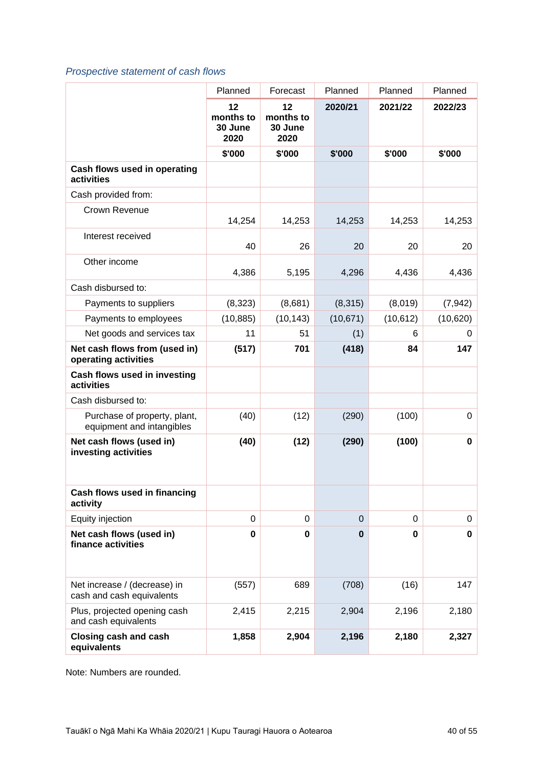### *Prospective statement of cash flows*

|                                                           | Planned                            | Forecast                           | Planned        | Planned   | Planned     |
|-----------------------------------------------------------|------------------------------------|------------------------------------|----------------|-----------|-------------|
|                                                           | 12<br>months to<br>30 June<br>2020 | 12<br>months to<br>30 June<br>2020 | 2020/21        | 2021/22   | 2022/23     |
|                                                           | \$'000                             | \$'000                             | \$'000         | \$'000    | \$'000      |
| Cash flows used in operating<br>activities                |                                    |                                    |                |           |             |
| Cash provided from:                                       |                                    |                                    |                |           |             |
| Crown Revenue                                             | 14,254                             | 14,253                             | 14,253         | 14,253    | 14,253      |
| Interest received                                         | 40                                 | 26                                 | 20             | 20        | 20          |
| Other income                                              | 4,386                              | 5,195                              | 4,296          | 4,436     | 4,436       |
| Cash disbursed to:                                        |                                    |                                    |                |           |             |
| Payments to suppliers                                     | (8,323)                            | (8,681)                            | (8,315)        | (8,019)   | (7, 942)    |
| Payments to employees                                     | (10, 885)                          | (10, 143)                          | (10, 671)      | (10, 612) | (10,620)    |
| Net goods and services tax                                | 11                                 | 51                                 | (1)            | 6         | 0           |
| Net cash flows from (used in)<br>operating activities     | (517)                              | 701                                | (418)          | 84        | 147         |
| Cash flows used in investing<br>activities                |                                    |                                    |                |           |             |
| Cash disbursed to:                                        |                                    |                                    |                |           |             |
| Purchase of property, plant,<br>equipment and intangibles | (40)                               | (12)                               | (290)          | (100)     | 0           |
| Net cash flows (used in)<br>investing activities          | (40)                               | (12)                               | (290)          | (100)     | $\mathbf 0$ |
| Cash flows used in financing<br>activity                  |                                    |                                    |                |           |             |
| Equity injection                                          | $\mathbf 0$                        | 0                                  | $\overline{0}$ | $\Omega$  | 0           |
| Net cash flows (used in)<br>finance activities            | 0                                  | 0                                  | $\bf{0}$       | $\bf{0}$  | $\mathbf 0$ |
| Net increase / (decrease) in<br>cash and cash equivalents | (557)                              | 689                                | (708)          | (16)      | 147         |
| Plus, projected opening cash<br>and cash equivalents      | 2,415                              | 2,215                              | 2,904          | 2,196     | 2,180       |
| <b>Closing cash and cash</b><br>equivalents               | 1,858                              | 2,904                              | 2,196          | 2,180     | 2,327       |

Note: Numbers are rounded.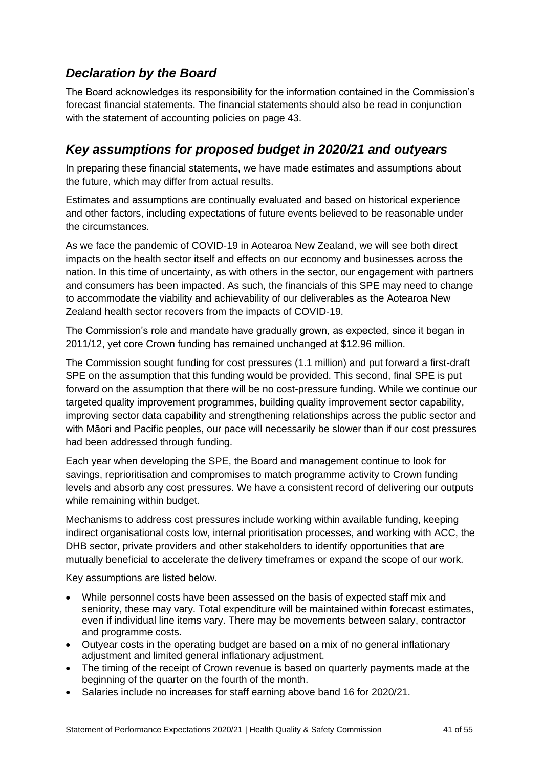## <span id="page-40-0"></span>*Declaration by the Board*

The Board acknowledges its responsibility for the information contained in the Commission's forecast financial statements. The financial statements should also be read in conjunction with the statement of accounting policies on page 43.

## <span id="page-40-1"></span>*Key assumptions for proposed budget in 2020/21 and outyears*

In preparing these financial statements, we have made estimates and assumptions about the future, which may differ from actual results.

Estimates and assumptions are continually evaluated and based on historical experience and other factors, including expectations of future events believed to be reasonable under the circumstances.

As we face the pandemic of COVID-19 in Aotearoa New Zealand, we will see both direct impacts on the health sector itself and effects on our economy and businesses across the nation. In this time of uncertainty, as with others in the sector, our engagement with partners and consumers has been impacted. As such, the financials of this SPE may need to change to accommodate the viability and achievability of our deliverables as the Aotearoa New Zealand health sector recovers from the impacts of COVID-19.

The Commission's role and mandate have gradually grown, as expected, since it began in 2011/12, yet core Crown funding has remained unchanged at \$12.96 million.

The Commission sought funding for cost pressures (1.1 million) and put forward a first-draft SPE on the assumption that this funding would be provided. This second, final SPE is put forward on the assumption that there will be no cost-pressure funding. While we continue our targeted quality improvement programmes, building quality improvement sector capability, improving sector data capability and strengthening relationships across the public sector and with Māori and Pacific peoples, our pace will necessarily be slower than if our cost pressures had been addressed through funding.

Each year when developing the SPE, the Board and management continue to look for savings, reprioritisation and compromises to match programme activity to Crown funding levels and absorb any cost pressures. We have a consistent record of delivering our outputs while remaining within budget.

Mechanisms to address cost pressures include working within available funding, keeping indirect organisational costs low, internal prioritisation processes, and working with ACC, the DHB sector, private providers and other stakeholders to identify opportunities that are mutually beneficial to accelerate the delivery timeframes or expand the scope of our work.

Key assumptions are listed below.

- While personnel costs have been assessed on the basis of expected staff mix and seniority, these may vary. Total expenditure will be maintained within forecast estimates, even if individual line items vary. There may be movements between salary, contractor and programme costs.
- Outyear costs in the operating budget are based on a mix of no general inflationary adjustment and limited general inflationary adjustment.
- The timing of the receipt of Crown revenue is based on quarterly payments made at the beginning of the quarter on the fourth of the month.
- Salaries include no increases for staff earning above band 16 for 2020/21.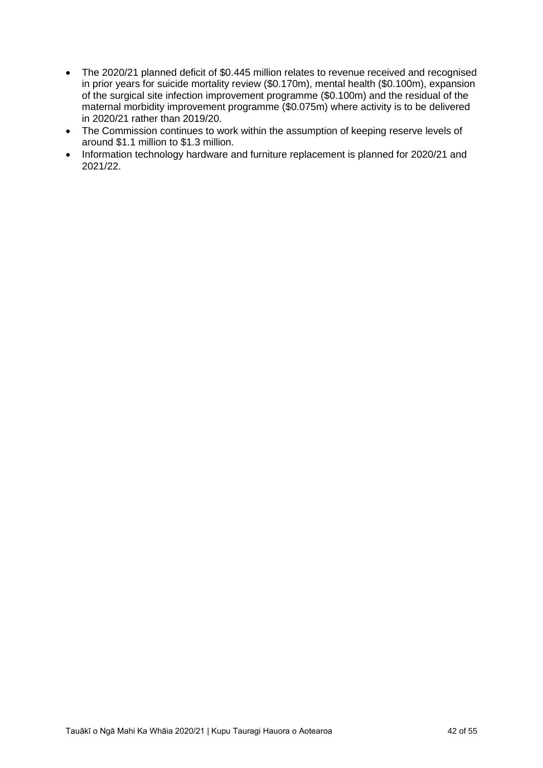- The 2020/21 planned deficit of \$0.445 million relates to revenue received and recognised in prior years for suicide mortality review (\$0.170m), mental health (\$0.100m), expansion of the surgical site infection improvement programme (\$0.100m) and the residual of the maternal morbidity improvement programme (\$0.075m) where activity is to be delivered in 2020/21 rather than 2019/20.
- The Commission continues to work within the assumption of keeping reserve levels of around \$1.1 million to \$1.3 million.
- Information technology hardware and furniture replacement is planned for 2020/21 and 2021/22.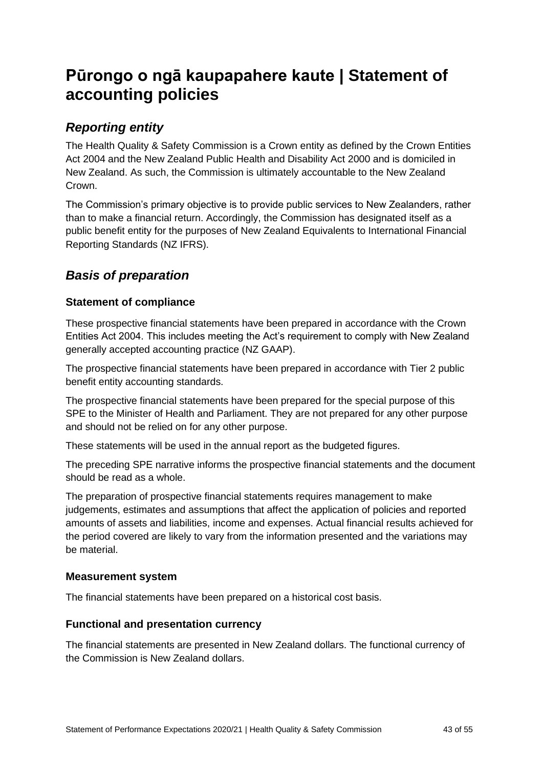## <span id="page-42-0"></span>**Pūrongo o ngā kaupapahere kaute | Statement of accounting policies**

## <span id="page-42-1"></span>*Reporting entity*

The Health Quality & Safety Commission is a Crown entity as defined by the Crown Entities Act 2004 and the New Zealand Public Health and Disability Act 2000 and is domiciled in New Zealand. As such, the Commission is ultimately accountable to the New Zealand Crown.

The Commission's primary objective is to provide public services to New Zealanders, rather than to make a financial return. Accordingly, the Commission has designated itself as a public benefit entity for the purposes of New Zealand Equivalents to International Financial Reporting Standards (NZ IFRS).

## <span id="page-42-2"></span>*Basis of preparation*

### <span id="page-42-3"></span>**Statement of compliance**

These prospective financial statements have been prepared in accordance with the Crown Entities Act 2004. This includes meeting the Act's requirement to comply with New Zealand generally accepted accounting practice (NZ GAAP).

The prospective financial statements have been prepared in accordance with Tier 2 public benefit entity accounting standards.

The prospective financial statements have been prepared for the special purpose of this SPE to the Minister of Health and Parliament. They are not prepared for any other purpose and should not be relied on for any other purpose.

These statements will be used in the annual report as the budgeted figures.

The preceding SPE narrative informs the prospective financial statements and the document should be read as a whole.

The preparation of prospective financial statements requires management to make judgements, estimates and assumptions that affect the application of policies and reported amounts of assets and liabilities, income and expenses. Actual financial results achieved for the period covered are likely to vary from the information presented and the variations may be material.

#### <span id="page-42-4"></span>**Measurement system**

The financial statements have been prepared on a historical cost basis.

#### <span id="page-42-5"></span>**Functional and presentation currency**

The financial statements are presented in New Zealand dollars. The functional currency of the Commission is New Zealand dollars.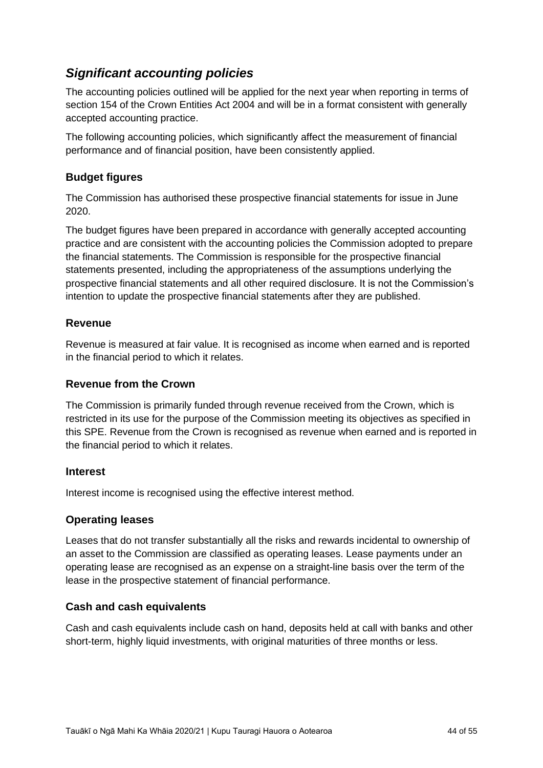## <span id="page-43-0"></span>*Significant accounting policies*

The accounting policies outlined will be applied for the next year when reporting in terms of section 154 of the Crown Entities Act 2004 and will be in a format consistent with generally accepted accounting practice.

The following accounting policies, which significantly affect the measurement of financial performance and of financial position, have been consistently applied.

#### <span id="page-43-1"></span>**Budget figures**

The Commission has authorised these prospective financial statements for issue in June 2020.

The budget figures have been prepared in accordance with generally accepted accounting practice and are consistent with the accounting policies the Commission adopted to prepare the financial statements. The Commission is responsible for the prospective financial statements presented, including the appropriateness of the assumptions underlying the prospective financial statements and all other required disclosure. It is not the Commission's intention to update the prospective financial statements after they are published.

#### <span id="page-43-2"></span>**Revenue**

Revenue is measured at fair value. It is recognised as income when earned and is reported in the financial period to which it relates.

#### <span id="page-43-3"></span>**Revenue from the Crown**

The Commission is primarily funded through revenue received from the Crown, which is restricted in its use for the purpose of the Commission meeting its objectives as specified in this SPE. Revenue from the Crown is recognised as revenue when earned and is reported in the financial period to which it relates.

#### <span id="page-43-4"></span>**Interest**

Interest income is recognised using the effective interest method.

#### <span id="page-43-5"></span>**Operating leases**

Leases that do not transfer substantially all the risks and rewards incidental to ownership of an asset to the Commission are classified as operating leases. Lease payments under an operating lease are recognised as an expense on a straight-line basis over the term of the lease in the prospective statement of financial performance.

#### <span id="page-43-6"></span>**Cash and cash equivalents**

Cash and cash equivalents include cash on hand, deposits held at call with banks and other short-term, highly liquid investments, with original maturities of three months or less.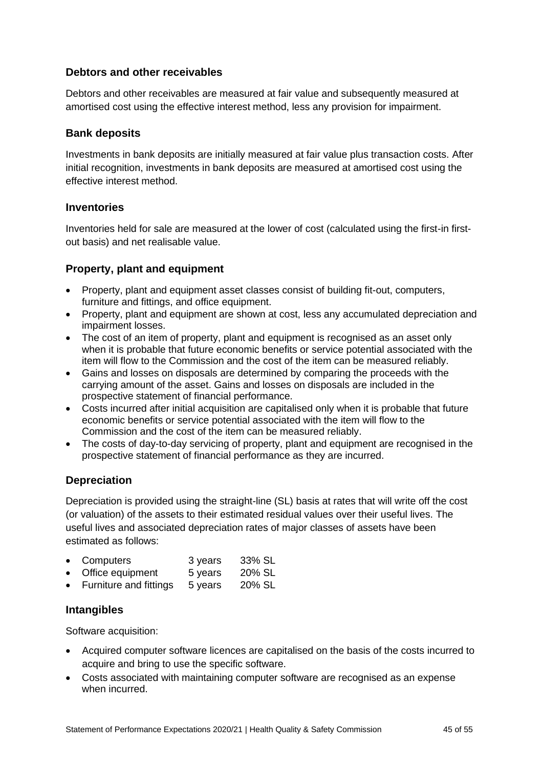#### <span id="page-44-0"></span>**Debtors and other receivables**

Debtors and other receivables are measured at fair value and subsequently measured at amortised cost using the effective interest method, less any provision for impairment.

#### <span id="page-44-1"></span>**Bank deposits**

Investments in bank deposits are initially measured at fair value plus transaction costs. After initial recognition, investments in bank deposits are measured at amortised cost using the effective interest method.

#### <span id="page-44-2"></span>**Inventories**

Inventories held for sale are measured at the lower of cost (calculated using the first-in firstout basis) and net realisable value.

#### <span id="page-44-3"></span>**Property, plant and equipment**

- Property, plant and equipment asset classes consist of building fit-out, computers, furniture and fittings, and office equipment.
- Property, plant and equipment are shown at cost, less any accumulated depreciation and impairment losses.
- The cost of an item of property, plant and equipment is recognised as an asset only when it is probable that future economic benefits or service potential associated with the item will flow to the Commission and the cost of the item can be measured reliably.
- Gains and losses on disposals are determined by comparing the proceeds with the carrying amount of the asset. Gains and losses on disposals are included in the prospective statement of financial performance.
- Costs incurred after initial acquisition are capitalised only when it is probable that future economic benefits or service potential associated with the item will flow to the Commission and the cost of the item can be measured reliably.
- The costs of day-to-day servicing of property, plant and equipment are recognised in the prospective statement of financial performance as they are incurred.

#### <span id="page-44-4"></span>**Depreciation**

Depreciation is provided using the straight-line (SL) basis at rates that will write off the cost (or valuation) of the assets to their estimated residual values over their useful lives. The useful lives and associated depreciation rates of major classes of assets have been estimated as follows:

|           | • Computers      | 3 years | 33% SL |
|-----------|------------------|---------|--------|
| $\bullet$ | Office equipment | 5 years | 20% SL |
|           |                  |         | ------ |

• Furniture and fittings 5 years 20% SL

#### <span id="page-44-5"></span>**Intangibles**

Software acquisition:

- Acquired computer software licences are capitalised on the basis of the costs incurred to acquire and bring to use the specific software.
- Costs associated with maintaining computer software are recognised as an expense when incurred.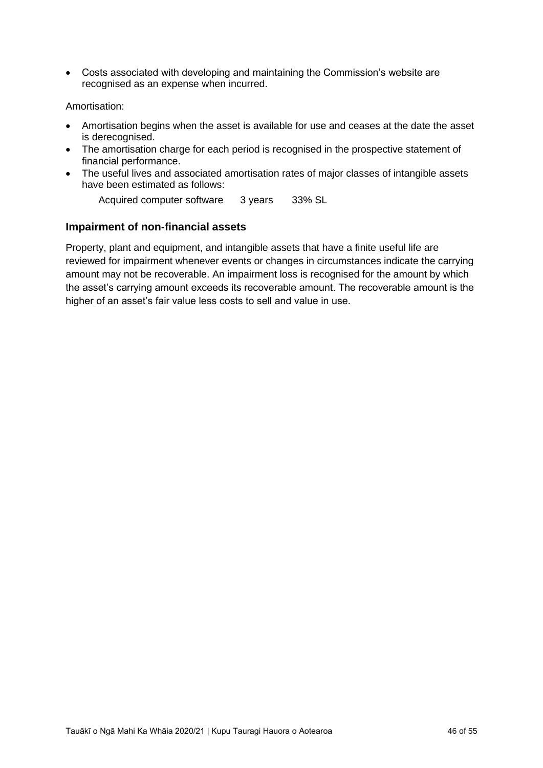• Costs associated with developing and maintaining the Commission's website are recognised as an expense when incurred.

#### Amortisation:

- Amortisation begins when the asset is available for use and ceases at the date the asset is derecognised.
- The amortisation charge for each period is recognised in the prospective statement of financial performance.
- The useful lives and associated amortisation rates of major classes of intangible assets have been estimated as follows:

Acquired computer software 3 years 33% SL

#### <span id="page-45-0"></span>**Impairment of non-financial assets**

Property, plant and equipment, and intangible assets that have a finite useful life are reviewed for impairment whenever events or changes in circumstances indicate the carrying amount may not be recoverable. An impairment loss is recognised for the amount by which the asset's carrying amount exceeds its recoverable amount. The recoverable amount is the higher of an asset's fair value less costs to sell and value in use.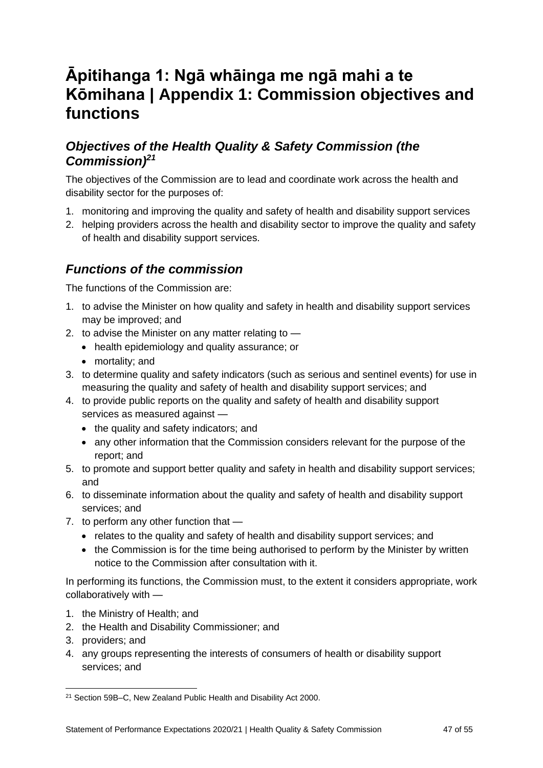# <span id="page-46-0"></span>**Āpitihanga 1: Ngā whāinga me ngā mahi a te Kōmihana | Appendix 1: Commission objectives and functions**

## <span id="page-46-1"></span>*Objectives of the Health Quality & Safety Commission (the Commission)<sup>21</sup>*

The objectives of the Commission are to lead and coordinate work across the health and disability sector for the purposes of:

- 1. monitoring and improving the quality and safety of health and disability support services
- 2. helping providers across the health and disability sector to improve the quality and safety of health and disability support services.

## <span id="page-46-2"></span>*Functions of the commission*

The functions of the Commission are:

- 1. to advise the Minister on how quality and safety in health and disability support services may be improved; and
- 2. to advise the Minister on any matter relating to
	- health epidemiology and quality assurance; or
	- mortality; and
- 3. to determine quality and safety indicators (such as serious and sentinel events) for use in measuring the quality and safety of health and disability support services; and
- 4. to provide public reports on the quality and safety of health and disability support services as measured against —
	- the quality and safety indicators; and
	- any other information that the Commission considers relevant for the purpose of the report; and
- 5. to promote and support better quality and safety in health and disability support services; and
- 6. to disseminate information about the quality and safety of health and disability support services; and
- 7. to perform any other function that
	- relates to the quality and safety of health and disability support services; and
	- the Commission is for the time being authorised to perform by the Minister by written notice to the Commission after consultation with it.

In performing its functions, the Commission must, to the extent it considers appropriate, work collaboratively with —

- 1. the Ministry of Health; and
- 2. the Health and Disability Commissioner; and
- 3. providers; and
- 4. any groups representing the interests of consumers of health or disability support services; and

<sup>21</sup> Section 59B–C, New Zealand Public Health and Disability Act 2000.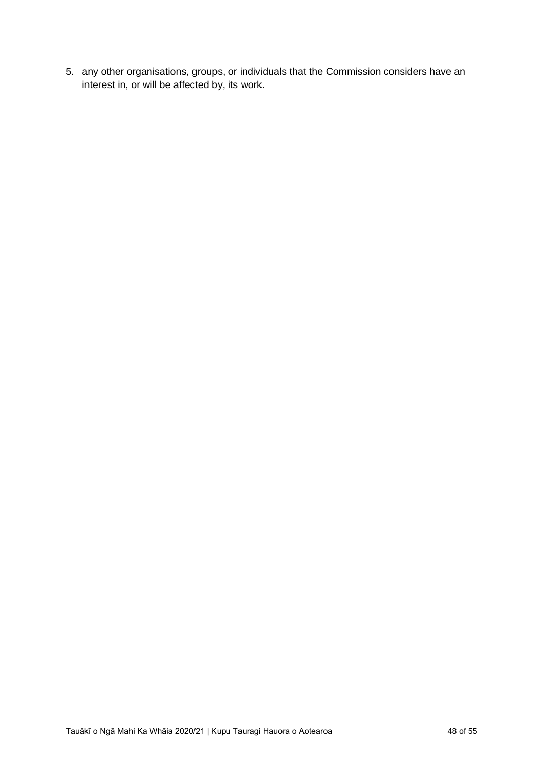5. any other organisations, groups, or individuals that the Commission considers have an interest in, or will be affected by, its work.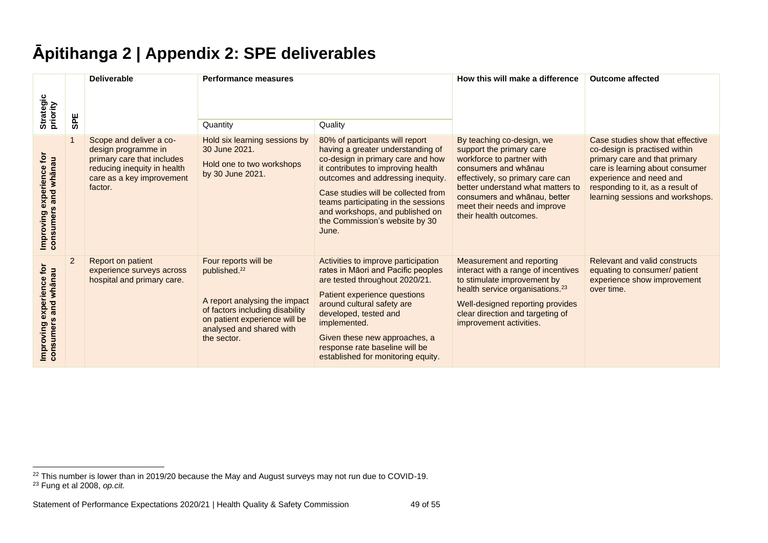# **Āpitihanga 2 | Appendix 2: SPE deliverables**

<span id="page-48-0"></span>

|                                                           |                | <b>Deliverable</b>                                                                                                                                  | <b>Performance measures</b>                                                                                                                                                                      |                                                                                                                                                                                                                                                                                                                                                  | How this will make a difference                                                                                                                                                                                                                                               | <b>Outcome affected</b>                                                                                                                                                                                                                  |  |  |  |
|-----------------------------------------------------------|----------------|-----------------------------------------------------------------------------------------------------------------------------------------------------|--------------------------------------------------------------------------------------------------------------------------------------------------------------------------------------------------|--------------------------------------------------------------------------------------------------------------------------------------------------------------------------------------------------------------------------------------------------------------------------------------------------------------------------------------------------|-------------------------------------------------------------------------------------------------------------------------------------------------------------------------------------------------------------------------------------------------------------------------------|------------------------------------------------------------------------------------------------------------------------------------------------------------------------------------------------------------------------------------------|--|--|--|
| Strategic<br>priority                                     | <b>SPE</b>     |                                                                                                                                                     | Quantity                                                                                                                                                                                         | Quality                                                                                                                                                                                                                                                                                                                                          |                                                                                                                                                                                                                                                                               |                                                                                                                                                                                                                                          |  |  |  |
| tor<br>and whānau<br>experience<br>consumers<br>Improving | $\mathbf{1}$   | Scope and deliver a co-<br>design programme in<br>primary care that includes<br>reducing inequity in health<br>care as a key improvement<br>factor. | Hold six learning sessions by<br>30 June 2021.<br>Hold one to two workshops<br>by 30 June 2021.                                                                                                  | 80% of participants will report<br>having a greater understanding of<br>co-design in primary care and how<br>it contributes to improving health<br>outcomes and addressing inequity.<br>Case studies will be collected from<br>teams participating in the sessions<br>and workshops, and published on<br>the Commission's website by 30<br>June. | By teaching co-design, we<br>support the primary care<br>workforce to partner with<br>consumers and whanau<br>effectively, so primary care can<br>better understand what matters to<br>consumers and whānau, better<br>meet their needs and improve<br>their health outcomes. | Case studies show that effective<br>co-design is practised within<br>primary care and that primary<br>care is learning about consumer<br>experience and need and<br>responding to it, as a result of<br>learning sessions and workshops. |  |  |  |
| Įo<br>and whānau<br>experience<br>consumers<br>Improving  | $\overline{2}$ | Report on patient<br>experience surveys across<br>hospital and primary care.                                                                        | Four reports will be<br>published. <sup>22</sup><br>A report analysing the impact<br>of factors including disability<br>on patient experience will be<br>analysed and shared with<br>the sector. | Activities to improve participation<br>rates in Māori and Pacific peoples<br>are tested throughout 2020/21.<br>Patient experience questions<br>around cultural safety are<br>developed, tested and<br>implemented.<br>Given these new approaches, a<br>response rate baseline will be<br>established for monitoring equity.                      | <b>Measurement and reporting</b><br>interact with a range of incentives<br>to stimulate improvement by<br>health service organisations. <sup>23</sup><br>Well-designed reporting provides<br>clear direction and targeting of<br>improvement activities.                      | <b>Relevant and valid constructs</b><br>equating to consumer/ patient<br>experience show improvement<br>over time.                                                                                                                       |  |  |  |

 $22$  This number is lower than in 2019/20 because the May and August surveys may not run due to COVID-19.

<sup>23</sup> Fung et al 2008, *op.cit.*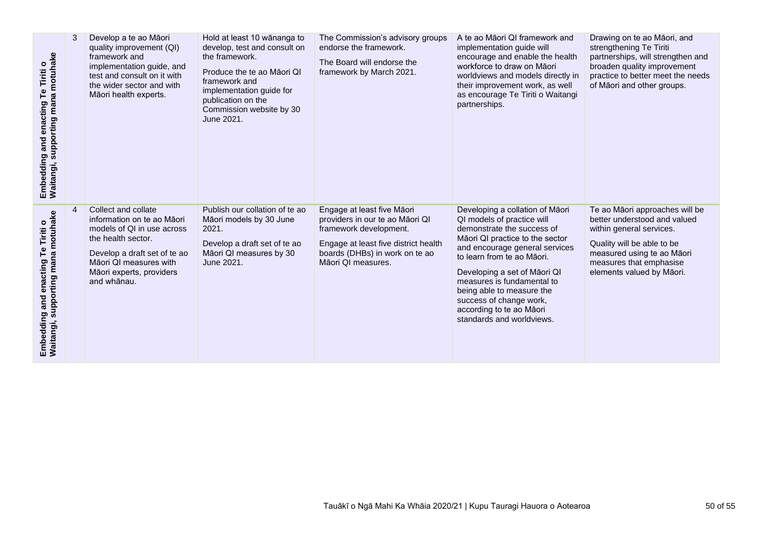| Embedding and enacting Te Tiriti o<br>Waitangi, supporting mana motuhake | 3 | Develop a te ao Māori<br>quality improvement (QI)<br>framework and<br>implementation guide, and<br>test and consult on it with<br>the wider sector and with<br>Māori health experts.                       | Hold at least 10 wānanga to<br>develop, test and consult on<br>the framework.<br>Produce the te ao Māori QI<br>framework and<br>implementation guide for<br>publication on the<br>Commission website by 30<br>June 2021. | The Commission's advisory groups<br>endorse the framework.<br>The Board will endorse the<br>framework by March 2021.                                                                    | A te ao Māori QI framework and<br>implementation guide will<br>encourage and enable the health<br>workforce to draw on Māori<br>worldviews and models directly in<br>their improvement work, as well<br>as encourage Te Tiriti o Waitangi<br>partnerships.                                                                                                                    | Drawing on te ao Māori, and<br>strengthening Te Tiriti<br>partnerships, will strengthen and<br>broaden quality improvement<br>practice to better meet the needs<br>of Māori and other groups.                  |
|--------------------------------------------------------------------------|---|------------------------------------------------------------------------------------------------------------------------------------------------------------------------------------------------------------|--------------------------------------------------------------------------------------------------------------------------------------------------------------------------------------------------------------------------|-----------------------------------------------------------------------------------------------------------------------------------------------------------------------------------------|-------------------------------------------------------------------------------------------------------------------------------------------------------------------------------------------------------------------------------------------------------------------------------------------------------------------------------------------------------------------------------|----------------------------------------------------------------------------------------------------------------------------------------------------------------------------------------------------------------|
| Embedding and enacting Te Tiriti o<br>Waitangi, supporting mana motuhake |   | Collect and collate<br>information on te ao Māori<br>models of QI in use across<br>the health sector.<br>Develop a draft set of te ao<br>Māori QI measures with<br>Māori experts, providers<br>and whanau. | Publish our collation of te ao<br>Māori models by 30 June<br>2021.<br>Develop a draft set of te ao<br>Māori QI measures by 30<br>June 2021.                                                                              | Engage at least five Māori<br>providers in our te ao Māori QI<br>framework development.<br>Engage at least five district health<br>boards (DHBs) in work on te ao<br>Māori QI measures. | Developing a collation of Māori<br>QI models of practice will<br>demonstrate the success of<br>Māori QI practice to the sector<br>and encourage general services<br>to learn from te ao Māori.<br>Developing a set of Māori QI<br>measures is fundamental to<br>being able to measure the<br>success of change work,<br>according to te ao Māori<br>standards and worldviews. | Te ao Māori approaches will be<br>better understood and valued<br>within general services.<br>Quality will be able to be<br>measured using te ao Māori<br>measures that emphasise<br>elements valued by Māori. |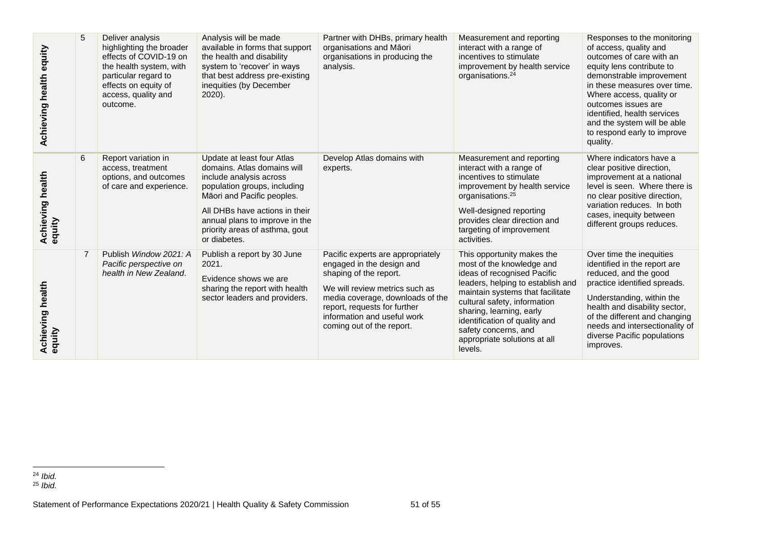| Achieving health equity           | 5              | Deliver analysis<br>highlighting the broader<br>effects of COVID-19 on<br>the health system, with<br>particular regard to<br>effects on equity of<br>access, quality and<br>outcome. | Analysis will be made<br>available in forms that support<br>the health and disability<br>system to 'recover' in ways<br>that best address pre-existing<br>inequities (by December<br>2020).                                                                              | Partner with DHBs, primary health<br>organisations and Māori<br>organisations in producing the<br>analysis.                                                                                                                                                | Measurement and reporting<br>interact with a range of<br>incentives to stimulate<br>improvement by health service<br>organisations. <sup>24</sup>                                                                                                                                                                               | Responses to the monitoring<br>of access, quality and<br>outcomes of care with an<br>equity lens contribute to<br>demonstrable improvement<br>in these measures over time.<br>Where access, quality or<br>outcomes issues are<br>identified. health services<br>and the system will be able<br>to respond early to improve<br>quality. |  |  |  |  |
|-----------------------------------|----------------|--------------------------------------------------------------------------------------------------------------------------------------------------------------------------------------|--------------------------------------------------------------------------------------------------------------------------------------------------------------------------------------------------------------------------------------------------------------------------|------------------------------------------------------------------------------------------------------------------------------------------------------------------------------------------------------------------------------------------------------------|---------------------------------------------------------------------------------------------------------------------------------------------------------------------------------------------------------------------------------------------------------------------------------------------------------------------------------|----------------------------------------------------------------------------------------------------------------------------------------------------------------------------------------------------------------------------------------------------------------------------------------------------------------------------------------|--|--|--|--|
| Achieving health<br>equity        | 6              | Report variation in<br>access, treatment<br>options, and outcomes<br>of care and experience.                                                                                         | Update at least four Atlas<br>domains. Atlas domains will<br>include analysis across<br>population groups, including<br>Māori and Pacific peoples.<br>All DHBs have actions in their<br>annual plans to improve in the<br>priority areas of asthma, gout<br>or diabetes. | Develop Atlas domains with<br>experts.                                                                                                                                                                                                                     | Measurement and reporting<br>interact with a range of<br>incentives to stimulate<br>improvement by health service<br>organisations. <sup>25</sup><br>Well-designed reporting<br>provides clear direction and<br>targeting of improvement<br>activities.                                                                         | Where indicators have a<br>clear positive direction,<br>improvement at a national<br>level is seen. Where there is<br>no clear positive direction.<br>variation reduces. In both<br>cases, inequity between<br>different groups reduces.                                                                                               |  |  |  |  |
| Achieving health<br>equity        | $\overline{7}$ | Publish Window 2021: A<br>Pacific perspective on<br>health in New Zealand.                                                                                                           | Publish a report by 30 June<br>2021.<br>Evidence shows we are<br>sharing the report with health<br>sector leaders and providers.                                                                                                                                         | Pacific experts are appropriately<br>engaged in the design and<br>shaping of the report.<br>We will review metrics such as<br>media coverage, downloads of the<br>report, requests for further<br>information and useful work<br>coming out of the report. | This opportunity makes the<br>most of the knowledge and<br>ideas of recognised Pacific<br>leaders, helping to establish and<br>maintain systems that facilitate<br>cultural safety, information<br>sharing, learning, early<br>identification of quality and<br>safety concerns, and<br>appropriate solutions at all<br>levels. | Over time the inequities<br>identified in the report are<br>reduced, and the good<br>practice identified spreads.<br>Understanding, within the<br>health and disability sector,<br>of the different and changing<br>needs and intersectionality of<br>diverse Pacific populations<br>improves.                                         |  |  |  |  |
| $24$ Ibid.<br><sup>25</sup> Ibid. |                |                                                                                                                                                                                      |                                                                                                                                                                                                                                                                          |                                                                                                                                                                                                                                                            |                                                                                                                                                                                                                                                                                                                                 |                                                                                                                                                                                                                                                                                                                                        |  |  |  |  |
|                                   |                |                                                                                                                                                                                      | Statement of Performance Expectations 2020/21   Health Quality & Safety Commission                                                                                                                                                                                       | 51 of 55                                                                                                                                                                                                                                                   |                                                                                                                                                                                                                                                                                                                                 |                                                                                                                                                                                                                                                                                                                                        |  |  |  |  |

<sup>24</sup> *Ibid.*

<sup>25</sup> *Ibid.*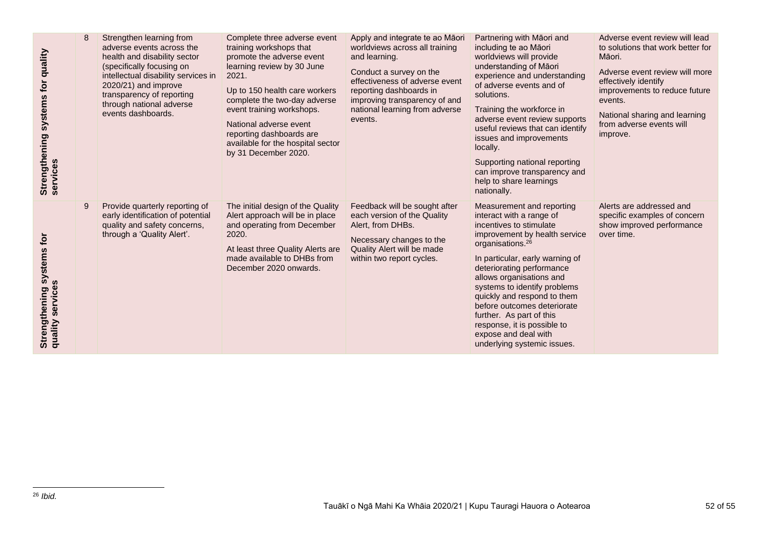| quality<br>systems for<br>Strengthening<br>services | 8 | Strengthen learning from<br>adverse events across the<br>health and disability sector<br>(specifically focusing on<br>intellectual disability services in<br>2020/21) and improve<br>transparency of reporting<br>through national adverse<br>events dashboards. | Complete three adverse event<br>training workshops that<br>promote the adverse event<br>learning review by 30 June<br>2021.<br>Up to 150 health care workers<br>complete the two-day adverse<br>event training workshops.<br>National adverse event<br>reporting dashboards are<br>available for the hospital sector<br>by 31 December 2020. | Apply and integrate te ao Māori<br>worldviews across all training<br>and learning.<br>Conduct a survey on the<br>effectiveness of adverse event<br>reporting dashboards in<br>improving transparency of and<br>national learning from adverse<br>events. | Partnering with Māori and<br>including te ao Māori<br>worldviews will provide<br>understanding of Māori<br>experience and understanding<br>of adverse events and of<br>solutions.<br>Training the workforce in<br>adverse event review supports<br>useful reviews that can identify<br>issues and improvements<br>locally.<br>Supporting national reporting<br>can improve transparency and<br>help to share learnings<br>nationally.                         | Adverse event review will lead<br>to solutions that work better for<br>Māori.<br>Adverse event review will more<br>effectively identify<br>improvements to reduce future<br>events.<br>National sharing and learning<br>from adverse events will<br>improve. |
|-----------------------------------------------------|---|------------------------------------------------------------------------------------------------------------------------------------------------------------------------------------------------------------------------------------------------------------------|----------------------------------------------------------------------------------------------------------------------------------------------------------------------------------------------------------------------------------------------------------------------------------------------------------------------------------------------|----------------------------------------------------------------------------------------------------------------------------------------------------------------------------------------------------------------------------------------------------------|---------------------------------------------------------------------------------------------------------------------------------------------------------------------------------------------------------------------------------------------------------------------------------------------------------------------------------------------------------------------------------------------------------------------------------------------------------------|--------------------------------------------------------------------------------------------------------------------------------------------------------------------------------------------------------------------------------------------------------------|
| systems for<br>quality services<br>Strengthening    | 9 | Provide quarterly reporting of<br>early identification of potential<br>quality and safety concerns,<br>through a 'Quality Alert'.                                                                                                                                | The initial design of the Quality<br>Alert approach will be in place<br>and operating from December<br>2020.<br>At least three Quality Alerts are<br>made available to DHBs from<br>December 2020 onwards.                                                                                                                                   | Feedback will be sought after<br>each version of the Quality<br>Alert, from DHBs.<br>Necessary changes to the<br>Quality Alert will be made<br>within two report cycles.                                                                                 | Measurement and reporting<br>interact with a range of<br>incentives to stimulate<br>improvement by health service<br>organisations. <sup>26</sup><br>In particular, early warning of<br>deteriorating performance<br>allows organisations and<br>systems to identify problems<br>quickly and respond to them<br>before outcomes deteriorate<br>further. As part of this<br>response, it is possible to<br>expose and deal with<br>underlying systemic issues. | Alerts are addressed and<br>specific examples of concern<br>show improved performance<br>over time.                                                                                                                                                          |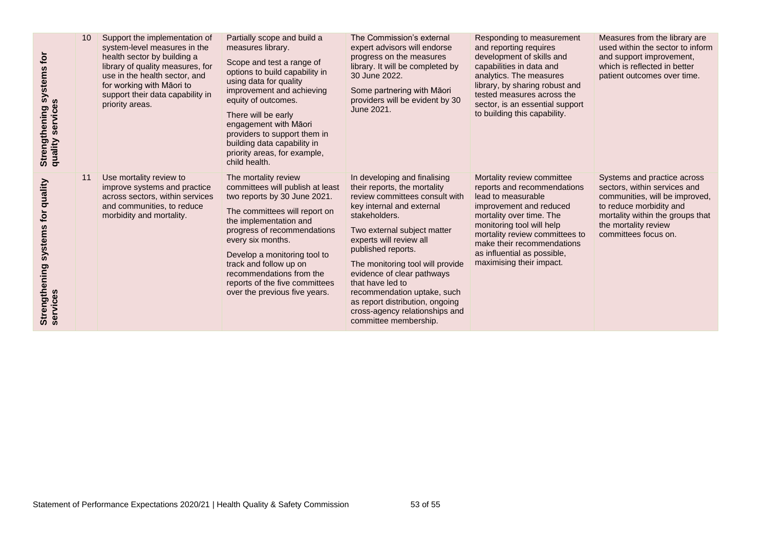| Use mortality review to<br>In developing and finalising<br>Mortality review committee<br>Systems and practice across<br>11<br>The mortality review<br>Strengthening systems for quality<br>services<br>committees will publish at least<br>improve systems and practice<br>their reports, the mortality<br>reports and recommendations<br>sectors, within services and<br>across sectors, within services<br>two reports by 30 June 2021.<br>review committees consult with<br>lead to measurable<br>and communities, to reduce<br>to reduce morbidity and<br>key internal and external<br>improvement and reduced<br>The committees will report on<br>morbidity and mortality.<br>stakeholders.<br>mortality over time. The<br>the implementation and<br>monitoring tool will help<br>the mortality review<br>progress of recommendations<br>Two external subject matter<br>mortality review committees to<br>committees focus on.<br>experts will review all<br>every six months.<br>make their recommendations<br>published reports.<br>as influential as possible,<br>Develop a monitoring tool to<br>maximising their impact.<br>track and follow up on<br>The monitoring tool will provide<br>evidence of clear pathways<br>recommendations from the<br>that have led to<br>reports of the five committees<br>recommendation uptake, such<br>over the previous five years.<br>as report distribution, ongoing<br>cross-agency relationships and<br>committee membership. | Strengthening systems for<br>quality services | 10 | Support the implementation of<br>system-level measures in the<br>health sector by building a<br>library of quality measures, for<br>use in the health sector, and<br>for working with Māori to<br>support their data capability in<br>priority areas. | Partially scope and build a<br>measures library.<br>Scope and test a range of<br>options to build capability in<br>using data for quality<br>improvement and achieving<br>equity of outcomes.<br>There will be early<br>engagement with Māori<br>providers to support them in<br>building data capability in<br>priority areas, for example,<br>child health. | The Commission's external<br>expert advisors will endorse<br>progress on the measures<br>library. It will be completed by<br>30 June 2022.<br>Some partnering with Māori<br>providers will be evident by 30<br>June 2021. | Responding to measurement<br>and reporting requires<br>development of skills and<br>capabilities in data and<br>analytics. The measures<br>library, by sharing robust and<br>tested measures across the<br>sector, is an essential support<br>to building this capability. | Measures from the library are<br>used within the sector to inform<br>and support improvement,<br>which is reflected in better<br>patient outcomes over time. |
|--------------------------------------------------------------------------------------------------------------------------------------------------------------------------------------------------------------------------------------------------------------------------------------------------------------------------------------------------------------------------------------------------------------------------------------------------------------------------------------------------------------------------------------------------------------------------------------------------------------------------------------------------------------------------------------------------------------------------------------------------------------------------------------------------------------------------------------------------------------------------------------------------------------------------------------------------------------------------------------------------------------------------------------------------------------------------------------------------------------------------------------------------------------------------------------------------------------------------------------------------------------------------------------------------------------------------------------------------------------------------------------------------------------------------------------------------------------------------------|-----------------------------------------------|----|-------------------------------------------------------------------------------------------------------------------------------------------------------------------------------------------------------------------------------------------------------|---------------------------------------------------------------------------------------------------------------------------------------------------------------------------------------------------------------------------------------------------------------------------------------------------------------------------------------------------------------|---------------------------------------------------------------------------------------------------------------------------------------------------------------------------------------------------------------------------|----------------------------------------------------------------------------------------------------------------------------------------------------------------------------------------------------------------------------------------------------------------------------|--------------------------------------------------------------------------------------------------------------------------------------------------------------|
|                                                                                                                                                                                                                                                                                                                                                                                                                                                                                                                                                                                                                                                                                                                                                                                                                                                                                                                                                                                                                                                                                                                                                                                                                                                                                                                                                                                                                                                                                |                                               |    |                                                                                                                                                                                                                                                       |                                                                                                                                                                                                                                                                                                                                                               |                                                                                                                                                                                                                           |                                                                                                                                                                                                                                                                            | communities, will be improved,<br>mortality within the groups that                                                                                           |
|                                                                                                                                                                                                                                                                                                                                                                                                                                                                                                                                                                                                                                                                                                                                                                                                                                                                                                                                                                                                                                                                                                                                                                                                                                                                                                                                                                                                                                                                                |                                               |    |                                                                                                                                                                                                                                                       |                                                                                                                                                                                                                                                                                                                                                               |                                                                                                                                                                                                                           |                                                                                                                                                                                                                                                                            |                                                                                                                                                              |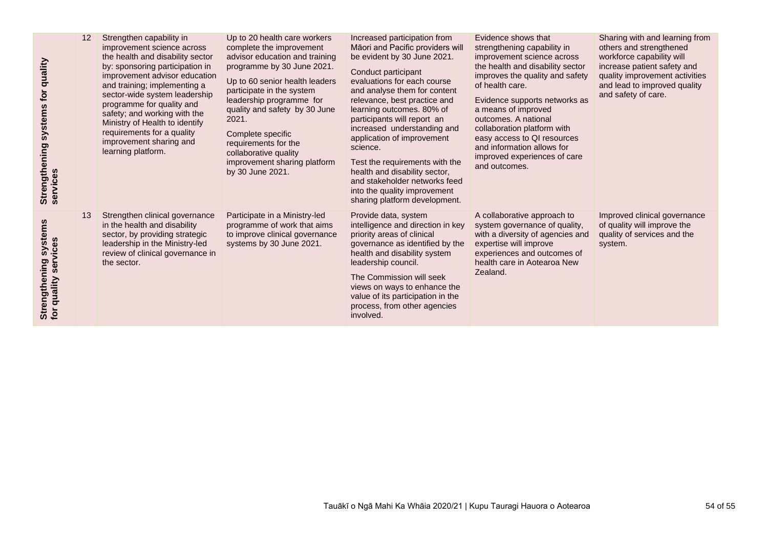| quality<br>for<br>Strengthening systems<br>services                | 12 | Strengthen capability in<br>improvement science across<br>the health and disability sector<br>by: sponsoring participation in<br>improvement advisor education<br>and training; implementing a<br>sector-wide system leadership<br>programme for quality and<br>safety; and working with the<br>Ministry of Health to identify<br>requirements for a quality<br>improvement sharing and<br>learning platform. | Up to 20 health care workers<br>complete the improvement<br>advisor education and training<br>programme by 30 June 2021.<br>Up to 60 senior health leaders<br>participate in the system<br>leadership programme for<br>quality and safety by 30 June<br>2021.<br>Complete specific<br>requirements for the<br>collaborative quality<br>improvement sharing platform<br>by 30 June 2021. | Increased participation from<br>Māori and Pacific providers will<br>be evident by 30 June 2021.<br>Conduct participant<br>evaluations for each course<br>and analyse them for content<br>relevance, best practice and<br>learning outcomes. 80% of<br>participants will report an<br>increased understanding and<br>application of improvement<br>science.<br>Test the requirements with the<br>health and disability sector,<br>and stakeholder networks feed<br>into the quality improvement<br>sharing platform development. | Evidence shows that<br>strengthening capability in<br>improvement science across<br>the health and disability sector<br>improves the quality and safety<br>of health care.<br>Evidence supports networks as<br>a means of improved<br>outcomes. A national<br>collaboration platform with<br>easy access to QI resources<br>and information allows for<br>improved experiences of care<br>and outcomes. | Sharing with and learning from<br>others and strengthened<br>workforce capability will<br>increase patient safety and<br>quality improvement activities<br>and lead to improved quality<br>and safety of care. |
|--------------------------------------------------------------------|----|---------------------------------------------------------------------------------------------------------------------------------------------------------------------------------------------------------------------------------------------------------------------------------------------------------------------------------------------------------------------------------------------------------------|-----------------------------------------------------------------------------------------------------------------------------------------------------------------------------------------------------------------------------------------------------------------------------------------------------------------------------------------------------------------------------------------|---------------------------------------------------------------------------------------------------------------------------------------------------------------------------------------------------------------------------------------------------------------------------------------------------------------------------------------------------------------------------------------------------------------------------------------------------------------------------------------------------------------------------------|---------------------------------------------------------------------------------------------------------------------------------------------------------------------------------------------------------------------------------------------------------------------------------------------------------------------------------------------------------------------------------------------------------|----------------------------------------------------------------------------------------------------------------------------------------------------------------------------------------------------------------|
| systems<br>services<br>Strengthening<br>for quality ser<br>quality | 13 | Strengthen clinical governance<br>in the health and disability<br>sector, by providing strategic<br>leadership in the Ministry-led<br>review of clinical governance in<br>the sector.                                                                                                                                                                                                                         | Participate in a Ministry-led<br>programme of work that aims<br>to improve clinical governance<br>systems by 30 June 2021.                                                                                                                                                                                                                                                              | Provide data, system<br>intelligence and direction in key<br>priority areas of clinical<br>governance as identified by the<br>health and disability system<br>leadership council.<br>The Commission will seek<br>views on ways to enhance the<br>value of its participation in the<br>process, from other agencies<br>involved.                                                                                                                                                                                                 | A collaborative approach to<br>system governance of quality,<br>with a diversity of agencies and<br>expertise will improve<br>experiences and outcomes of<br>health care in Aotearoa New<br>Zealand.                                                                                                                                                                                                    | Improved clinical governance<br>of quality will improve the<br>quality of services and the<br>system.                                                                                                          |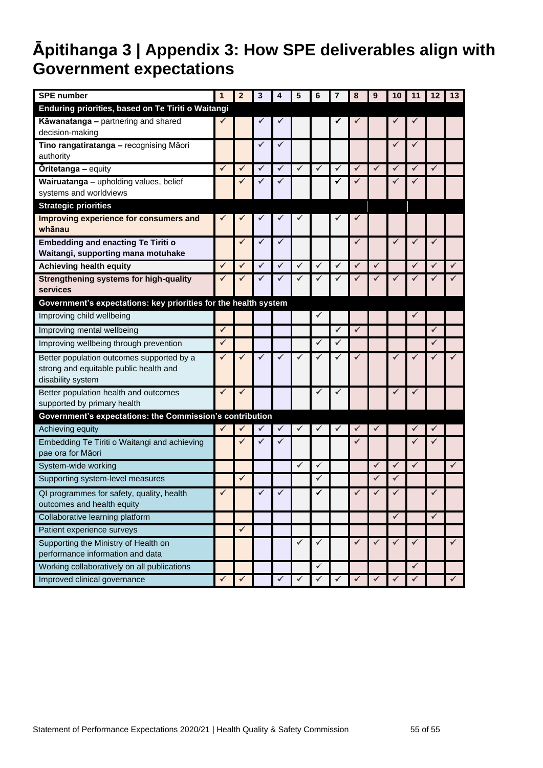# <span id="page-54-0"></span>**Āpitihanga 3 | Appendix 3: How SPE deliverables align with Government expectations**

| <b>SPE</b> number                                                    | 1            | $\overline{2}$ | 3            | 4            | 5            | 6            | 7            | 8 | 9            | 10           | 11           | 12           | 13           |
|----------------------------------------------------------------------|--------------|----------------|--------------|--------------|--------------|--------------|--------------|---|--------------|--------------|--------------|--------------|--------------|
| Enduring priorities, based on Te Tiriti o Waitangi                   |              |                |              |              |              |              |              |   |              |              |              |              |              |
| Kāwanatanga - partnering and shared<br>decision-making               |              |                |              |              |              |              |              |   |              |              |              |              |              |
| Tino rangatiratanga - recognising Māori                              |              |                | ✓            | ✓            |              |              |              |   |              | ✓            | ✓            |              |              |
| authority                                                            |              |                |              |              |              |              |              |   |              |              |              |              |              |
| <b>Öritetanga - equity</b>                                           | $\checkmark$ | ✓              | ✓            | ✔            | ✓            | ✓            | ✓            | ✓ | ✓            | $\checkmark$ | ✓            | ✓            |              |
| Wairuatanga - upholding values, belief                               |              |                |              |              |              |              |              |   |              |              |              |              |              |
| systems and worldviews                                               |              |                |              |              |              |              |              |   |              |              |              |              |              |
| <b>Strategic priorities</b>                                          |              |                |              |              |              |              |              |   |              |              |              |              |              |
| Improving experience for consumers and<br>whānau                     |              |                |              |              |              |              |              |   |              |              |              |              |              |
| <b>Embedding and enacting Te Tiriti o</b>                            |              | ✓              | ✓            | ✓            |              |              |              | ✓ |              | $\checkmark$ |              | ✓            |              |
| Waitangi, supporting mana motuhake                                   |              |                |              |              |              |              |              |   |              |              |              |              |              |
| Achieving health equity                                              | $\checkmark$ | $\checkmark$   | $\checkmark$ | $\checkmark$ | $\checkmark$ | $\checkmark$ | $\checkmark$ | ✓ | $\checkmark$ |              | ✓            |              | $\checkmark$ |
| <b>Strengthening systems for high-quality</b><br>services            | ✔            |                |              | ✔            |              |              |              |   |              |              |              |              |              |
| Government's expectations: key priorities for the health system      |              |                |              |              |              |              |              |   |              |              |              |              |              |
| Improving child wellbeing                                            |              |                |              |              |              | $\checkmark$ |              |   |              |              |              |              |              |
| Improving mental wellbeing                                           | $\checkmark$ |                |              |              |              |              | ✓            | ✓ |              |              |              | $\checkmark$ |              |
| Improving wellbeing through prevention                               | $\checkmark$ |                |              |              |              | ✓            | $\checkmark$ |   |              |              |              | ✓            |              |
| Better population outcomes supported by a                            | ✔            |                |              | √            |              |              | ✔            |   |              | ✔            |              |              |              |
| strong and equitable public health and<br>disability system          |              |                |              |              |              |              |              |   |              |              |              |              |              |
| Better population health and outcomes<br>supported by primary health | $\checkmark$ | $\checkmark$   |              |              |              | $\checkmark$ | ✔            |   |              | ✔            |              |              |              |
| Government's expectations: the Commission's contribution             |              |                |              |              |              |              |              |   |              |              |              |              |              |
| Achieving equity                                                     | $\checkmark$ |                | ✓            | $\checkmark$ |              | ✓            | ✔            |   | ✓            |              |              |              |              |
| Embedding Te Tiriti o Waitangi and achieving<br>pae ora for Māori    |              | $\checkmark$   | ✓            | ✓            |              |              |              |   |              |              |              | ✓            |              |
| System-wide working                                                  |              |                |              |              | $\checkmark$ | $\checkmark$ |              |   | $\checkmark$ | $\checkmark$ | $\checkmark$ |              | $\checkmark$ |
| Supporting system-level measures                                     |              | ✓              |              |              |              | ✓            |              |   | ✓            | ✓            |              |              |              |
| QI programmes for safety, quality, health                            | $\checkmark$ |                | $\checkmark$ | $\checkmark$ |              | ✓            |              |   |              | $\checkmark$ |              |              |              |
| outcomes and health equity                                           |              |                |              |              |              |              |              |   |              |              |              |              |              |
| Collaborative learning platform                                      |              |                |              |              |              |              |              |   |              | $\checkmark$ |              | $\checkmark$ |              |
| Patient experience surveys                                           |              | $\checkmark$   |              |              |              |              |              |   |              |              |              |              |              |
| Supporting the Ministry of Health on                                 |              |                |              |              | ✓            | ✓            |              |   | ✓            | ✓            | ✓            |              | $\checkmark$ |
| performance information and data                                     |              |                |              |              |              |              |              |   |              |              |              |              |              |
| Working collaboratively on all publications                          |              |                |              |              |              | $\checkmark$ |              |   |              |              | $\checkmark$ |              |              |
| Improved clinical governance                                         | $\checkmark$ |                |              | ✓            |              | ✓            | ✔            |   |              | ✓            | ✓            |              | $\checkmark$ |